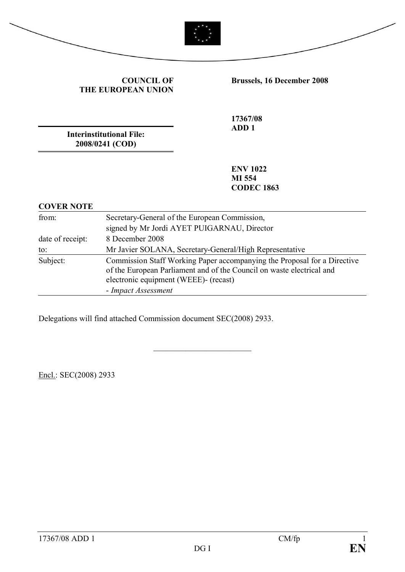



**COUNCIL OF THE EUROPEAN UNION**

**Brussels, 16 December 2008** 

**17367/08 ADD 1**

**Interinstitutional File: 2008/0241 (COD)**

> **ENV 1022 MI 554 CODEC 1863**

## **COVER NOTE** from: Secretary-General of the European Commission, signed by Mr Jordi AYET PUIGARNAU, Director date of receipt: 8 December 2008 to: Mr Javier SOLANA, Secretary-General/High Representative Subject: Commission Staff Working Paper accompanying the Proposal for a Directive of the European Parliament and of the Council on waste electrical and electronic equipment (WEEE)- (recast) - *Impact Assessment*

\_\_\_\_\_\_\_\_\_\_\_\_\_\_\_\_\_\_\_\_\_\_\_\_

Delegations will find attached Commission document SEC(2008) 2933.

Encl.: SEC(2008) 2933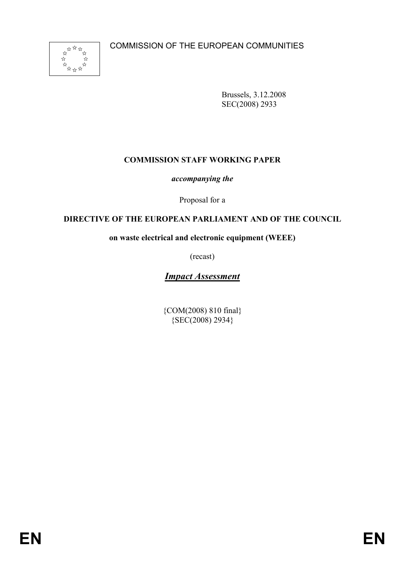

Brussels, 3.12.2008 SEC(2008) 2933

### **COMMISSION STAFF WORKING PAPER**

*accompanying the*

Proposal for a

### **DIRECTIVE OF THE EUROPEAN PARLIAMENT AND OF THE COUNCIL**

**on waste electrical and electronic equipment (WEEE)**

(recast)

# *Impact Assessment*

{COM(2008) 810 final} {SEC(2008) 2934}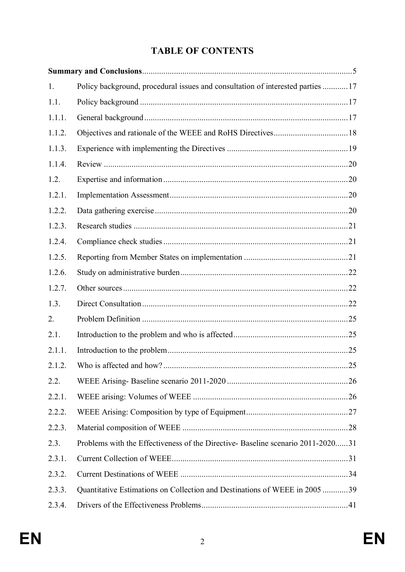# **TABLE OF CONTENTS**

| 1.     | Policy background, procedural issues and consultation of interested parties  17 |    |
|--------|---------------------------------------------------------------------------------|----|
| 1.1.   |                                                                                 |    |
| 1.1.1. |                                                                                 |    |
| 1.1.2. |                                                                                 |    |
| 1.1.3. |                                                                                 |    |
| 1.1.4. |                                                                                 |    |
| 1.2.   |                                                                                 |    |
| 1.2.1. |                                                                                 |    |
| 1.2.2. |                                                                                 |    |
| 1.2.3. |                                                                                 |    |
| 1.2.4. |                                                                                 |    |
| 1.2.5. |                                                                                 |    |
| 1.2.6. |                                                                                 |    |
| 1.2.7. |                                                                                 |    |
| 1.3.   |                                                                                 |    |
| 2.     |                                                                                 |    |
| 2.1.   |                                                                                 |    |
| 2.1.1. |                                                                                 |    |
| 2.1.2. |                                                                                 | 25 |
| 2.2.   |                                                                                 |    |
| 2.2.1. |                                                                                 |    |
| 2.2.2. |                                                                                 |    |
| 2.2.3. |                                                                                 |    |
| 2.3.   | Problems with the Effectiveness of the Directive-Baseline scenario 2011-202031  |    |
| 2.3.1. |                                                                                 |    |
| 2.3.2. |                                                                                 |    |
| 2.3.3. | Quantitative Estimations on Collection and Destinations of WEEE in 2005 39      |    |
| 2.3.4. |                                                                                 |    |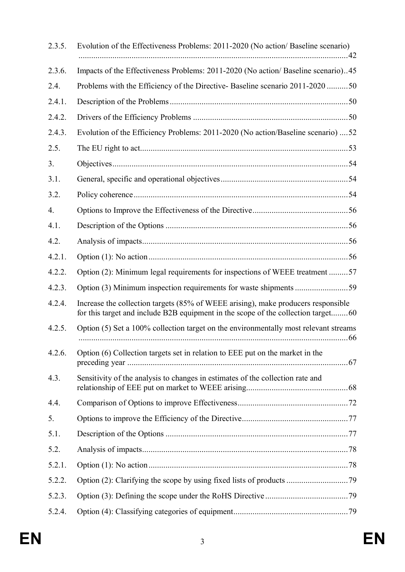| 2.3.5. | Evolution of the Effectiveness Problems: 2011-2020 (No action/ Baseline scenario)                                                                                      |  |
|--------|------------------------------------------------------------------------------------------------------------------------------------------------------------------------|--|
| 2.3.6. | Impacts of the Effectiveness Problems: 2011-2020 (No action/ Baseline scenario)45                                                                                      |  |
| 2.4.   | Problems with the Efficiency of the Directive-Baseline scenario 2011-2020 50                                                                                           |  |
| 2.4.1. |                                                                                                                                                                        |  |
| 2.4.2. |                                                                                                                                                                        |  |
| 2.4.3. | Evolution of the Efficiency Problems: 2011-2020 (No action/Baseline scenario)  52                                                                                      |  |
| 2.5.   |                                                                                                                                                                        |  |
| 3.     |                                                                                                                                                                        |  |
| 3.1.   |                                                                                                                                                                        |  |
| 3.2.   |                                                                                                                                                                        |  |
| 4.     |                                                                                                                                                                        |  |
| 4.1.   |                                                                                                                                                                        |  |
| 4.2.   |                                                                                                                                                                        |  |
| 4.2.1. |                                                                                                                                                                        |  |
| 4.2.2. | Option (2): Minimum legal requirements for inspections of WEEE treatment 57                                                                                            |  |
| 4.2.3. |                                                                                                                                                                        |  |
| 4.2.4. | Increase the collection targets (85% of WEEE arising), make producers responsible<br>for this target and include B2B equipment in the scope of the collection target60 |  |
| 4.2.5. | Option (5) Set a 100% collection target on the environmentally most relevant streams                                                                                   |  |
| 4.2.6. | Option (6) Collection targets set in relation to EEE put on the market in the                                                                                          |  |
| 4.3.   | Sensitivity of the analysis to changes in estimates of the collection rate and                                                                                         |  |
| 4.4.   |                                                                                                                                                                        |  |
| 5.     |                                                                                                                                                                        |  |
| 5.1.   |                                                                                                                                                                        |  |
| 5.2.   |                                                                                                                                                                        |  |
| 5.2.1. |                                                                                                                                                                        |  |
| 5.2.2. |                                                                                                                                                                        |  |
| 5.2.3. |                                                                                                                                                                        |  |
| 5.2.4. |                                                                                                                                                                        |  |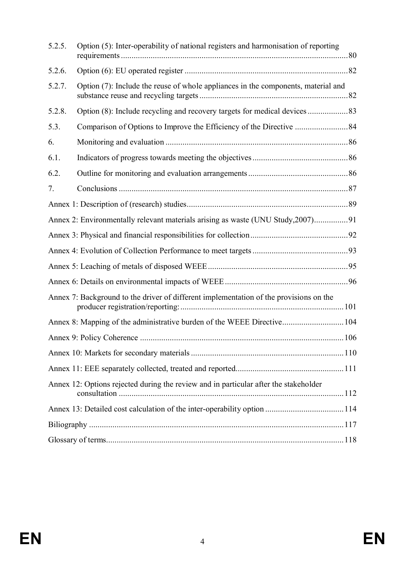| 5.2.5. | Option (5): Inter-operability of national registers and harmonisation of reporting     |  |
|--------|----------------------------------------------------------------------------------------|--|
| 5.2.6. |                                                                                        |  |
| 5.2.7. | Option (7): Include the reuse of whole appliances in the components, material and      |  |
| 5.2.8. |                                                                                        |  |
| 5.3.   |                                                                                        |  |
| 6.     |                                                                                        |  |
| 6.1.   |                                                                                        |  |
| 6.2.   |                                                                                        |  |
| 7.     |                                                                                        |  |
|        |                                                                                        |  |
|        | Annex 2: Environmentally relevant materials arising as waste (UNU Study, 2007)91       |  |
|        |                                                                                        |  |
|        |                                                                                        |  |
|        |                                                                                        |  |
|        |                                                                                        |  |
|        | Annex 7: Background to the driver of different implementation of the provisions on the |  |
|        | Annex 8: Mapping of the administrative burden of the WEEE Directive 104                |  |
|        |                                                                                        |  |
|        |                                                                                        |  |
|        |                                                                                        |  |
|        | Annex 12: Options rejected during the review and in particular after the stakeholder   |  |
|        |                                                                                        |  |
|        |                                                                                        |  |
|        |                                                                                        |  |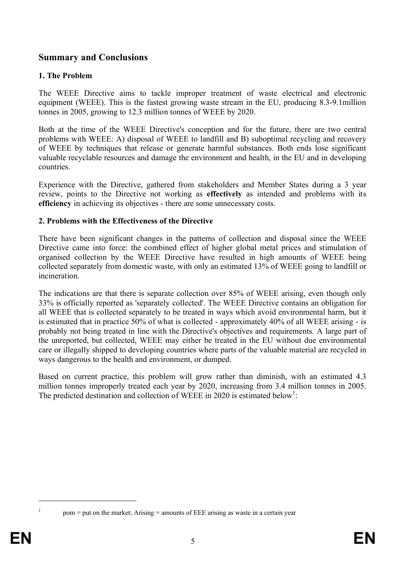# **Summary and Conclusions**

### **1. The Problem**

The WEEE Directive aims to tackle improper treatment of waste electrical and electronic equipment (WEEE). This is the fastest growing waste stream in the EU, producing 8.3-9.1million tonnes in 2005, growing to 12.3 million tonnes of WEEE by 2020.

Both at the time of the WEEE Directive's conception and for the future, there are two central problems with WEEE: A) disposal of WEEE to landfill and B) suboptimal recycling and recovery of WEEE by techniques that release or generate harmful substances. Both ends lose significant valuable recyclable resources and damage the environment and health, in the EU and in developing countries.

Experience with the Directive, gathered from stakeholders and Member States during a 3 year review, points to the Directive not working as **effectively** as intended and problems with its **efficiency** in achieving its objectives - there are some unnecessary costs.

### **2. Problems with the Effectiveness of the Directive**

There have been significant changes in the patterns of collection and disposal since the WEEE Directive came into force: the combined effect of higher global metal prices and stimulation of organised collection by the WEEE Directive have resulted in high amounts of WEEE being collected separately from domestic waste, with only an estimated 13% of WEEE going to landfill or incineration.

The indications are that there is separate collection over 85% of WEEE arising, even though only 33% is officially reported as 'separately collected'. The WEEE Directive contains an obligation for all WEEE that is collected separately to be treated in ways which avoid environmental harm, but it is estimated that in practice 50% of what is collected - approximately 40% of all WEEE arising - is probably not being treated in line with the Directive's objectives and requirements. A large part of the unreported, but collected, WEEE may either be treated in the EU without due environmental care or illegally shipped to developing countries where parts of the valuable material are recycled in ways dangerous to the health and environment, or dumped.

Based on current practice, this problem will grow rather than diminish, with an estimated 4.3 million tonnes improperly treated each year by 2020, increasing from 3.4 million tonnes in 2005. The predicted destination and collection of WEEE in 2020 is estimated below<sup>1</sup>:

1

pom = put on the market; Arising = amounts of EEE arising as waste in a certain year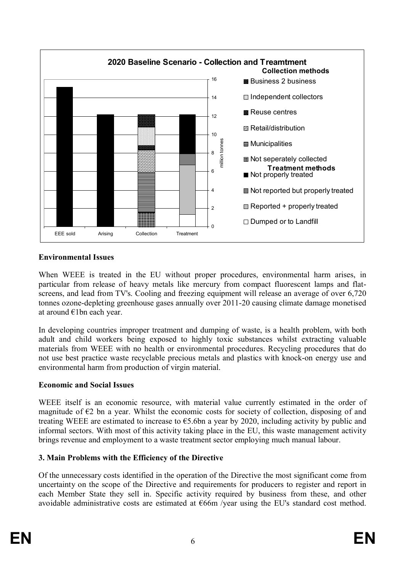

### **Environmental Issues**

When WEEE is treated in the EU without proper procedures, environmental harm arises, in particular from release of heavy metals like mercury from compact fluorescent lamps and flatscreens, and lead from TV's. Cooling and freezing equipment will release an average of over 6,720 tonnes ozone-depleting greenhouse gases annually over 2011-20 causing climate damage monetised at around €1bn each year.

In developing countries improper treatment and dumping of waste, is a health problem, with both adult and child workers being exposed to highly toxic substances whilst extracting valuable materials from WEEE with no health or environmental procedures. Recycling procedures that do not use best practice waste recyclable precious metals and plastics with knock-on energy use and environmental harm from production of virgin material.

### **Economic and Social Issues**

WEEE itself is an economic resource, with material value currently estimated in the order of magnitude of  $\epsilon$ 2 bn a year. Whilst the economic costs for society of collection, disposing of and treating WEEE are estimated to increase to  $65.6$ bn a year by 2020, including activity by public and informal sectors. With most of this activity taking place in the EU, this waste management activity brings revenue and employment to a waste treatment sector employing much manual labour.

### **3. Main Problems with the Efficiency of the Directive**

Of the unnecessary costs identified in the operation of the Directive the most significant come from uncertainty on the scope of the Directive and requirements for producers to register and report in each Member State they sell in. Specific activity required by business from these, and other avoidable administrative costs are estimated at  $\epsilon$ 66m /year using the EU's standard cost method.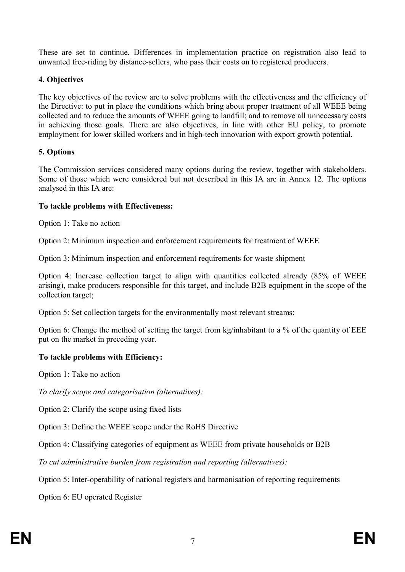These are set to continue. Differences in implementation practice on registration also lead to unwanted free-riding by distance-sellers, who pass their costs on to registered producers.

### **4. Objectives**

The key objectives of the review are to solve problems with the effectiveness and the efficiency of the Directive: to put in place the conditions which bring about proper treatment of all WEEE being collected and to reduce the amounts of WEEE going to landfill; and to remove all unnecessary costs in achieving those goals. There are also objectives, in line with other EU policy, to promote employment for lower skilled workers and in high-tech innovation with export growth potential.

### **5. Options**

The Commission services considered many options during the review, together with stakeholders. Some of those which were considered but not described in this IA are in Annex 12. The options analysed in this IA are:

### **To tackle problems with Effectiveness:**

Option 1: Take no action

Option 2: Minimum inspection and enforcement requirements for treatment of WEEE

Option 3: Minimum inspection and enforcement requirements for waste shipment

Option 4: Increase collection target to align with quantities collected already (85% of WEEE arising), make producers responsible for this target, and include B2B equipment in the scope of the collection target;

Option 5: Set collection targets for the environmentally most relevant streams;

Option 6: Change the method of setting the target from kg/inhabitant to a % of the quantity of EEE put on the market in preceding year.

### **To tackle problems with Efficiency:**

Option 1: Take no action

*To clarify scope and categorisation (alternatives):*

Option 2: Clarify the scope using fixed lists

Option 3: Define the WEEE scope under the RoHS Directive

Option 4: Classifying categories of equipment as WEEE from private households or B2B

*To cut administrative burden from registration and reporting (alternatives):*

Option 5: Inter-operability of national registers and harmonisation of reporting requirements

Option 6: EU operated Register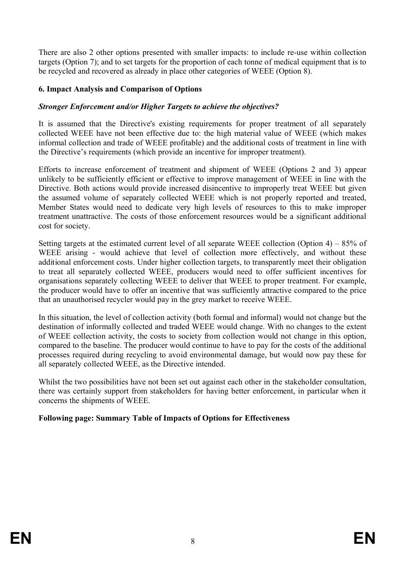There are also 2 other options presented with smaller impacts: to include re-use within collection targets (Option 7); and to set targets for the proportion of each tonne of medical equipment that is to be recycled and recovered as already in place other categories of WEEE (Option 8).

#### **6. Impact Analysis and Comparison of Options**

#### *Stronger Enforcement and/or Higher Targets to achieve the objectives?*

It is assumed that the Directive's existing requirements for proper treatment of all separately collected WEEE have not been effective due to: the high material value of WEEE (which makes informal collection and trade of WEEE profitable) and the additional costs of treatment in line with the Directive's requirements (which provide an incentive for improper treatment).

Efforts to increase enforcement of treatment and shipment of WEEE (Options 2 and 3) appear unlikely to be sufficiently efficient or effective to improve management of WEEE in line with the Directive. Both actions would provide increased disincentive to improperly treat WEEE but given the assumed volume of separately collected WEEE which is not properly reported and treated, Member States would need to dedicate very high levels of resources to this to make improper treatment unattractive. The costs of those enforcement resources would be a significant additional cost for society.

Setting targets at the estimated current level of all separate WEEE collection (Option 4) –  $85\%$  of WEEE arising - would achieve that level of collection more effectively, and without these additional enforcement costs. Under higher collection targets, to transparently meet their obligation to treat all separately collected WEEE, producers would need to offer sufficient incentives for organisations separately collecting WEEE to deliver that WEEE to proper treatment. For example, the producer would have to offer an incentive that was sufficiently attractive compared to the price that an unauthorised recycler would pay in the grey market to receive WEEE.

In this situation, the level of collection activity (both formal and informal) would not change but the destination of informally collected and traded WEEE would change. With no changes to the extent of WEEE collection activity, the costs to society from collection would not change in this option, compared to the baseline. The producer would continue to have to pay for the costs of the additional processes required during recycling to avoid environmental damage, but would now pay these for all separately collected WEEE, as the Directive intended.

Whilst the two possibilities have not been set out against each other in the stakeholder consultation, there was certainly support from stakeholders for having better enforcement, in particular when it concerns the shipments of WEEE.

#### **Following page: Summary Table of Impacts of Options for Effectiveness**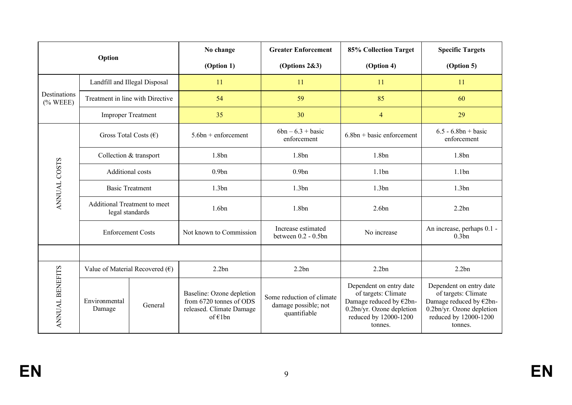|                             |                                                        | No change<br>Option |                                                                                            | <b>Greater Enforcement</b>                                        | 85% Collection Target                                                                                                                      | <b>Specific Targets</b>                                                                                                                    |  |
|-----------------------------|--------------------------------------------------------|---------------------|--------------------------------------------------------------------------------------------|-------------------------------------------------------------------|--------------------------------------------------------------------------------------------------------------------------------------------|--------------------------------------------------------------------------------------------------------------------------------------------|--|
|                             |                                                        |                     | (Option 1)                                                                                 | (Options $2&3$ )                                                  | (Option 4)                                                                                                                                 | (Option 5)                                                                                                                                 |  |
|                             | Landfill and Illegal Disposal                          |                     | 11                                                                                         | 11                                                                |                                                                                                                                            | 11                                                                                                                                         |  |
| Destinations<br>$(\%$ WEEE) | Treatment in line with Directive                       |                     | 54                                                                                         | 59                                                                | 85                                                                                                                                         | 60                                                                                                                                         |  |
|                             | <b>Improper Treatment</b>                              |                     | 35                                                                                         | 30<br>$\overline{4}$                                              |                                                                                                                                            | 29                                                                                                                                         |  |
|                             | Gross Total Costs $(\epsilon)$                         |                     | $5.6bn + enforcement$                                                                      | $6bn - 6.3 + basic$<br>$6.8bn + basic enforcement$<br>enforcement |                                                                                                                                            | $6.5 - 6.8bn + basic$<br>enforcement                                                                                                       |  |
|                             | Collection & transport                                 |                     | 1.8bn                                                                                      | 1.8bn                                                             | 1.8 <sub>bn</sub>                                                                                                                          | 1.8 <sub>bn</sub>                                                                                                                          |  |
| ANNUAL COSTS                | Additional costs                                       |                     | 0.9 <sub>bn</sub>                                                                          | 0.9 <sub>bn</sub><br>1.1bn                                        |                                                                                                                                            | 1.1bn                                                                                                                                      |  |
|                             | <b>Basic Treatment</b>                                 |                     | 1.3bn<br>1.3bn<br>1.3bn                                                                    |                                                                   |                                                                                                                                            | 1.3bn                                                                                                                                      |  |
|                             | <b>Additional Treatment to meet</b><br>legal standards |                     | 1.6bn                                                                                      | 1.8bn                                                             | 2.6bn                                                                                                                                      | 2.2bn                                                                                                                                      |  |
|                             | <b>Enforcement Costs</b>                               |                     | Not known to Commission                                                                    | Increase estimated<br>between 0.2 - 0.5bn                         | No increase                                                                                                                                | An increase, perhaps 0.1 -<br>0.3bn                                                                                                        |  |
|                             |                                                        |                     |                                                                                            |                                                                   |                                                                                                                                            |                                                                                                                                            |  |
| ANNUAL BENEFITS             | Value of Material Recovered $(\epsilon)$               |                     | 2.2bn                                                                                      | 2.2bn<br>2.2bn                                                    |                                                                                                                                            | 2.2bn                                                                                                                                      |  |
|                             | Environmental<br>Damage                                | General             | Baseline: Ozone depletion<br>from 6720 tonnes of ODS<br>released. Climate Damage<br>of€1bn | Some reduction of climate<br>damage possible; not<br>quantifiable | Dependent on entry date<br>of targets: Climate<br>Damage reduced by €2bn-<br>0.2bn/yr. Ozone depletion<br>reduced by 12000-1200<br>tonnes. | Dependent on entry date<br>of targets: Climate<br>Damage reduced by €2bn-<br>0.2bn/yr. Ozone depletion<br>reduced by 12000-1200<br>tonnes. |  |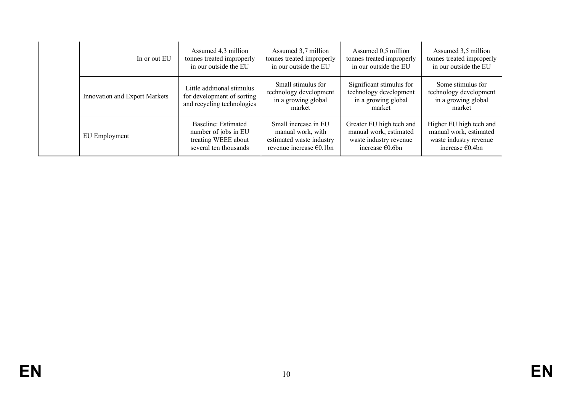|                               | In or out EU | Assumed 4,3 million<br>tonnes treated improperly<br>in our outside the EU                   | Assumed 3,7 million<br>tonnes treated improperly<br>in our outside the EU                        | Assumed 0,5 million<br>tonnes treated improperly<br>in our outside the EU                                 | Assumed 3,5 million<br>tonnes treated improperly<br>in our outside the EU                                |
|-------------------------------|--------------|---------------------------------------------------------------------------------------------|--------------------------------------------------------------------------------------------------|-----------------------------------------------------------------------------------------------------------|----------------------------------------------------------------------------------------------------------|
| Innovation and Export Markets |              | Little additional stimulus<br>for development of sorting<br>and recycling technologies      | Small stimulus for<br>technology development<br>in a growing global<br>market                    | Significant stimulus for<br>technology development<br>in a growing global<br>market                       | Some stimulus for<br>technology development<br>in a growing global<br>market                             |
| EU Employment                 |              | Baseline: Estimated<br>number of jobs in EU<br>treating WEEE about<br>several ten thousands | Small increase in EU<br>manual work, with<br>estimated waste industry<br>revenue increase €0.1bn | Greater EU high tech and<br>manual work, estimated<br>waste industry revenue<br>increase $\epsilon$ 0.6bn | Higher EU high tech and<br>manual work, estimated<br>waste industry revenue<br>increase $\epsilon$ 0.4bn |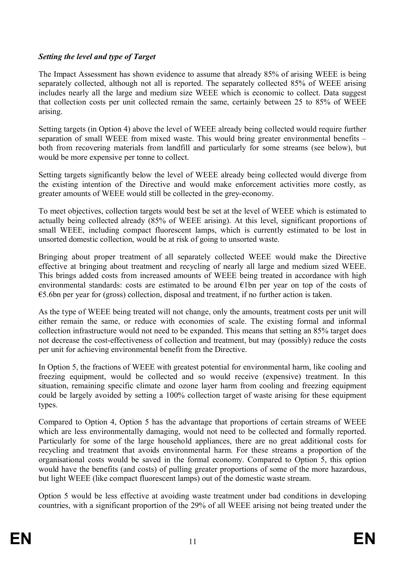### *Setting the level and type of Target*

The Impact Assessment has shown evidence to assume that already 85% of arising WEEE is being separately collected, although not all is reported. The separately collected 85% of WEEE arising includes nearly all the large and medium size WEEE which is economic to collect. Data suggest that collection costs per unit collected remain the same, certainly between 25 to 85% of WEEE arising.

Setting targets (in Option 4) above the level of WEEE already being collected would require further separation of small WEEE from mixed waste. This would bring greater environmental benefits – both from recovering materials from landfill and particularly for some streams (see below), but would be more expensive per tonne to collect.

Setting targets significantly below the level of WEEE already being collected would diverge from the existing intention of the Directive and would make enforcement activities more costly, as greater amounts of WEEE would still be collected in the grey-economy.

To meet objectives, collection targets would best be set at the level of WEEE which is estimated to actually being collected already (85% of WEEE arising). At this level, significant proportions of small WEEE, including compact fluorescent lamps, which is currently estimated to be lost in unsorted domestic collection, would be at risk of going to unsorted waste.

Bringing about proper treatment of all separately collected WEEE would make the Directive effective at bringing about treatment and recycling of nearly all large and medium sized WEEE. This brings added costs from increased amounts of WEEE being treated in accordance with high environmental standards: costs are estimated to be around €1bn per year on top of the costs of  $\epsilon$ 5.6bn per year for (gross) collection, disposal and treatment, if no further action is taken.

As the type of WEEE being treated will not change, only the amounts, treatment costs per unit will either remain the same, or reduce with economies of scale. The existing formal and informal collection infrastructure would not need to be expanded. This means that setting an 85% target does not decrease the cost-effectiveness of collection and treatment, but may (possibly) reduce the costs per unit for achieving environmental benefit from the Directive.

In Option 5, the fractions of WEEE with greatest potential for environmental harm, like cooling and freezing equipment, would be collected and so would receive (expensive) treatment. In this situation, remaining specific climate and ozone layer harm from cooling and freezing equipment could be largely avoided by setting a 100% collection target of waste arising for these equipment types.

Compared to Option 4, Option 5 has the advantage that proportions of certain streams of WEEE which are less environmentally damaging, would not need to be collected and formally reported. Particularly for some of the large household appliances, there are no great additional costs for recycling and treatment that avoids environmental harm. For these streams a proportion of the organisational costs would be saved in the formal economy. Compared to Option 5, this option would have the benefits (and costs) of pulling greater proportions of some of the more hazardous, but light WEEE (like compact fluorescent lamps) out of the domestic waste stream.

Option 5 would be less effective at avoiding waste treatment under bad conditions in developing countries, with a significant proportion of the 29% of all WEEE arising not being treated under the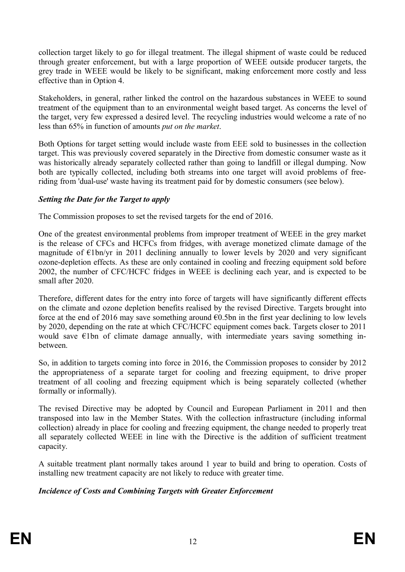collection target likely to go for illegal treatment. The illegal shipment of waste could be reduced through greater enforcement, but with a large proportion of WEEE outside producer targets, the grey trade in WEEE would be likely to be significant, making enforcement more costly and less effective than in Option 4.

Stakeholders, in general, rather linked the control on the hazardous substances in WEEE to sound treatment of the equipment than to an environmental weight based target. As concerns the level of the target, very few expressed a desired level. The recycling industries would welcome a rate of no less than 65% in function of amounts *put on the market*.

Both Options for target setting would include waste from EEE sold to businesses in the collection target. This was previously covered separately in the Directive from domestic consumer waste as it was historically already separately collected rather than going to landfill or illegal dumping. Now both are typically collected, including both streams into one target will avoid problems of freeriding from 'dual-use' waste having its treatment paid for by domestic consumers (see below).

### *Setting the Date for the Target to apply*

The Commission proposes to set the revised targets for the end of 2016.

One of the greatest environmental problems from improper treatment of WEEE in the grey market is the release of CFCs and HCFCs from fridges, with average monetized climate damage of the magnitude of  $\epsilon$ 1bn/yr in 2011 declining annually to lower levels by 2020 and very significant ozone-depletion effects. As these are only contained in cooling and freezing equipment sold before 2002, the number of CFC/HCFC fridges in WEEE is declining each year, and is expected to be small after 2020.

Therefore, different dates for the entry into force of targets will have significantly different effects on the climate and ozone depletion benefits realised by the revised Directive. Targets brought into force at the end of 2016 may save something around  $\epsilon$ 0.5bn in the first year declining to low levels by 2020, depending on the rate at which CFC/HCFC equipment comes back. Targets closer to 2011 would save  $\epsilon$ 1bn of climate damage annually, with intermediate years saving something inbetween.

So, in addition to targets coming into force in 2016, the Commission proposes to consider by 2012 the appropriateness of a separate target for cooling and freezing equipment, to drive proper treatment of all cooling and freezing equipment which is being separately collected (whether formally or informally).

The revised Directive may be adopted by Council and European Parliament in 2011 and then transposed into law in the Member States. With the collection infrastructure (including informal collection) already in place for cooling and freezing equipment, the change needed to properly treat all separately collected WEEE in line with the Directive is the addition of sufficient treatment capacity.

A suitable treatment plant normally takes around 1 year to build and bring to operation. Costs of installing new treatment capacity are not likely to reduce with greater time.

### *Incidence of Costs and Combining Targets with Greater Enforcement*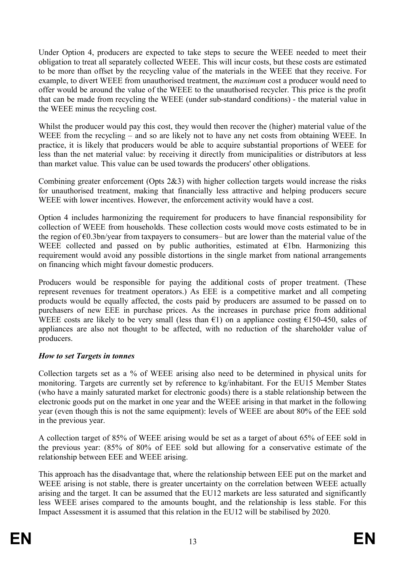Under Option 4, producers are expected to take steps to secure the WEEE needed to meet their obligation to treat all separately collected WEEE. This will incur costs, but these costs are estimated to be more than offset by the recycling value of the materials in the WEEE that they receive. For example, to divert WEEE from unauthorised treatment, the *maximum* cost a producer would need to offer would be around the value of the WEEE to the unauthorised recycler. This price is the profit that can be made from recycling the WEEE (under sub-standard conditions) - the material value in the WEEE minus the recycling cost.

Whilst the producer would pay this cost, they would then recover the (higher) material value of the WEEE from the recycling – and so are likely not to have any net costs from obtaining WEEE. In practice, it is likely that producers would be able to acquire substantial proportions of WEEE for less than the net material value: by receiving it directly from municipalities or distributors at less than market value. This value can be used towards the producers' other obligations.

Combining greater enforcement (Opts 2&3) with higher collection targets would increase the risks for unauthorised treatment, making that financially less attractive and helping producers secure WEEE with lower incentives. However, the enforcement activity would have a cost.

Option 4 includes harmonizing the requirement for producers to have financial responsibility for collection of WEEE from households. These collection costs would move costs estimated to be in the region of  $\epsilon$ 0.3bn/year from taxpayers to consumers– but are lower than the material value of the WEEE collected and passed on by public authorities, estimated at  $\epsilon$ 1bn. Harmonizing this requirement would avoid any possible distortions in the single market from national arrangements on financing which might favour domestic producers.

Producers would be responsible for paying the additional costs of proper treatment. (These represent revenues for treatment operators.) As EEE is a competitive market and all competing products would be equally affected, the costs paid by producers are assumed to be passed on to purchasers of new EEE in purchase prices. As the increases in purchase price from additional WEEE costs are likely to be very small (less than  $\epsilon$ 1) on a appliance costing  $\epsilon$ 150-450, sales of appliances are also not thought to be affected, with no reduction of the shareholder value of producers.

### *How to set Targets in tonnes*

Collection targets set as a % of WEEE arising also need to be determined in physical units for monitoring. Targets are currently set by reference to kg/inhabitant. For the EU15 Member States (who have a mainly saturated market for electronic goods) there is a stable relationship between the electronic goods put on the market in one year and the WEEE arising in that market in the following year (even though this is not the same equipment): levels of WEEE are about 80% of the EEE sold in the previous year.

A collection target of 85% of WEEE arising would be set as a target of about 65% of EEE sold in the previous year: (85% of 80% of EEE sold but allowing for a conservative estimate of the relationship between EEE and WEEE arising.

This approach has the disadvantage that, where the relationship between EEE put on the market and WEEE arising is not stable, there is greater uncertainty on the correlation between WEEE actually arising and the target. It can be assumed that the EU12 markets are less saturated and significantly less WEEE arises compared to the amounts bought, and the relationship is less stable. For this Impact Assessment it is assumed that this relation in the EU12 will be stabilised by 2020.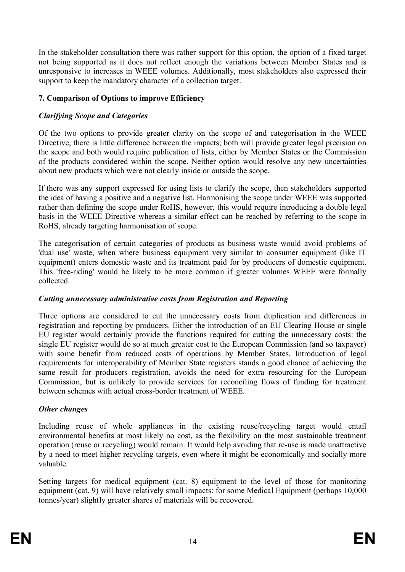In the stakeholder consultation there was rather support for this option, the option of a fixed target not being supported as it does not reflect enough the variations between Member States and is unresponsive to increases in WEEE volumes. Additionally, most stakeholders also expressed their support to keep the mandatory character of a collection target.

### **7. Comparison of Options to improve Efficiency**

### *Clarifying Scope and Categories*

Of the two options to provide greater clarity on the scope of and categorisation in the WEEE Directive, there is little difference between the impacts; both will provide greater legal precision on the scope and both would require publication of lists, either by Member States or the Commission of the products considered within the scope. Neither option would resolve any new uncertainties about new products which were not clearly inside or outside the scope.

If there was any support expressed for using lists to clarify the scope, then stakeholders supported the idea of having a positive and a negative list. Harmonising the scope under WEEE was supported rather than defining the scope under RoHS, however, this would require introducing a double legal basis in the WEEE Directive whereas a similar effect can be reached by referring to the scope in RoHS, already targeting harmonisation of scope.

The categorisation of certain categories of products as business waste would avoid problems of 'dual use' waste, when where business equipment very similar to consumer equipment (like IT equipment) enters domestic waste and its treatment paid for by producers of domestic equipment. This 'free-riding' would be likely to be more common if greater volumes WEEE were formally collected.

### *Cutting unnecessary administrative costs from Registration and Reporting*

Three options are considered to cut the unnecessary costs from duplication and differences in registration and reporting by producers. Either the introduction of an EU Clearing House or single EU register would certainly provide the functions required for cutting the unnecessary costs: the single EU register would do so at much greater cost to the European Commission (and so taxpayer) with some benefit from reduced costs of operations by Member States. Introduction of legal requirements for interoperability of Member State registers stands a good chance of achieving the same result for producers registration, avoids the need for extra resourcing for the European Commission, but is unlikely to provide services for reconciling flows of funding for treatment between schemes with actual cross-border treatment of WEEE.

### *Other changes*

Including reuse of whole appliances in the existing reuse/recycling target would entail environmental benefits at most likely no cost, as the flexibility on the most sustainable treatment operation (reuse or recycling) would remain. It would help avoiding that re-use is made unattractive by a need to meet higher recycling targets, even where it might be economically and socially more valuable.

Setting targets for medical equipment (cat. 8) equipment to the level of those for monitoring equipment (cat. 9) will have relatively small impacts: for some Medical Equipment (perhaps 10,000 tonnes/year) slightly greater shares of materials will be recovered.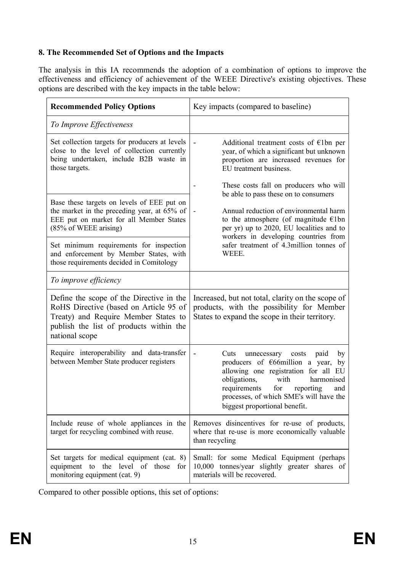### **8. The Recommended Set of Options and the Impacts**

The analysis in this IA recommends the adoption of a combination of options to improve the effectiveness and efficiency of achievement of the WEEE Directive's existing objectives. These options are described with the key impacts in the table below:

| <b>Recommended Policy Options</b>                                                                                                                                                       | Key impacts (compared to baseline)                                                                                                                                                                                                                                                                                       |  |  |
|-----------------------------------------------------------------------------------------------------------------------------------------------------------------------------------------|--------------------------------------------------------------------------------------------------------------------------------------------------------------------------------------------------------------------------------------------------------------------------------------------------------------------------|--|--|
| To Improve Effectiveness                                                                                                                                                                |                                                                                                                                                                                                                                                                                                                          |  |  |
| Set collection targets for producers at levels<br>close to the level of collection currently<br>being undertaken, include B2B waste in<br>those targets.                                | Additional treatment costs of $E1bn$ per<br>year, of which a significant but unknown<br>proportion are increased revenues for<br>EU treatment business.                                                                                                                                                                  |  |  |
|                                                                                                                                                                                         | These costs fall on producers who will<br>be able to pass these on to consumers                                                                                                                                                                                                                                          |  |  |
| Base these targets on levels of EEE put on<br>the market in the preceding year, at 65% of<br>EEE put on market for all Member States<br>(85% of WEEE arising)                           | Annual reduction of environmental harm<br>to the atmosphere (of magnitude $\epsilon$ 1bn<br>per yr) up to 2020, EU localities and to<br>workers in developing countries from                                                                                                                                             |  |  |
| Set minimum requirements for inspection<br>and enforcement by Member States, with<br>those requirements decided in Comitology                                                           | safer treatment of 4.3million tonnes of<br>WEEE.                                                                                                                                                                                                                                                                         |  |  |
| To improve efficiency                                                                                                                                                                   |                                                                                                                                                                                                                                                                                                                          |  |  |
| Define the scope of the Directive in the<br>RoHS Directive (based on Article 95 of<br>Treaty) and Require Member States to<br>publish the list of products within the<br>national scope | Increased, but not total, clarity on the scope of<br>products, with the possibility for Member<br>States to expand the scope in their territory.                                                                                                                                                                         |  |  |
| Require interoperability and data-transfer<br>between Member State producer registers                                                                                                   | Cuts<br>unnecessary costs<br>paid<br>by<br>$\qquad \qquad \blacksquare$<br>producers of $E66$ million a year,<br>by<br>allowing one registration for all EU<br>obligations,<br>with<br>harmonised<br>for<br>requirements<br>reporting<br>and<br>processes, of which SME's will have the<br>biggest proportional benefit. |  |  |
| Include reuse of whole appliances in the<br>target for recycling combined with reuse.                                                                                                   | Removes disincentives for re-use of products,<br>where that re-use is more economically valuable<br>than recycling                                                                                                                                                                                                       |  |  |
| Set targets for medical equipment (cat. 8)<br>equipment to the level of those for<br>monitoring equipment (cat. 9)                                                                      | Small: for some Medical Equipment (perhaps<br>10,000 tonnes/year slightly greater shares of<br>materials will be recovered.                                                                                                                                                                                              |  |  |

Compared to other possible options, this set of options: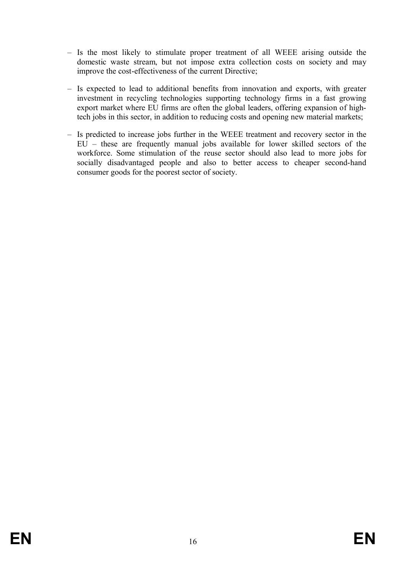- Is the most likely to stimulate proper treatment of all WEEE arising outside the domestic waste stream, but not impose extra collection costs on society and may improve the cost-effectiveness of the current Directive;
- Is expected to lead to additional benefits from innovation and exports, with greater investment in recycling technologies supporting technology firms in a fast growing export market where EU firms are often the global leaders, offering expansion of hightech jobs in this sector, in addition to reducing costs and opening new material markets;
- Is predicted to increase jobs further in the WEEE treatment and recovery sector in the  $E\overline{U}$  – these are frequently manual jobs available for lower skilled sectors of the workforce. Some stimulation of the reuse sector should also lead to more jobs for socially disadvantaged people and also to better access to cheaper second-hand consumer goods for the poorest sector of society.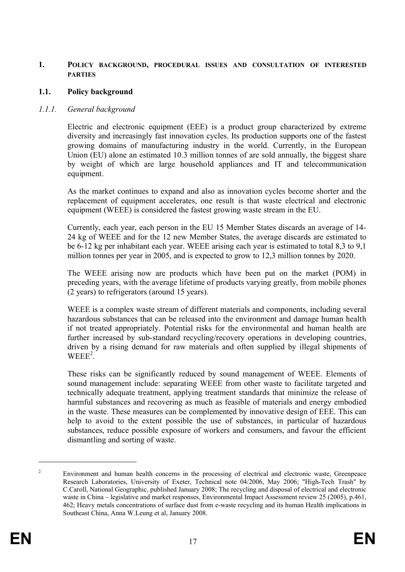#### **1. POLICY BACKGROUND, PROCEDURAL ISSUES AND CONSULTATION OF INTERESTED PARTIES**

#### **1.1. Policy background**

#### *1.1.1. General background*

Electric and electronic equipment (EEE) is a product group characterized by extreme diversity and increasingly fast innovation cycles. Its production supports one of the fastest growing domains of manufacturing industry in the world. Currently, in the European Union (EU) alone an estimated 10.3 million tonnes of are sold annually, the biggest share by weight of which are large household appliances and IT and telecommunication equipment.

As the market continues to expand and also as innovation cycles become shorter and the replacement of equipment accelerates, one result is that waste electrical and electronic equipment (WEEE) is considered the fastest growing waste stream in the EU.

Currently, each year, each person in the EU 15 Member States discards an average of 14- 24 kg of WEEE and for the 12 new Member States, the average discards are estimated to be 6-12 kg per inhabitant each year. WEEE arising each year is estimated to total 8,3 to 9,1 million tonnes per year in 2005, and is expected to grow to 12,3 million tonnes by 2020.

The WEEE arising now are products which have been put on the market (POM) in preceding years, with the average lifetime of products varying greatly, from mobile phones (2 years) to refrigerators (around 15 years).

WEEE is a complex waste stream of different materials and components, including several hazardous substances that can be released into the environment and damage human health if not treated appropriately. Potential risks for the environmental and human health are further increased by sub-standard recycling/recovery operations in developing countries, driven by a rising demand for raw materials and often supplied by illegal shipments of  $WEEE<sup>2</sup>$ .

These risks can be significantly reduced by sound management of WEEE. Elements of sound management include: separating WEEE from other waste to facilitate targeted and technically adequate treatment, applying treatment standards that minimize the release of harmful substances and recovering as much as feasible of materials and energy embodied in the waste. These measures can be complemented by innovative design of EEE. This can help to avoid to the extent possible the use of substances, in particular of hazardous substances, reduce possible exposure of workers and consumers, and favour the efficient dismantling and sorting of waste.

<sup>&</sup>lt;sup>2</sup> Environment and human health concerns in the processing of electrical and electronic waste, Greenpeace Research Laboratories, University of Exeter, Technical note 04/2006, May 2006; "High-Tech Trash" by C.Caroll, National Geographic, published January 2008; The recycling and disposal of electrical and electronic waste in China – legislative and market responses, Environmental Impact Assessment review 25 (2005), p.461, 462; Heavy metals concentrations of surface dust from e-waste recycling and its human Health implications in Southeast China, Anna W.Leung et al, January 2008.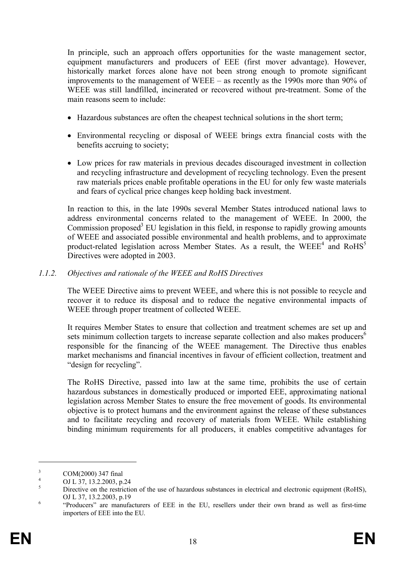In principle, such an approach offers opportunities for the waste management sector, equipment manufacturers and producers of EEE (first mover advantage). However, historically market forces alone have not been strong enough to promote significant improvements to the management of WEEE – as recently as the 1990s more than 90% of WEEE was still landfilled, incinerated or recovered without pre-treatment. Some of the main reasons seem to include:

- · Hazardous substances are often the cheapest technical solutions in the short term;
- · Environmental recycling or disposal of WEEE brings extra financial costs with the benefits accruing to society;
- Low prices for raw materials in previous decades discouraged investment in collection and recycling infrastructure and development of recycling technology. Even the present raw materials prices enable profitable operations in the EU for only few waste materials and fears of cyclical price changes keep holding back investment.

In reaction to this, in the late 1990s several Member States introduced national laws to address environmental concerns related to the management of WEEE. In 2000, the Commission proposed<sup>3</sup> EU legislation in this field, in response to rapidly growing amounts of WEEE and associated possible environmental and health problems, and to approximate product-related legislation across Member States. As a result, the WEEE<sup>4</sup> and RoHS<sup>5</sup> Directives were adopted in 2003.

#### *1.1.2. Objectives and rationale of the WEEE and RoHS Directives*

The WEEE Directive aims to prevent WEEE, and where this is not possible to recycle and recover it to reduce its disposal and to reduce the negative environmental impacts of WEEE through proper treatment of collected WEEE.

It requires Member States to ensure that collection and treatment schemes are set up and sets minimum collection targets to increase separate collection and also makes producers<sup>6</sup> responsible for the financing of the WEEE management. The Directive thus enables market mechanisms and financial incentives in favour of efficient collection, treatment and "design for recycling".

The RoHS Directive, passed into law at the same time, prohibits the use of certain hazardous substances in domestically produced or imported EEE, approximating national legislation across Member States to ensure the free movement of goods. Its environmental objective is to protect humans and the environment against the release of these substances and to facilitate recycling and recovery of materials from WEEE. While establishing binding minimum requirements for all producers, it enables competitive advantages for

 $\frac{3}{4}$  COM(2000) 347 final

 $^{4}$  OJ L 37, 13.2.2003, p.24

<sup>5</sup> Directive on the restriction of the use of hazardous substances in electrical and electronic equipment (RoHS), OJ L 37, 13.2.2003, p.19

<sup>6</sup> "Producers" are manufacturers of EEE in the EU, resellers under their own brand as well as first-time importers of EEE into the EU.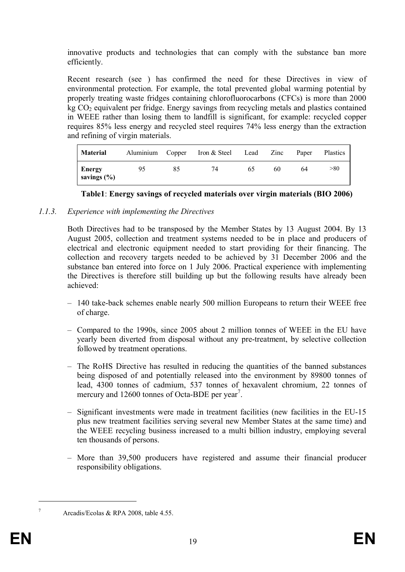innovative products and technologies that can comply with the substance ban more efficiently.

Recent research (see ) has confirmed the need for these Directives in view of environmental protection. For example, the total prevented global warming potential by properly treating waste fridges containing chlorofluorocarbons (CFCs) is more than 2000  $kg CO<sub>2</sub>$  equivalent per fridge. Energy savings from recycling metals and plastics contained in WEEE rather than losing them to landfill is significant, for example: recycled copper requires 85% less energy and recycled steel requires 74% less energy than the extraction and refining of virgin materials.

| <b>Material</b>           | Aluminium Copper |    | Iron & Steel | Lead | Zinc | Paper | <b>Plastics</b> |
|---------------------------|------------------|----|--------------|------|------|-------|-----------------|
| Energy<br>savings $(\% )$ | 95               | 85 | 74           | 65   | 60   | 64    | >80             |



#### *1.1.3. Experience with implementing the Directives*

Both Directives had to be transposed by the Member States by 13 August 2004. By 13 August 2005, collection and treatment systems needed to be in place and producers of electrical and electronic equipment needed to start providing for their financing. The collection and recovery targets needed to be achieved by 31 December 2006 and the substance ban entered into force on 1 July 2006. Practical experience with implementing the Directives is therefore still building up but the following results have already been achieved:

- 140 take-back schemes enable nearly 500 million Europeans to return their WEEE free of charge.
- Compared to the 1990s, since 2005 about 2 million tonnes of WEEE in the EU have yearly been diverted from disposal without any pre-treatment, by selective collection followed by treatment operations.
- The RoHS Directive has resulted in reducing the quantities of the banned substances being disposed of and potentially released into the environment by 89800 tonnes of lead, 4300 tonnes of cadmium, 537 tonnes of hexavalent chromium, 22 tonnes of mercury and  $12600$  tonnes of Octa-BDE per year<sup>7</sup>.
- Significant investments were made in treatment facilities (new facilities in the EU-15 plus new treatment facilities serving several new Member States at the same time) and the WEEE recycling business increased to a multi billion industry, employing several ten thousands of persons.
- More than 39,500 producers have registered and assume their financial producer responsibility obligations.

<sup>7</sup> Arcadis/Ecolas & RPA 2008, table 4.55.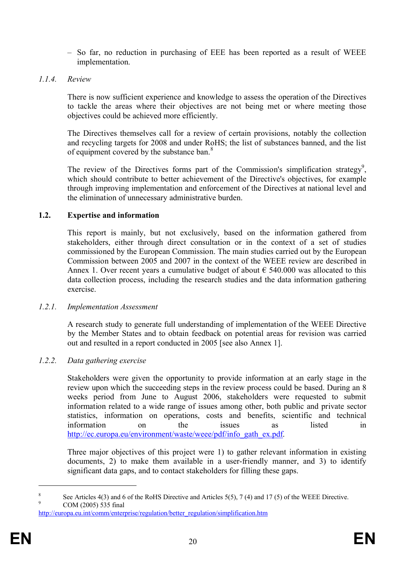- So far, no reduction in purchasing of EEE has been reported as a result of WEEE implementation.
- *1.1.4. Review*

There is now sufficient experience and knowledge to assess the operation of the Directives to tackle the areas where their objectives are not being met or where meeting those objectives could be achieved more efficiently.

The Directives themselves call for a review of certain provisions, notably the collection and recycling targets for 2008 and under RoHS; the list of substances banned, and the list of equipment covered by the substance ban.<sup>8</sup>

The review of the Directives forms part of the Commission's simplification strategy<sup>9</sup>, which should contribute to better achievement of the Directive's objectives, for example through improving implementation and enforcement of the Directives at national level and the elimination of unnecessary administrative burden.

### **1.2. Expertise and information**

This report is mainly, but not exclusively, based on the information gathered from stakeholders, either through direct consultation or in the context of a set of studies commissioned by the European Commission. The main studies carried out by the European Commission between 2005 and 2007 in the context of the WEEE review are described in Annex 1. Over recent years a cumulative budget of about  $\epsilon$  540.000 was allocated to this data collection process, including the research studies and the data information gathering exercise.

#### *1.2.1. Implementation Assessment*

A research study to generate full understanding of implementation of the WEEE Directive by the Member States and to obtain feedback on potential areas for revision was carried out and resulted in a report conducted in 2005 [see also Annex 1].

### *1.2.2. Data gathering exercise*

Stakeholders were given the opportunity to provide information at an early stage in the review upon which the succeeding steps in the review process could be based. During an 8 weeks period from June to August 2006, stakeholders were requested to submit information related to a wide range of issues among other, both public and private sector statistics, information on operations, costs and benefits, scientific and technical information on the issues as listed in http://ec.europa.eu/environment/waste/weee/pdf/info\_gath\_ex.pdf.

Three major objectives of this project were 1) to gather relevant information in existing documents, 2) to make them available in a user-friendly manner, and 3) to identify significant data gaps, and to contact stakeholders for filling these gaps.

<sup>8</sup> See Articles 4(3) and 6 of the RoHS Directive and Articles 5(5), 7 (4) and 17 (5) of the WEEE Directive. 9 COM (2005) 535 final

http://europa.eu.int/comm/enterprise/regulation/better\_regulation/simplification.htm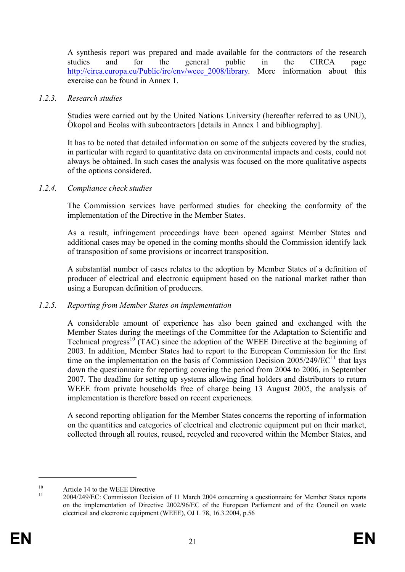A synthesis report was prepared and made available for the contractors of the research studies and for the general public in the CIRCA page http://circa.europa.eu/Public/irc/env/weee\_2008/library. More information about this exercise can be found in Annex 1.

#### *1.2.3. Research studies*

Studies were carried out by the United Nations University (hereafter referred to as UNU), Ökopol and Ecolas with subcontractors [details in Annex 1 and bibliography].

It has to be noted that detailed information on some of the subjects covered by the studies, in particular with regard to quantitative data on environmental impacts and costs, could not always be obtained. In such cases the analysis was focused on the more qualitative aspects of the options considered.

#### *1.2.4. Compliance check studies*

The Commission services have performed studies for checking the conformity of the implementation of the Directive in the Member States.

As a result, infringement proceedings have been opened against Member States and additional cases may be opened in the coming months should the Commission identify lack of transposition of some provisions or incorrect transposition.

A substantial number of cases relates to the adoption by Member States of a definition of producer of electrical and electronic equipment based on the national market rather than using a European definition of producers.

#### *1.2.5. Reporting from Member States on implementation*

A considerable amount of experience has also been gained and exchanged with the Member States during the meetings of the Committee for the Adaptation to Scientific and Technical progress<sup>10</sup> (TAC) since the adoption of the WEEE Directive at the beginning of 2003. In addition, Member States had to report to the European Commission for the first time on the implementation on the basis of Commission Decision  $2005/249/EC^{11}$  that lays down the questionnaire for reporting covering the period from 2004 to 2006, in September 2007. The deadline for setting up systems allowing final holders and distributors to return WEEE from private households free of charge being 13 August 2005, the analysis of implementation is therefore based on recent experiences.

A second reporting obligation for the Member States concerns the reporting of information on the quantities and categories of electrical and electronic equipment put on their market, collected through all routes, reused, recycled and recovered within the Member States, and

<sup>&</sup>lt;sup>10</sup> Article 14 to the WEEE Directive  $\frac{11}{2004/240 \text{F}}$ 

<sup>11</sup> 2004/249/EC: Commission Decision of 11 March 2004 concerning a questionnaire for Member States reports on the implementation of Directive 2002/96/EC of the European Parliament and of the Council on waste electrical and electronic equipment (WEEE), OJ L 78, 16.3.2004, p.56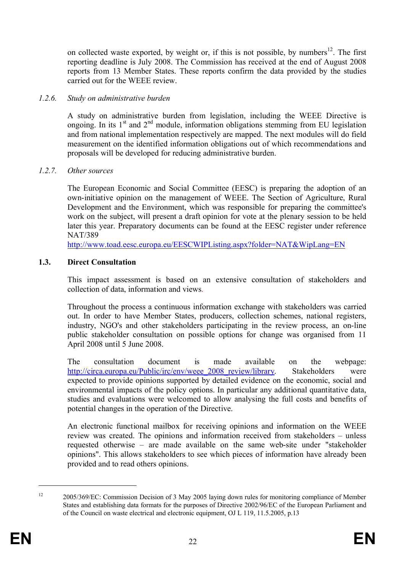on collected waste exported, by weight or, if this is not possible, by numbers<sup>12</sup>. The first reporting deadline is July 2008. The Commission has received at the end of August 2008 reports from 13 Member States. These reports confirm the data provided by the studies carried out for the WEEE review.

#### *1.2.6. Study on administrative burden*

A study on administrative burden from legislation, including the WEEE Directive is ongoing. In its  $1<sup>st</sup>$  and  $2<sup>nd</sup>$  module, information obligations stemming from EU legislation and from national implementation respectively are mapped. The next modules will do field measurement on the identified information obligations out of which recommendations and proposals will be developed for reducing administrative burden.

#### *1.2.7. Other sources*

The European Economic and Social Committee (EESC) is preparing the adoption of an own-initiative opinion on the management of WEEE. The Section of Agriculture, Rural Development and the Environment, which was responsible for preparing the committee's work on the subject, will present a draft opinion for vote at the plenary session to be held later this year. Preparatory documents can be found at the EESC register under reference NAT/389

http://www.toad.eesc.europa.eu/EESCWIPListing.aspx?folder=NAT&WipLang=EN

#### **1.3. Direct Consultation**

This impact assessment is based on an extensive consultation of stakeholders and collection of data, information and views.

Throughout the process a continuous information exchange with stakeholders was carried out. In order to have Member States, producers, collection schemes, national registers, industry, NGO's and other stakeholders participating in the review process, an on-line public stakeholder consultation on possible options for change was organised from 11 April 2008 until 5 June 2008.

The consultation document is made available on the webpage: http://circa.europa.eu/Public/irc/env/weee\_2008\_review/library. Stakeholders were expected to provide opinions supported by detailed evidence on the economic, social and environmental impacts of the policy options. In particular any additional quantitative data, studies and evaluations were welcomed to allow analysing the full costs and benefits of potential changes in the operation of the Directive.

An electronic functional mailbox for receiving opinions and information on the WEEE review was created. The opinions and information received from stakeholders – unless requested otherwise – are made available on the same web-site under "stakeholder opinions". This allows stakeholders to see which pieces of information have already been provided and to read others opinions.

<sup>&</sup>lt;sup>12</sup> 2005/369/EC: Commission Decision of 3 May 2005 laying down rules for monitoring compliance of Member States and establishing data formats for the purposes of Directive 2002/96/EC of the European Parliament and of the Council on waste electrical and electronic equipment, OJ L 119, 11.5.2005, p.13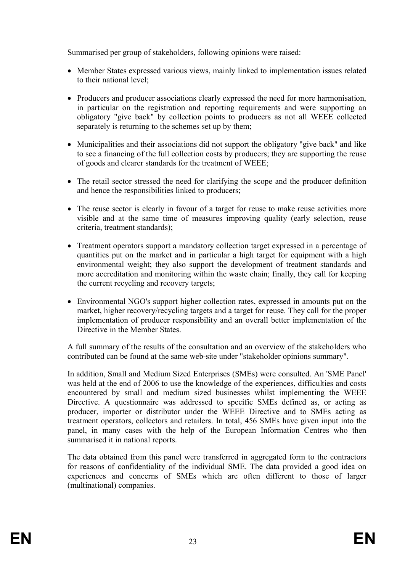Summarised per group of stakeholders, following opinions were raised:

- Member States expressed various views, mainly linked to implementation issues related to their national level;
- · Producers and producer associations clearly expressed the need for more harmonisation, in particular on the registration and reporting requirements and were supporting an obligatory "give back" by collection points to producers as not all WEEE collected separately is returning to the schemes set up by them;
- · Municipalities and their associations did not support the obligatory "give back" and like to see a financing of the full collection costs by producers; they are supporting the reuse of goods and clearer standards for the treatment of WEEE;
- The retail sector stressed the need for clarifying the scope and the producer definition and hence the responsibilities linked to producers;
- The reuse sector is clearly in favour of a target for reuse to make reuse activities more visible and at the same time of measures improving quality (early selection, reuse criteria, treatment standards);
- Treatment operators support a mandatory collection target expressed in a percentage of quantities put on the market and in particular a high target for equipment with a high environmental weight; they also support the development of treatment standards and more accreditation and monitoring within the waste chain; finally, they call for keeping the current recycling and recovery targets;
- Environmental NGO's support higher collection rates, expressed in amounts put on the market, higher recovery/recycling targets and a target for reuse. They call for the proper implementation of producer responsibility and an overall better implementation of the Directive in the Member States.

A full summary of the results of the consultation and an overview of the stakeholders who contributed can be found at the same web-site under "stakeholder opinions summary".

In addition, Small and Medium Sized Enterprises (SMEs) were consulted. An 'SME Panel' was held at the end of 2006 to use the knowledge of the experiences, difficulties and costs encountered by small and medium sized businesses whilst implementing the WEEE Directive. A questionnaire was addressed to specific SMEs defined as, or acting as producer, importer or distributor under the WEEE Directive and to SMEs acting as treatment operators, collectors and retailers. In total, 456 SMEs have given input into the panel, in many cases with the help of the European Information Centres who then summarised it in national reports.

The data obtained from this panel were transferred in aggregated form to the contractors for reasons of confidentiality of the individual SME. The data provided a good idea on experiences and concerns of SMEs which are often different to those of larger (multinational) companies.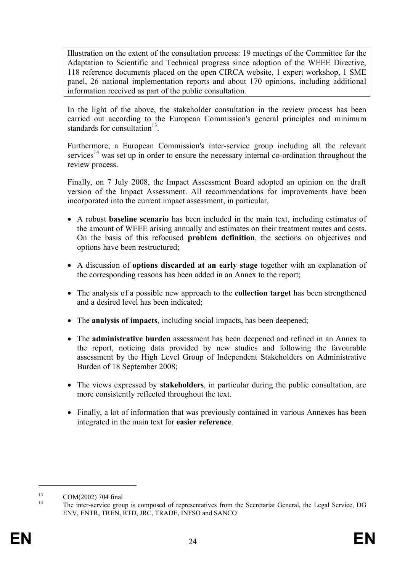Illustration on the extent of the consultation process: 19 meetings of the Committee for the Adaptation to Scientific and Technical progress since adoption of the WEEE Directive, 118 reference documents placed on the open CIRCA website, 1 expert workshop, 1 SME panel, 26 national implementation reports and about 170 opinions, including additional information received as part of the public consultation.

In the light of the above, the stakeholder consultation in the review process has been carried out according to the European Commission's general principles and minimum standards for consultation<sup>13</sup>.

Furthermore, a European Commission's inter-service group including all the relevant services<sup>14</sup> was set up in order to ensure the necessary internal co-ordination throughout the review process.

Finally, on 7 July 2008, the Impact Assessment Board adopted an opinion on the draft version of the Impact Assessment. All recommendations for improvements have been incorporated into the current impact assessment, in particular,

- · A robust **baseline scenario** has been included in the main text, including estimates of the amount of WEEE arising annually and estimates on their treatment routes and costs. On the basis of this refocused **problem definition**, the sections on objectives and options have been restructured;
- · A discussion of **options discarded at an early stage** together with an explanation of the corresponding reasons has been added in an Annex to the report;
- · The analysis of a possible new approach to the **collection target** has been strengthened and a desired level has been indicated;
- · The **analysis of impacts**, including social impacts, has been deepened;
- · The **administrative burden** assessment has been deepened and refined in an Annex to the report, noticing data provided by new studies and following the favourable assessment by the High Level Group of Independent Stakeholders on Administrative Burden of 18 September 2008;
- · The views expressed by **stakeholders**, in particular during the public consultation, are more consistently reflected throughout the text.
- Finally, a lot of information that was previously contained in various Annexes has been integrated in the main text for **easier reference**.

 $^{13}$  COM(2002) 704 final

<sup>14</sup> The inter-service group is composed of representatives from the Secretariat General, the Legal Service, DG ENV, ENTR, TREN, RTD, JRC, TRADE, INFSO and SANCO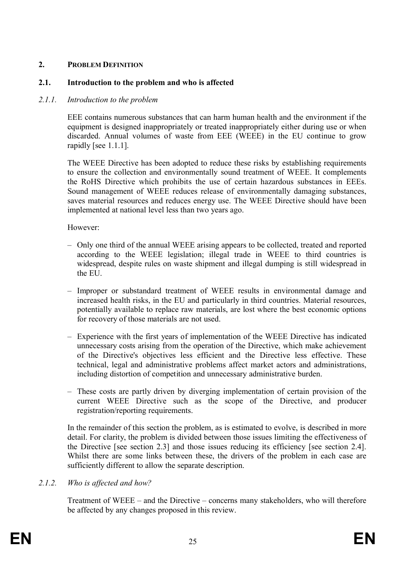### **2. PROBLEM DEFINITION**

### **2.1. Introduction to the problem and who is affected**

### *2.1.1. Introduction to the problem*

EEE contains numerous substances that can harm human health and the environment if the equipment is designed inappropriately or treated inappropriately either during use or when discarded. Annual volumes of waste from EEE (WEEE) in the EU continue to grow rapidly [see 1.1.1].

The WEEE Directive has been adopted to reduce these risks by establishing requirements to ensure the collection and environmentally sound treatment of WEEE. It complements the RoHS Directive which prohibits the use of certain hazardous substances in EEEs. Sound management of WEEE reduces release of environmentally damaging substances, saves material resources and reduces energy use. The WEEE Directive should have been implemented at national level less than two years ago.

However:

- Only one third of the annual WEEE arising appears to be collected, treated and reported according to the WEEE legislation; illegal trade in WEEE to third countries is widespread, despite rules on waste shipment and illegal dumping is still widespread in the EU.
- Improper or substandard treatment of WEEE results in environmental damage and increased health risks, in the EU and particularly in third countries. Material resources, potentially available to replace raw materials, are lost where the best economic options for recovery of those materials are not used.
- Experience with the first years of implementation of the WEEE Directive has indicated unnecessary costs arising from the operation of the Directive, which make achievement of the Directive's objectives less efficient and the Directive less effective. These technical, legal and administrative problems affect market actors and administrations, including distortion of competition and unnecessary administrative burden.
- These costs are partly driven by diverging implementation of certain provision of the current WEEE Directive such as the scope of the Directive, and producer registration/reporting requirements.

In the remainder of this section the problem, as is estimated to evolve, is described in more detail. For clarity, the problem is divided between those issues limiting the effectiveness of the Directive [see section 2.3] and those issues reducing its efficiency [see section 2.4]. Whilst there are some links between these, the drivers of the problem in each case are sufficiently different to allow the separate description.

### *2.1.2. Who is affected and how?*

Treatment of WEEE – and the Directive – concerns many stakeholders, who will therefore be affected by any changes proposed in this review.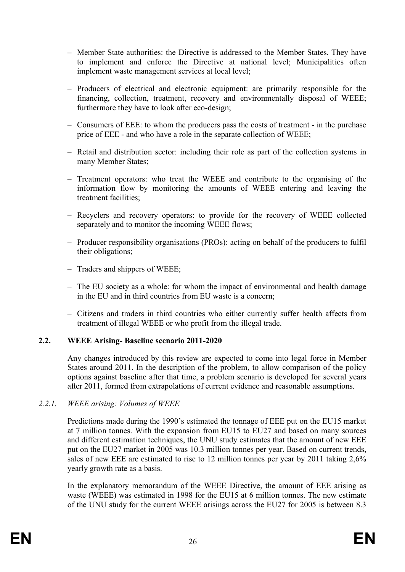- Member State authorities: the Directive is addressed to the Member States. They have to implement and enforce the Directive at national level; Municipalities often implement waste management services at local level;
- Producers of electrical and electronic equipment: are primarily responsible for the financing, collection, treatment, recovery and environmentally disposal of WEEE; furthermore they have to look after eco-design;
- Consumers of EEE: to whom the producers pass the costs of treatment in the purchase price of EEE - and who have a role in the separate collection of WEEE;
- Retail and distribution sector: including their role as part of the collection systems in many Member States;
- Treatment operators: who treat the WEEE and contribute to the organising of the information flow by monitoring the amounts of WEEE entering and leaving the treatment facilities;
- Recyclers and recovery operators: to provide for the recovery of WEEE collected separately and to monitor the incoming WEEE flows;
- Producer responsibility organisations (PROs): acting on behalf of the producers to fulfil their obligations;
- Traders and shippers of WEEE;
- The EU society as a whole: for whom the impact of environmental and health damage in the EU and in third countries from EU waste is a concern;
- Citizens and traders in third countries who either currently suffer health affects from treatment of illegal WEEE or who profit from the illegal trade.

### **2.2. WEEE Arising- Baseline scenario 2011-2020**

Any changes introduced by this review are expected to come into legal force in Member States around 2011. In the description of the problem, to allow comparison of the policy options against baseline after that time, a problem scenario is developed for several years after 2011, formed from extrapolations of current evidence and reasonable assumptions.

### *2.2.1. WEEE arising: Volumes of WEEE*

Predictions made during the 1990's estimated the tonnage of EEE put on the EU15 market at 7 million tonnes. With the expansion from EU15 to EU27 and based on many sources and different estimation techniques, the UNU study estimates that the amount of new EEE put on the EU27 market in 2005 was 10.3 million tonnes per year. Based on current trends, sales of new EEE are estimated to rise to 12 million tonnes per year by 2011 taking 2,6% yearly growth rate as a basis.

In the explanatory memorandum of the WEEE Directive, the amount of EEE arising as waste (WEEE) was estimated in 1998 for the EU15 at 6 million tonnes. The new estimate of the UNU study for the current WEEE arisings across the EU27 for 2005 is between 8.3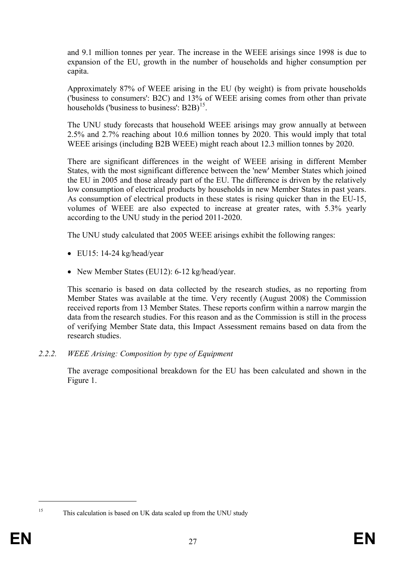and 9.1 million tonnes per year. The increase in the WEEE arisings since 1998 is due to expansion of the EU, growth in the number of households and higher consumption per capita.

Approximately 87% of WEEE arising in the EU (by weight) is from private households ('business to consumers': B2C) and 13% of WEEE arising comes from other than private households ('business to business':  $B2B$ )<sup>15</sup>.

The UNU study forecasts that household WEEE arisings may grow annually at between 2.5% and 2.7% reaching about 10.6 million tonnes by 2020. This would imply that total WEEE arisings (including B2B WEEE) might reach about 12.3 million tonnes by 2020.

There are significant differences in the weight of WEEE arising in different Member States, with the most significant difference between the 'new' Member States which joined the EU in 2005 and those already part of the EU. The difference is driven by the relatively low consumption of electrical products by households in new Member States in past years. As consumption of electrical products in these states is rising quicker than in the EU-15, volumes of WEEE are also expected to increase at greater rates, with 5.3% yearly according to the UNU study in the period 2011-2020.

The UNU study calculated that 2005 WEEE arisings exhibit the following ranges:

- $\bullet$  EU15: 14-24 kg/head/year
- New Member States (EU12): 6-12 kg/head/year.

This scenario is based on data collected by the research studies, as no reporting from Member States was available at the time. Very recently (August 2008) the Commission received reports from 13 Member States. These reports confirm within a narrow margin the data from the research studies. For this reason and as the Commission is still in the process of verifying Member State data, this Impact Assessment remains based on data from the research studies.

*2.2.2. WEEE Arising: Composition by type of Equipment* 

The average compositional breakdown for the EU has been calculated and shown in the Figure 1.

<sup>&</sup>lt;sup>15</sup> This calculation is based on UK data scaled up from the UNU study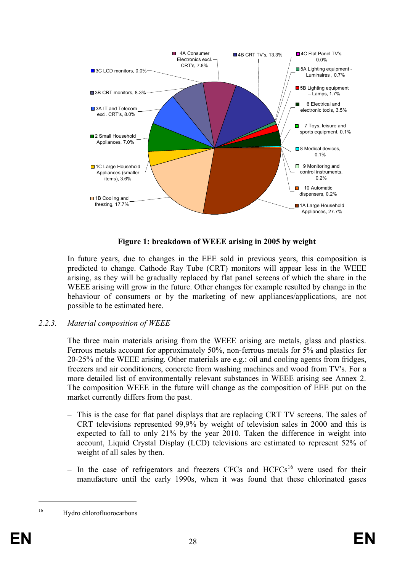

**Figure 1: breakdown of WEEE arising in 2005 by weight**

In future years, due to changes in the EEE sold in previous years, this composition is predicted to change. Cathode Ray Tube (CRT) monitors will appear less in the WEEE arising, as they will be gradually replaced by flat panel screens of which the share in the WEEE arising will grow in the future. Other changes for example resulted by change in the behaviour of consumers or by the marketing of new appliances/applications, are not possible to be estimated here.

### *2.2.3. Material composition of WEEE*

The three main materials arising from the WEEE arising are metals, glass and plastics. Ferrous metals account for approximately 50%, non-ferrous metals for 5% and plastics for 20-25% of the WEEE arising. Other materials are e.g.: oil and cooling agents from fridges, freezers and air conditioners, concrete from washing machines and wood from TV's. For a more detailed list of environmentally relevant substances in WEEE arising see Annex 2. The composition WEEE in the future will change as the composition of EEE put on the market currently differs from the past.

- This is the case for flat panel displays that are replacing CRT TV screens. The sales of CRT televisions represented 99,9% by weight of television sales in 2000 and this is expected to fall to only 21% by the year 2010. Taken the difference in weight into account, Liquid Crystal Display (LCD) televisions are estimated to represent 52% of weight of all sales by then.
- In the case of refrigerators and freezers CFCs and  $HCFCs<sup>16</sup>$  were used for their manufacture until the early 1990s, when it was found that these chlorinated gases

<sup>16</sup> Hydro chlorofluorocarbons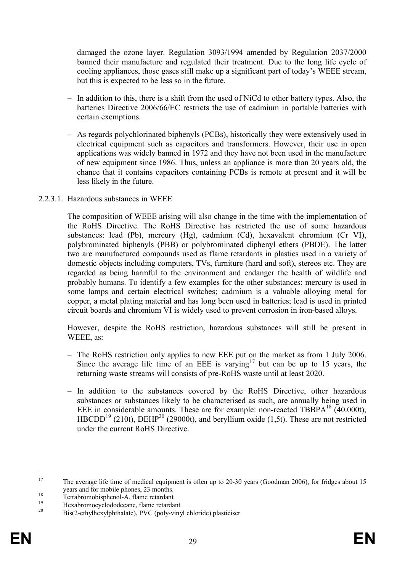damaged the ozone layer. Regulation 3093/1994 amended by Regulation 2037/2000 banned their manufacture and regulated their treatment. Due to the long life cycle of cooling appliances, those gases still make up a significant part of today's WEEE stream, but this is expected to be less so in the future.

- In addition to this, there is a shift from the used of NiCd to other battery types. Also, the batteries Directive 2006/66/EC restricts the use of cadmium in portable batteries with certain exemptions.
- As regards polychlorinated biphenyls (PCBs), historically they were extensively used in electrical equipment such as capacitors and transformers. However, their use in open applications was widely banned in 1972 and they have not been used in the manufacture of new equipment since 1986. Thus, unless an appliance is more than 20 years old, the chance that it contains capacitors containing PCBs is remote at present and it will be less likely in the future.

#### 2.2.3.1. Hazardous substances in WEEE

The composition of WEEE arising will also change in the time with the implementation of the RoHS Directive. The RoHS Directive has restricted the use of some hazardous substances: lead (Pb), mercury (Hg), cadmium (Cd), hexavalent chromium (Cr VI), polybrominated biphenyls (PBB) or polybrominated diphenyl ethers (PBDE). The latter two are manufactured compounds used as flame retardants in plastics used in a variety of domestic objects including computers, TVs, furniture (hard and soft), stereos etc. They are regarded as being harmful to the environment and endanger the health of wildlife and probably humans. To identify a few examples for the other substances: mercury is used in some lamps and certain electrical switches; cadmium is a valuable alloying metal for copper, a metal plating material and has long been used in batteries; lead is used in printed circuit boards and chromium VI is widely used to prevent corrosion in iron-based alloys.

However, despite the RoHS restriction, hazardous substances will still be present in WEEE, as:

- The RoHS restriction only applies to new EEE put on the market as from 1 July 2006. Since the average life time of an EEE is varying<sup>17</sup> but can be up to 15 years, the returning waste streams will consists of pre-RoHS waste until at least 2020.
- In addition to the substances covered by the RoHS Directive, other hazardous substances or substances likely to be characterised as such, are annually being used in EEE in considerable amounts. These are for example: non-reacted TBBPA<sup>18</sup>  $(40.000t)$ , HBCDD<sup>19</sup> (210t), DEHP<sup>20</sup> (29000t), and beryllium oxide (1,5t). These are not restricted under the current RoHS Directive.

<sup>&</sup>lt;sup>17</sup> The average life time of medical equipment is often up to 20-30 years (Goodman 2006), for fridges about 15 years and for mobile phones, 23 months.

<sup>&</sup>lt;sup>18</sup><br>Tetrabromobisphenol-A, flame retardant

<sup>&</sup>lt;sup>19</sup> Hexabromocyclododecane, flame retardant  $\frac{20}{P}$  Hexabromocyclododecane, flame retardant

Bis(2-ethylhexylphthalate), PVC (poly-vinyl chloride) plasticiser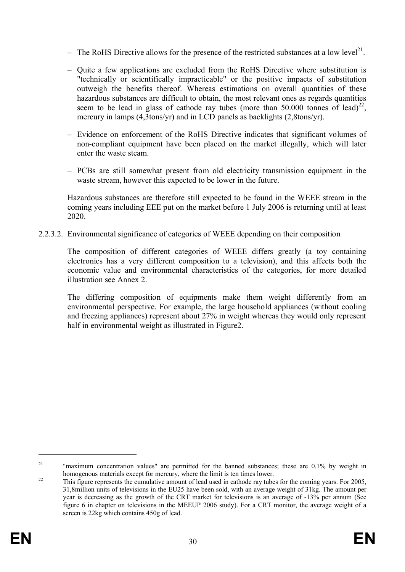- The RoHS Directive allows for the presence of the restricted substances at a low level<sup>21</sup>.
- Quite a few applications are excluded from the RoHS Directive where substitution is "technically or scientifically impracticable" or the positive impacts of substitution outweigh the benefits thereof. Whereas estimations on overall quantities of these hazardous substances are difficult to obtain, the most relevant ones as regards quantities seem to be lead in glass of cathode ray tubes (more than 50.000 tonnes of lead)<sup>22</sup>, mercury in lamps (4,3tons/yr) and in LCD panels as backlights (2,8tons/yr).
- Evidence on enforcement of the RoHS Directive indicates that significant volumes of non-compliant equipment have been placed on the market illegally, which will later enter the waste steam.
- PCBs are still somewhat present from old electricity transmission equipment in the waste stream, however this expected to be lower in the future.

Hazardous substances are therefore still expected to be found in the WEEE stream in the coming years including EEE put on the market before 1 July 2006 is returning until at least 2020.

2.2.3.2. Environmental significance of categories of WEEE depending on their composition

The composition of different categories of WEEE differs greatly (a toy containing electronics has a very different composition to a television), and this affects both the economic value and environmental characteristics of the categories, for more detailed illustration see Annex 2.

The differing composition of equipments make them weight differently from an environmental perspective. For example, the large household appliances (without cooling and freezing appliances) represent about 27% in weight whereas they would only represent half in environmental weight as illustrated in Figure2.

<sup>&</sup>lt;sup>21</sup> "maximum concentration values" are permitted for the banned substances; these are 0.1% by weight in homogenous materials except for mercury, where the limit is ten times lower.

<sup>&</sup>lt;sup>22</sup> This figure represents the cumulative amount of lead used in cathode ray tubes for the coming years. For 2005, 31,8million units of televisions in the EU25 have been sold, with an average weight of 31kg. The amount per year is decreasing as the growth of the CRT market for televisions is an average of -13% per annum (See figure 6 in chapter on televisions in the MEEUP 2006 study). For a CRT monitor, the average weight of a screen is 22kg which contains 450g of lead.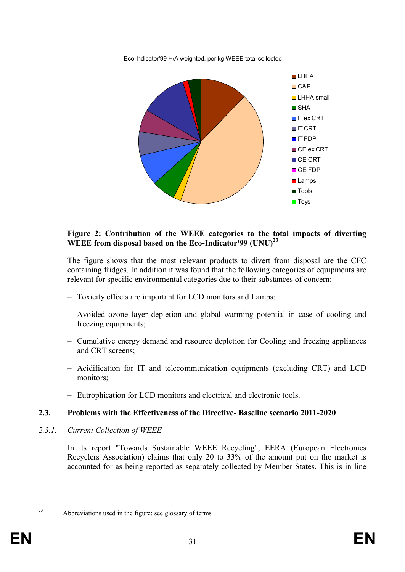

Eco-Indicator'99 H/A weighted, per kg WEEE total collected

#### **Figure 2: Contribution of the WEEE categories to the total impacts of diverting WEEE from disposal based on the Eco-Indicator'99 (UNU)<sup>23</sup>**

The figure shows that the most relevant products to divert from disposal are the CFC containing fridges. In addition it was found that the following categories of equipments are relevant for specific environmental categories due to their substances of concern:

- Toxicity effects are important for LCD monitors and Lamps;
- Avoided ozone layer depletion and global warming potential in case of cooling and freezing equipments;
- Cumulative energy demand and resource depletion for Cooling and freezing appliances and CRT screens;
- Acidification for IT and telecommunication equipments (excluding CRT) and LCD monitors;
- Eutrophication for LCD monitors and electrical and electronic tools.

### **2.3. Problems with the Effectiveness of the Directive- Baseline scenario 2011-2020**

*2.3.1. Current Collection of WEEE* 

In its report "Towards Sustainable WEEE Recycling", EERA (European Electronics Recyclers Association) claims that only 20 to 33% of the amount put on the market is accounted for as being reported as separately collected by Member States. This is in line

<sup>23</sup> Abbreviations used in the figure: see glossary of terms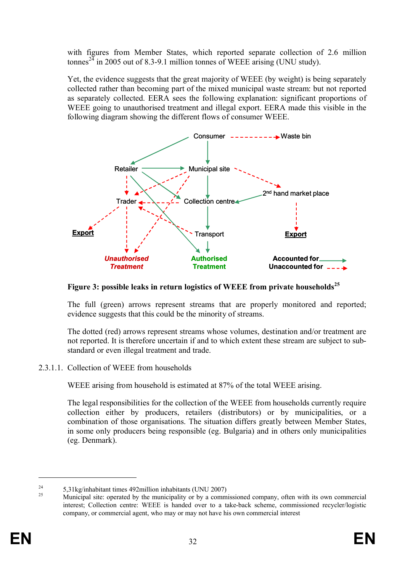with figures from Member States, which reported separate collection of 2.6 million tonnes<sup>24</sup> in 2005 out of 8.3-9.1 million tonnes of WEEE arising (UNU study).

Yet, the evidence suggests that the great majority of WEEE (by weight) is being separately collected rather than becoming part of the mixed municipal waste stream: but not reported as separately collected. EERA sees the following explanation: significant proportions of WEEE going to unauthorised treatment and illegal export. EERA made this visible in the following diagram showing the different flows of consumer WEEE.



**Figure 3: possible leaks in return logistics of WEEE from private households<sup>25</sup>**

The full (green) arrows represent streams that are properly monitored and reported; evidence suggests that this could be the minority of streams.

The dotted (red) arrows represent streams whose volumes, destination and/or treatment are not reported. It is therefore uncertain if and to which extent these stream are subject to substandard or even illegal treatment and trade.

2.3.1.1. Collection of WEEE from households

WEEE arising from household is estimated at 87% of the total WEEE arising.

The legal responsibilities for the collection of the WEEE from households currently require collection either by producers, retailers (distributors) or by municipalities, or a combination of those organisations. The situation differs greatly between Member States, in some only producers being responsible (eg. Bulgaria) and in others only municipalities (eg. Denmark).

 $^{24}$  5,31kg/inhabitant times 492million inhabitants (UNU 2007)

<sup>25</sup> Municipal site: operated by the municipality or by a commissioned company, often with its own commercial interest; Collection centre: WEEE is handed over to a take-back scheme, commissioned recycler/logistic company, or commercial agent, who may or may not have his own commercial interest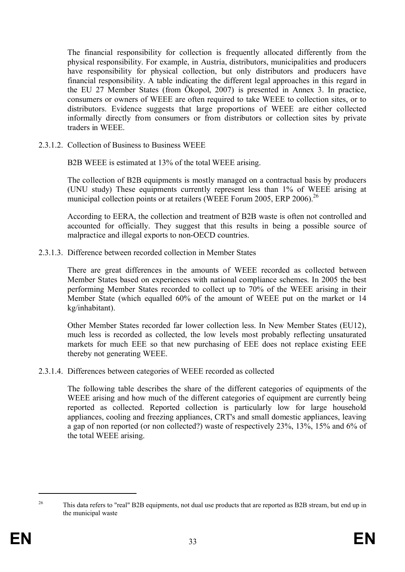The financial responsibility for collection is frequently allocated differently from the physical responsibility. For example, in Austria, distributors, municipalities and producers have responsibility for physical collection, but only distributors and producers have financial responsibility. A table indicating the different legal approaches in this regard in the EU 27 Member States (from Ökopol, 2007) is presented in Annex 3. In practice, consumers or owners of WEEE are often required to take WEEE to collection sites, or to distributors. Evidence suggests that large proportions of WEEE are either collected informally directly from consumers or from distributors or collection sites by private traders in WEEE.

2.3.1.2. Collection of Business to Business WEEE

B2B WEEE is estimated at 13% of the total WEEE arising.

The collection of B2B equipments is mostly managed on a contractual basis by producers (UNU study) These equipments currently represent less than 1% of WEEE arising at municipal collection points or at retailers (WEEE Forum 2005, ERP 2006).<sup>26</sup>

According to EERA, the collection and treatment of B2B waste is often not controlled and accounted for officially. They suggest that this results in being a possible source of malpractice and illegal exports to non-OECD countries.

2.3.1.3. Difference between recorded collection in Member States

There are great differences in the amounts of WEEE recorded as collected between Member States based on experiences with national compliance schemes. In 2005 the best performing Member States recorded to collect up to 70% of the WEEE arising in their Member State (which equalled 60% of the amount of WEEE put on the market or 14 kg/inhabitant).

Other Member States recorded far lower collection less. In New Member States (EU12), much less is recorded as collected, the low levels most probably reflecting unsaturated markets for much EEE so that new purchasing of EEE does not replace existing EEE thereby not generating WEEE.

2.3.1.4. Differences between categories of WEEE recorded as collected

The following table describes the share of the different categories of equipments of the WEEE arising and how much of the different categories of equipment are currently being reported as collected. Reported collection is particularly low for large household appliances, cooling and freezing appliances, CRT's and small domestic appliances, leaving a gap of non reported (or non collected?) waste of respectively 23%, 13%, 15% and 6% of the total WEEE arising.

<sup>&</sup>lt;sup>26</sup> This data refers to "real" B2B equipments, not dual use products that are reported as B2B stream, but end up in the municipal waste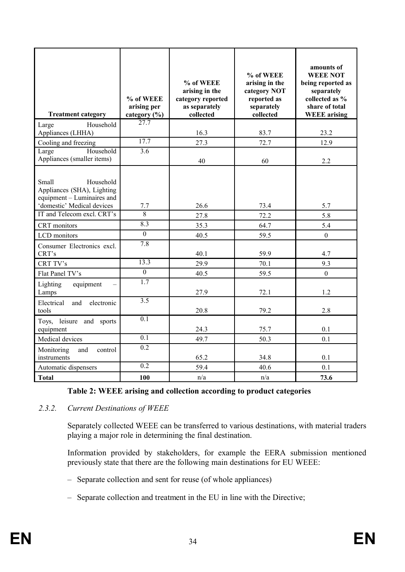| <b>Treatment category</b>                                                                                                                  | % of WEEE<br>arising per<br>category (%) | % of WEEE<br>arising in the<br>category reported<br>as separately<br>collected | % of WEEE<br>arising in the<br>category NOT<br>reported as<br>separately<br>collected | amounts of<br><b>WEEE NOT</b><br>being reported as<br>separately<br>collected as %<br>share of total<br><b>WEEE</b> arising |
|--------------------------------------------------------------------------------------------------------------------------------------------|------------------------------------------|--------------------------------------------------------------------------------|---------------------------------------------------------------------------------------|-----------------------------------------------------------------------------------------------------------------------------|
| Household<br>Large<br>Appliances (LHHA)                                                                                                    | $\overline{27.7}$                        | 16.3                                                                           | 83.7                                                                                  | 23.2                                                                                                                        |
| Cooling and freezing                                                                                                                       | 17.7                                     | 27.3                                                                           | 72.7                                                                                  | 12.9                                                                                                                        |
| Large<br>Household<br>Appliances (smaller items)                                                                                           | $\overline{3.6}$                         | 40                                                                             | 60                                                                                    | 2.2                                                                                                                         |
| Small<br>Household<br>Appliances (SHA), Lighting<br>equipment - Luminaires and<br>'domestic' Medical devices<br>IT and Telecom excl. CRT's | 7.7<br>$\overline{8}$                    | 26.6<br>27.8                                                                   | 73.4<br>72.2                                                                          | 5.7<br>5.8                                                                                                                  |
| CRT monitors                                                                                                                               | 8.3                                      | 35.3                                                                           | 64.7                                                                                  | 5.4                                                                                                                         |
| LCD monitors                                                                                                                               | $\overline{0}$                           | 40.5                                                                           | 59.5                                                                                  | $\overline{0}$                                                                                                              |
| Consumer Electronics excl.<br>CRT's                                                                                                        | 7.8                                      | 40.1                                                                           | 59.9                                                                                  | 4.7                                                                                                                         |
| CRT TV's                                                                                                                                   | 13.3                                     | 29.9                                                                           | 70.1                                                                                  | 9.3                                                                                                                         |
| Flat Panel TV's                                                                                                                            | $\boldsymbol{0}$                         | 40.5                                                                           | 59.5                                                                                  | $\overline{0}$                                                                                                              |
| Lighting<br>equipment<br>Lamps                                                                                                             | 1.7                                      | 27.9                                                                           | 72.1                                                                                  | 1.2                                                                                                                         |
| Electrical<br>and<br>electronic<br>tools                                                                                                   | 3.5                                      | 20.8                                                                           | 79.2                                                                                  | 2.8                                                                                                                         |
| Toys, leisure and sports<br>equipment                                                                                                      | 0.1                                      | 24.3                                                                           | 75.7                                                                                  | 0.1                                                                                                                         |
| Medical devices                                                                                                                            | $\overline{0.1}$                         | 49.7                                                                           | 50.3                                                                                  | 0.1                                                                                                                         |
| Monitoring<br>and<br>control<br>instruments                                                                                                | 0.2                                      | 65.2                                                                           | 34.8                                                                                  | 0.1                                                                                                                         |
| Automatic dispensers                                                                                                                       | 0.2                                      | 59.4                                                                           | 40.6                                                                                  | 0.1                                                                                                                         |
| <b>Total</b>                                                                                                                               | 100                                      | n/a                                                                            | n/a                                                                                   | 73.6                                                                                                                        |

### **Table 2: WEEE arising and collection according to product categories**

### *2.3.2. Current Destinations of WEEE*

Separately collected WEEE can be transferred to various destinations, with material traders playing a major role in determining the final destination.

Information provided by stakeholders, for example the EERA submission mentioned previously state that there are the following main destinations for EU WEEE:

- Separate collection and sent for reuse (of whole appliances)
- Separate collection and treatment in the EU in line with the Directive;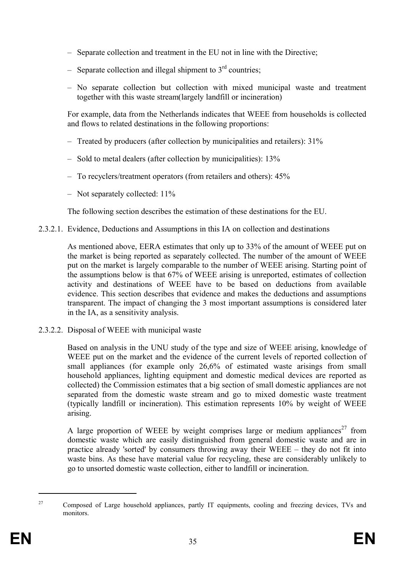- Separate collection and treatment in the EU not in line with the Directive;
- Separate collection and illegal shipment to  $3<sup>rd</sup>$  countries;
- No separate collection but collection with mixed municipal waste and treatment together with this waste stream(largely landfill or incineration)

For example, data from the Netherlands indicates that WEEE from households is collected and flows to related destinations in the following proportions:

- Treated by producers (after collection by municipalities and retailers): 31%
- Sold to metal dealers (after collection by municipalities): 13%
- To recyclers/treatment operators (from retailers and others): 45%
- Not separately collected: 11%

The following section describes the estimation of these destinations for the EU.

2.3.2.1. Evidence, Deductions and Assumptions in this IA on collection and destinations

As mentioned above, EERA estimates that only up to 33% of the amount of WEEE put on the market is being reported as separately collected. The number of the amount of WEEE put on the market is largely comparable to the number of WEEE arising. Starting point of the assumptions below is that 67% of WEEE arising is unreported, estimates of collection activity and destinations of WEEE have to be based on deductions from available evidence. This section describes that evidence and makes the deductions and assumptions transparent. The impact of changing the 3 most important assumptions is considered later in the IA, as a sensitivity analysis.

2.3.2.2. Disposal of WEEE with municipal waste

Based on analysis in the UNU study of the type and size of WEEE arising, knowledge of WEEE put on the market and the evidence of the current levels of reported collection of small appliances (for example only 26,6% of estimated waste arisings from small household appliances, lighting equipment and domestic medical devices are reported as collected) the Commission estimates that a big section of small domestic appliances are not separated from the domestic waste stream and go to mixed domestic waste treatment (typically landfill or incineration). This estimation represents 10% by weight of WEEE arising.

A large proportion of WEEE by weight comprises large or medium appliances<sup>27</sup> from domestic waste which are easily distinguished from general domestic waste and are in practice already 'sorted' by consumers throwing away their WEEE – they do not fit into waste bins. As these have material value for recycling, these are considerably unlikely to go to unsorted domestic waste collection, either to landfill or incineration.

<sup>&</sup>lt;sup>27</sup> Composed of Large household appliances, partly IT equipments, cooling and freezing devices, TVs and monitors.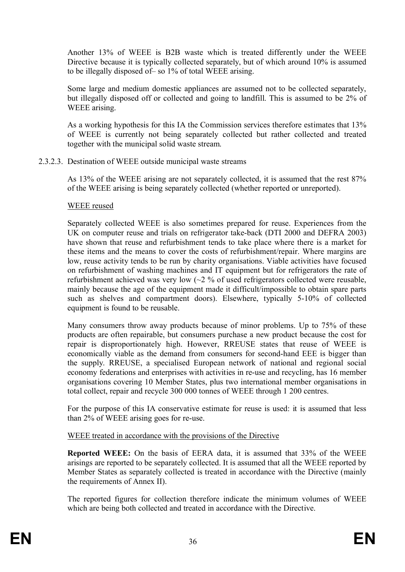Another 13% of WEEE is B2B waste which is treated differently under the WEEE Directive because it is typically collected separately, but of which around 10% is assumed to be illegally disposed of– so 1% of total WEEE arising.

Some large and medium domestic appliances are assumed not to be collected separately, but illegally disposed off or collected and going to landfill. This is assumed to be 2% of WEEE arising.

As a working hypothesis for this IA the Commission services therefore estimates that 13% of WEEE is currently not being separately collected but rather collected and treated together with the municipal solid waste stream.

# 2.3.2.3. Destination of WEEE outside municipal waste streams

As 13% of the WEEE arising are not separately collected, it is assumed that the rest 87% of the WEEE arising is being separately collected (whether reported or unreported).

#### WEEE reused

Separately collected WEEE is also sometimes prepared for reuse. Experiences from the UK on computer reuse and trials on refrigerator take-back (DTI 2000 and DEFRA 2003) have shown that reuse and refurbishment tends to take place where there is a market for these items and the means to cover the costs of refurbishment/repair. Where margins are low, reuse activity tends to be run by charity organisations. Viable activities have focused on refurbishment of washing machines and IT equipment but for refrigerators the rate of refurbishment achieved was very low  $\sim$  2 % of used refrigerators collected were reusable, mainly because the age of the equipment made it difficult/impossible to obtain spare parts such as shelves and compartment doors). Elsewhere, typically 5-10% of collected equipment is found to be reusable.

Many consumers throw away products because of minor problems. Up to 75% of these products are often repairable, but consumers purchase a new product because the cost for repair is disproportionately high. However, RREUSE states that reuse of WEEE is economically viable as the demand from consumers for second-hand EEE is bigger than the supply. RREUSE, a specialised European network of national and regional social economy federations and enterprises with activities in re-use and recycling, has 16 member organisations covering 10 Member States, plus two international member organisations in total collect, repair and recycle 300 000 tonnes of WEEE through 1 200 centres.

For the purpose of this IA conservative estimate for reuse is used: it is assumed that less than 2% of WEEE arising goes for re-use.

#### WEEE treated in accordance with the provisions of the Directive

**Reported WEEE:** On the basis of EERA data, it is assumed that 33% of the WEEE arisings are reported to be separately collected. It is assumed that all the WEEE reported by Member States as separately collected is treated in accordance with the Directive (mainly the requirements of Annex II).

The reported figures for collection therefore indicate the minimum volumes of WEEE which are being both collected and treated in accordance with the Directive.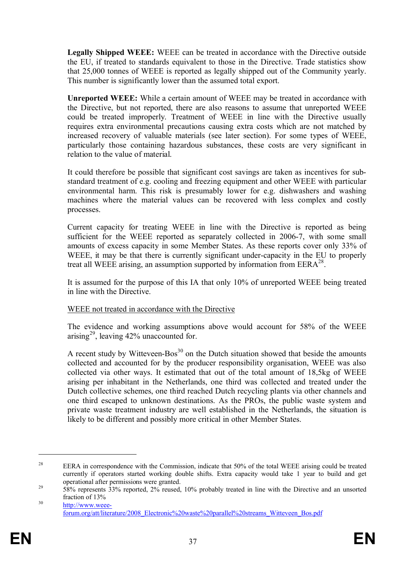**Legally Shipped WEEE:** WEEE can be treated in accordance with the Directive outside the EU, if treated to standards equivalent to those in the Directive. Trade statistics show that 25,000 tonnes of WEEE is reported as legally shipped out of the Community yearly. This number is significantly lower than the assumed total export.

**Unreported WEEE:** While a certain amount of WEEE may be treated in accordance with the Directive, but not reported, there are also reasons to assume that unreported WEEE could be treated improperly. Treatment of WEEE in line with the Directive usually requires extra environmental precautions causing extra costs which are not matched by increased recovery of valuable materials (see later section). For some types of WEEE, particularly those containing hazardous substances, these costs are very significant in relation to the value of material.

It could therefore be possible that significant cost savings are taken as incentives for substandard treatment of e.g. cooling and freezing equipment and other WEEE with particular environmental harm. This risk is presumably lower for e.g. dishwashers and washing machines where the material values can be recovered with less complex and costly processes.

Current capacity for treating WEEE in line with the Directive is reported as being sufficient for the WEEE reported as separately collected in 2006-7, with some small amounts of excess capacity in some Member States. As these reports cover only 33% of WEEE, it may be that there is currently significant under-capacity in the EU to properly treat all WEEE arising, an assumption supported by information from  $EERA^{28}$ .

It is assumed for the purpose of this IA that only 10% of unreported WEEE being treated in line with the Directive.

#### WEEE not treated in accordance with the Directive

The evidence and working assumptions above would account for 58% of the WEEE arising<sup>29</sup>, leaving  $42\%$  unaccounted for.

A recent study by Witteveen-Bos<sup>30</sup> on the Dutch situation showed that beside the amounts collected and accounted for by the producer responsibility organisation, WEEE was also collected via other ways. It estimated that out of the total amount of 18,5kg of WEEE arising per inhabitant in the Netherlands, one third was collected and treated under the Dutch collective schemes, one third reached Dutch recycling plants via other channels and one third escaped to unknown destinations. As the PROs, the public waste system and private waste treatment industry are well established in the Netherlands, the situation is likely to be different and possibly more critical in other Member States.

<sup>&</sup>lt;sup>28</sup> EERA in correspondence with the Commission, indicate that 50% of the total WEEE arising could be treated currently if operators started working double shifts. Extra capacity would take 1 year to build and get operational after permissions were granted.

 $29$  58% represents 33% reported, 2% reused, 10% probably treated in line with the Directive and an unsorted fraction of 13%

<sup>30</sup> http://www.weeeforum.org/att/literature/2008\_Electronic%20waste%20parallel%20streams\_Witteveen\_Bos.pdf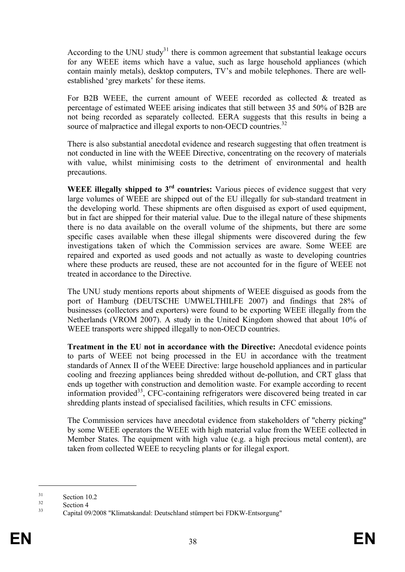According to the UNU study<sup>31</sup> there is common agreement that substantial leakage occurs for any WEEE items which have a value, such as large household appliances (which contain mainly metals), desktop computers, TV's and mobile telephones. There are wellestablished 'grey markets' for these items.

For B2B WEEE, the current amount of WEEE recorded as collected & treated as percentage of estimated WEEE arising indicates that still between 35 and 50% of B2B are not being recorded as separately collected. EERA suggests that this results in being a source of malpractice and illegal exports to non-OECD countries.<sup>32</sup>

There is also substantial anecdotal evidence and research suggesting that often treatment is not conducted in line with the WEEE Directive, concentrating on the recovery of materials with value, whilst minimising costs to the detriment of environmental and health precautions.

**WEEE illegally shipped to 3rd countries:** Various pieces of evidence suggest that very large volumes of WEEE are shipped out of the EU illegally for sub-standard treatment in the developing world. These shipments are often disguised as export of used equipment, but in fact are shipped for their material value. Due to the illegal nature of these shipments there is no data available on the overall volume of the shipments, but there are some specific cases available when these illegal shipments were discovered during the few investigations taken of which the Commission services are aware. Some WEEE are repaired and exported as used goods and not actually as waste to developing countries where these products are reused, these are not accounted for in the figure of WEEE not treated in accordance to the Directive.

The UNU study mentions reports about shipments of WEEE disguised as goods from the port of Hamburg (DEUTSCHE UMWELTHILFE 2007) and findings that 28% of businesses (collectors and exporters) were found to be exporting WEEE illegally from the Netherlands (VROM 2007). A study in the United Kingdom showed that about 10% of WEEE transports were shipped illegally to non-OECD countries.

**Treatment in the EU not in accordance with the Directive:** Anecdotal evidence points to parts of WEEE not being processed in the EU in accordance with the treatment standards of Annex II of the WEEE Directive: large household appliances and in particular cooling and freezing appliances being shredded without de-pollution, and CRT glass that ends up together with construction and demolition waste. For example according to recent information provided<sup>33</sup>, CFC-containing refrigerators were discovered being treated in car shredding plants instead of specialised facilities, which results in CFC emissions.

The Commission services have anecdotal evidence from stakeholders of "cherry picking" by some WEEE operators the WEEE with high material value from the WEEE collected in Member States. The equipment with high value (e.g. a high precious metal content), are taken from collected WEEE to recycling plants or for illegal export.

 $\frac{31}{32}$  Section 10.2

 $\frac{32}{33}$  Section 4

<sup>33</sup> Capital 09/2008 "Klimatskandal: Deutschland stümpert bei FDKW-Entsorgung"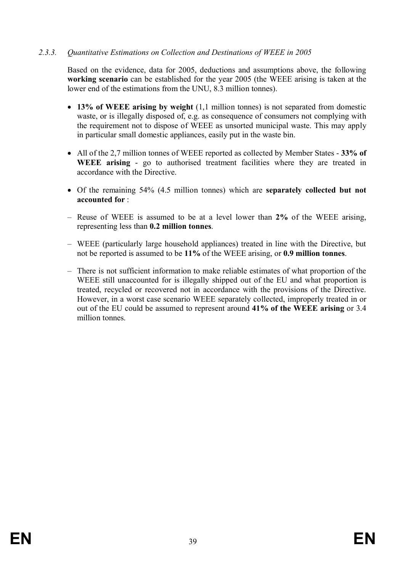# *2.3.3. Quantitative Estimations on Collection and Destinations of WEEE in 2005*

Based on the evidence, data for 2005, deductions and assumptions above, the following **working scenario** can be established for the year 2005 (the WEEE arising is taken at the lower end of the estimations from the UNU, 8.3 million tonnes).

- · **13% of WEEE arising by weight** (1,1 million tonnes) is not separated from domestic waste, or is illegally disposed of, e.g. as consequence of consumers not complying with the requirement not to dispose of WEEE as unsorted municipal waste. This may apply in particular small domestic appliances, easily put in the waste bin.
- · All of the 2,7 million tonnes of WEEE reported as collected by Member States **33% of WEEE arising** - go to authorised treatment facilities where they are treated in accordance with the Directive.
- · Of the remaining 54% (4.5 million tonnes) which are **separately collected but not accounted for** :
- Reuse of WEEE is assumed to be at a level lower than **2%** of the WEEE arising, representing less than **0.2 million tonnes**.
- WEEE (particularly large household appliances) treated in line with the Directive, but not be reported is assumed to be **11%** of the WEEE arising, or **0.9 million tonnes**.
- There is not sufficient information to make reliable estimates of what proportion of the WEEE still unaccounted for is illegally shipped out of the EU and what proportion is treated, recycled or recovered not in accordance with the provisions of the Directive. However, in a worst case scenario WEEE separately collected, improperly treated in or out of the EU could be assumed to represent around **41% of the WEEE arising** or 3.4 million tonnes.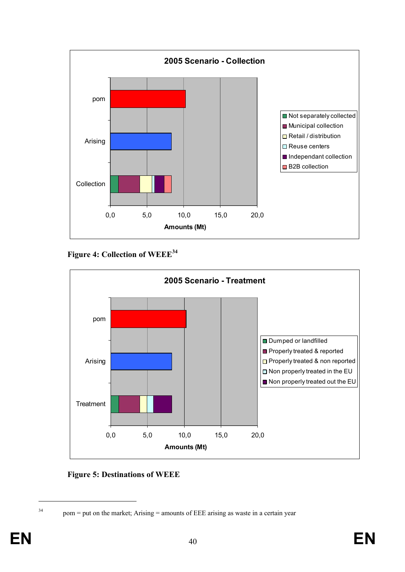

**Figure 4: Collection of WEEE<sup>34</sup>**



**Figure 5: Destinations of WEEE**

<sup>&</sup>lt;sup>34</sup> pom = put on the market; Arising = amounts of EEE arising as waste in a certain year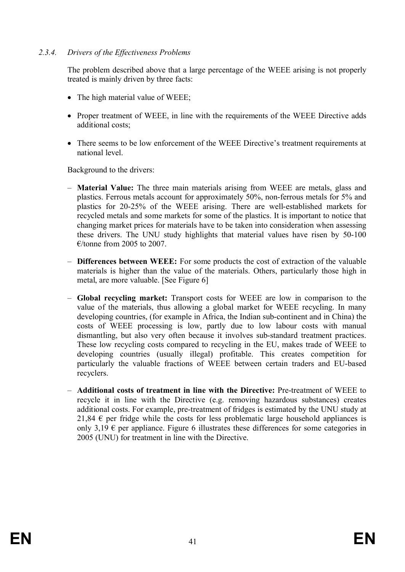## *2.3.4. Drivers of the Effectiveness Problems*

The problem described above that a large percentage of the WEEE arising is not properly treated is mainly driven by three facts:

- The high material value of WEEE;
- Proper treatment of WEEE, in line with the requirements of the WEEE Directive adds additional costs;
- There seems to be low enforcement of the WEEE Directive's treatment requirements at national level.

Background to the drivers:

- **Material Value:** The three main materials arising from WEEE are metals, glass and plastics. Ferrous metals account for approximately 50%, non-ferrous metals for 5% and plastics for 20-25% of the WEEE arising. There are well-established markets for recycled metals and some markets for some of the plastics. It is important to notice that changing market prices for materials have to be taken into consideration when assessing these drivers. The UNU study highlights that material values have risen by 50-100 €/tonne from 2005 to 2007.
- **Differences between WEEE:** For some products the cost of extraction of the valuable materials is higher than the value of the materials. Others, particularly those high in metal, are more valuable. [See Figure 6]
- **Global recycling market:** Transport costs for WEEE are low in comparison to the value of the materials, thus allowing a global market for WEEE recycling. In many developing countries, (for example in Africa, the Indian sub-continent and in China) the costs of WEEE processing is low, partly due to low labour costs with manual dismantling, but also very often because it involves sub-standard treatment practices. These low recycling costs compared to recycling in the EU, makes trade of WEEE to developing countries (usually illegal) profitable. This creates competition for particularly the valuable fractions of WEEE between certain traders and EU-based recyclers.
- **Additional costs of treatment in line with the Directive:** Pre-treatment of WEEE to recycle it in line with the Directive (e.g. removing hazardous substances) creates additional costs. For example, pre-treatment of fridges is estimated by the UNU study at 21,84  $\epsilon$  per fridge while the costs for less problematic large household appliances is only 3,19  $\epsilon$  per appliance. Figure 6 illustrates these differences for some categories in 2005 (UNU) for treatment in line with the Directive.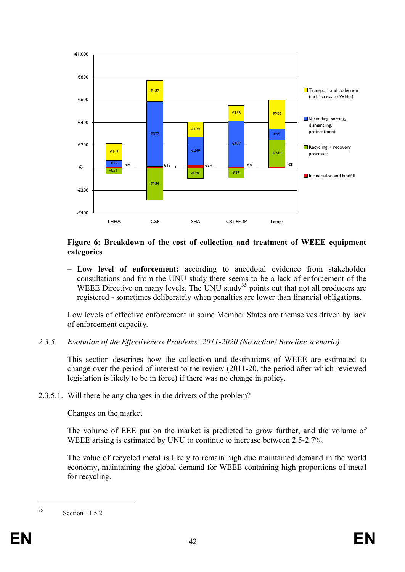

#### **Figure 6: Breakdown of the cost of collection and treatment of WEEE equipment categories**

– **Low level of enforcement:** according to anecdotal evidence from stakeholder consultations and from the UNU study there seems to be a lack of enforcement of the WEEE Directive on many levels. The UNU study<sup>35</sup> points out that not all producers are registered - sometimes deliberately when penalties are lower than financial obligations.

Low levels of effective enforcement in some Member States are themselves driven by lack of enforcement capacity.

*2.3.5. Evolution of the Effectiveness Problems: 2011-2020 (No action/ Baseline scenario)*

This section describes how the collection and destinations of WEEE are estimated to change over the period of interest to the review (2011-20, the period after which reviewed legislation is likely to be in force) if there was no change in policy.

2.3.5.1. Will there be any changes in the drivers of the problem?

#### Changes on the market

The volume of EEE put on the market is predicted to grow further, and the volume of WEEE arising is estimated by UNU to continue to increase between 2.5-2.7%.

The value of recycled metal is likely to remain high due maintained demand in the world economy, maintaining the global demand for WEEE containing high proportions of metal for recycling.

<sup>35</sup> Section 11.5.2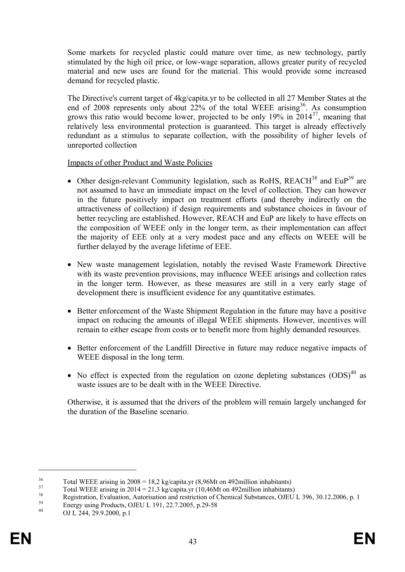Some markets for recycled plastic could mature over time, as new technology, partly stimulated by the high oil price, or low-wage separation, allows greater purity of recycled material and new uses are found for the material. This would provide some increased demand for recycled plastic.

The Directive's current target of 4kg/capita.yr to be collected in all 27 Member States at the end of 2008 represents only about  $22\%$  of the total WEEE arising<sup>36</sup>. As consumption grows this ratio would become lower, projected to be only  $19\%$  in  $2014^{37}$ , meaning that relatively less environmental protection is guaranteed. This target is already effectively redundant as a stimulus to separate collection, with the possibility of higher levels of unreported collection

Impacts of other Product and Waste Policies

- Other design-relevant Community legislation, such as RoHS,  $REACH^{38}$  and  $EuP^{39}$  are not assumed to have an immediate impact on the level of collection. They can however in the future positively impact on treatment efforts (and thereby indirectly on the attractiveness of collection) if design requirements and substance choices in favour of better recycling are established. However, REACH and EuP are likely to have effects on the composition of WEEE only in the longer term, as their implementation can affect the majority of EEE only at a very modest pace and any effects on WEEE will be further delayed by the average lifetime of EEE.
- · New waste management legislation, notably the revised Waste Framework Directive with its waste prevention provisions, may influence WEEE arisings and collection rates in the longer term. However, as these measures are still in a very early stage of development there is insufficient evidence for any quantitative estimates.
- Better enforcement of the Waste Shipment Regulation in the future may have a positive impact on reducing the amounts of illegal WEEE shipments. However, incentives will remain to either escape from costs or to benefit more from highly demanded resources.
- Better enforcement of the Landfill Directive in future may reduce negative impacts of WEEE disposal in the long term.
- No effect is expected from the regulation on ozone depleting substances  $(ODS)^{40}$  as waste issues are to be dealt with in the WEEE Directive.

Otherwise, it is assumed that the drivers of the problem will remain largely unchanged for the duration of the Baseline scenario.

 $36$  Total WEEE arising in 2008 = 18,2 kg/capita.yr (8,96Mt on 492million inhabitants)

 $37$  Total WEEE arising in 2014 = 21,3 kg/capita.yr (10,46Mt on 492million inhabitants)

<sup>&</sup>lt;sup>38</sup><br>Registration, Evaluation, Autorisation and restriction of Chemical Substances, OJEU L 396, 30.12.2006, p. 1

 $\frac{39}{40}$  Energy using Products, OJEU L 191, 22.7.2005, p.29-58

OJ L 244, 29.9.2000, p.1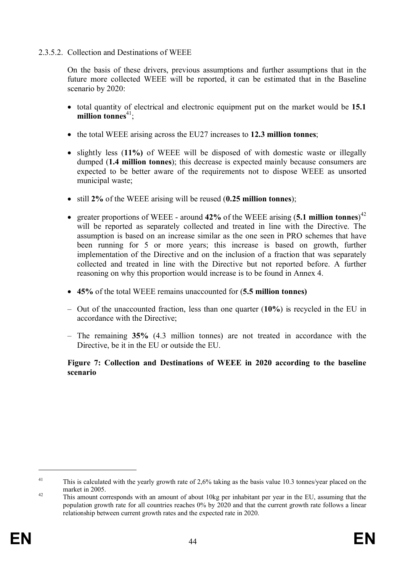## 2.3.5.2. Collection and Destinations of WEEE

On the basis of these drivers, previous assumptions and further assumptions that in the future more collected WEEE will be reported, it can be estimated that in the Baseline scenario by 2020:

- · total quantity of electrical and electronic equipment put on the market would be **15.1** million tonnes<sup>41</sup>:
- · the total WEEE arising across the EU27 increases to **12.3 million tonnes**;
- · slightly less (**11%)** of WEEE will be disposed of with domestic waste or illegally dumped (**1.4 million tonnes**); this decrease is expected mainly because consumers are expected to be better aware of the requirements not to dispose WEEE as unsorted municipal waste;
- · still **2%** of the WEEE arising will be reused (**0.25 million tonnes**);
- · greater proportions of WEEE around **42%** of the WEEE arising (**5.1 million tonnes**) 42 will be reported as separately collected and treated in line with the Directive. The assumption is based on an increase similar as the one seen in PRO schemes that have been running for 5 or more years; this increase is based on growth, further implementation of the Directive and on the inclusion of a fraction that was separately collected and treated in line with the Directive but not reported before. A further reasoning on why this proportion would increase is to be found in Annex 4.
- · **45%** of the total WEEE remains unaccounted for (**5.5 million tonnes)**
- Out of the unaccounted fraction, less than one quarter (**10%**) is recycled in the EU in accordance with the Directive;
- The remaining **35%** (4.3 million tonnes) are not treated in accordance with the Directive, be it in the EU or outside the EU.

# **Figure 7: Collection and Destinations of WEEE in 2020 according to the baseline scenario**

<sup>&</sup>lt;sup>41</sup> This is calculated with the yearly growth rate of 2,6% taking as the basis value 10.3 tonnes/year placed on the market in 2005.

<sup>&</sup>lt;sup>42</sup> This amount corresponds with an amount of about 10kg per inhabitant per year in the EU, assuming that the population growth rate for all countries reaches 0% by 2020 and that the current growth rate follows a linear relationship between current growth rates and the expected rate in 2020.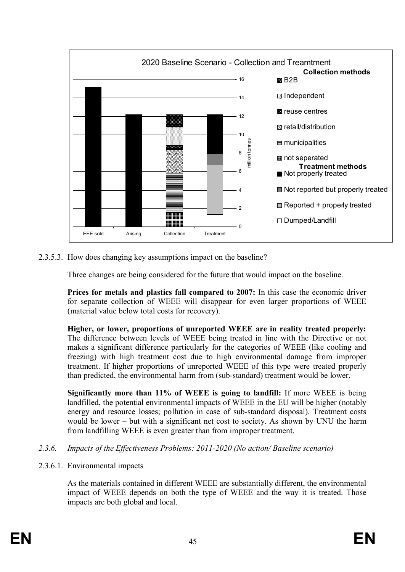

2.3.5.3. How does changing key assumptions impact on the baseline?

Three changes are being considered for the future that would impact on the baseline.

**Prices for metals and plastics fall compared to 2007:** In this case the economic driver for separate collection of WEEE will disappear for even larger proportions of WEEE (material value below total costs for recovery).

**Higher, or lower, proportions of unreported WEEE are in reality treated properly:** The difference between levels of WEEE being treated in line with the Directive or not makes a significant difference particularly for the categories of WEEE (like cooling and freezing) with high treatment cost due to high environmental damage from improper treatment. If higher proportions of unreported WEEE of this type were treated properly than predicted, the environmental harm from (sub-standard) treatment would be lower.

**Significantly more than 11% of WEEE is going to landfill:** If more WEEE is being landfilled, the potential environmental impacts of WEEE in the EU will be higher (notably energy and resource losses; pollution in case of sub-standard disposal). Treatment costs would be lower – but with a significant net cost to society. As shown by UNU the harm from landfilling WEEE is even greater than from improper treatment.

- *2.3.6. Impacts of the Effectiveness Problems: 2011-2020 (No action/ Baseline scenario)*
- 2.3.6.1. Environmental impacts

As the materials contained in different WEEE are substantially different, the environmental impact of WEEE depends on both the type of WEEE and the way it is treated. Those impacts are both global and local.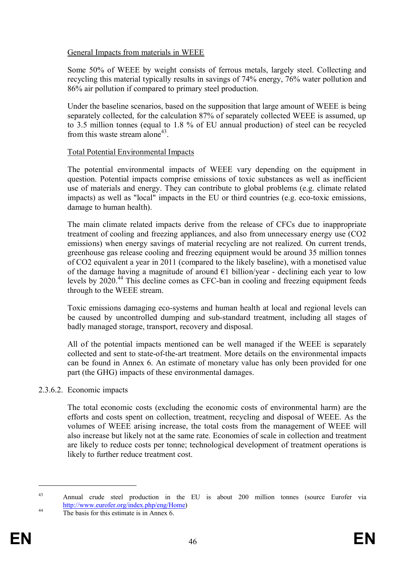## General Impacts from materials in WEEE

Some 50% of WEEE by weight consists of ferrous metals, largely steel. Collecting and recycling this material typically results in savings of 74% energy, 76% water pollution and 86% air pollution if compared to primary steel production.

Under the baseline scenarios, based on the supposition that large amount of WEEE is being separately collected, for the calculation 87% of separately collected WEEE is assumed, up to 3.5 million tonnes (equal to 1.8 % of EU annual production) of steel can be recycled from this waste stream alone<sup>43</sup>.

#### Total Potential Environmental Impacts

The potential environmental impacts of WEEE vary depending on the equipment in question. Potential impacts comprise emissions of toxic substances as well as inefficient use of materials and energy. They can contribute to global problems (e.g. climate related impacts) as well as "local" impacts in the EU or third countries (e.g. eco-toxic emissions, damage to human health).

The main climate related impacts derive from the release of CFCs due to inappropriate treatment of cooling and freezing appliances, and also from unnecessary energy use (CO2 emissions) when energy savings of material recycling are not realized. On current trends, greenhouse gas release cooling and freezing equipment would be around 35 million tonnes of CO2 equivalent a year in 2011 (compared to the likely baseline), with a monetised value of the damage having a magnitude of around  $E1$  billion/year - declining each year to low levels by 2020.<sup>44</sup> This decline comes as CFC-ban in cooling and freezing equipment feeds through to the WEEE stream.

Toxic emissions damaging eco-systems and human health at local and regional levels can be caused by uncontrolled dumping and sub-standard treatment, including all stages of badly managed storage, transport, recovery and disposal.

All of the potential impacts mentioned can be well managed if the WEEE is separately collected and sent to state-of-the-art treatment. More details on the environmental impacts can be found in Annex 6. An estimate of monetary value has only been provided for one part (the GHG) impacts of these environmental damages.

#### 2.3.6.2. Economic impacts

The total economic costs (excluding the economic costs of environmental harm) are the efforts and costs spent on collection, treatment, recycling and disposal of WEEE. As the volumes of WEEE arising increase, the total costs from the management of WEEE will also increase but likely not at the same rate. Economies of scale in collection and treatment are likely to reduce costs per tonne; technological development of treatment operations is likely to further reduce treatment cost.

<sup>43</sup> Annual crude steel production in the EU is about 200 million tonnes (source Eurofer via http://www.eurofer.org/index.php/eng/Home)

<sup>&</sup>lt;sup>44</sup> The basis for this estimate is in Annex 6.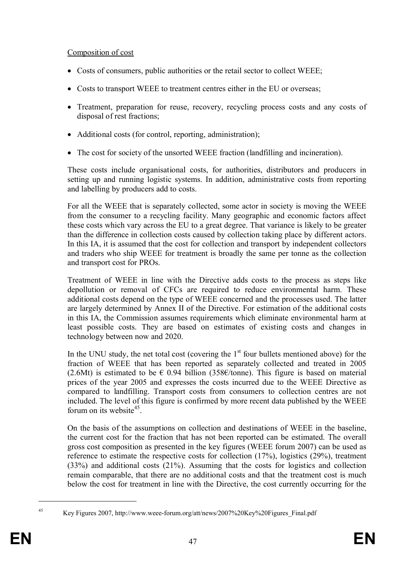# Composition of cost

- Costs of consumers, public authorities or the retail sector to collect WEEE;
- Costs to transport WEEE to treatment centres either in the EU or overseas;
- Treatment, preparation for reuse, recovery, recycling process costs and any costs of disposal of rest fractions;
- Additional costs (for control, reporting, administration);
- · The cost for society of the unsorted WEEE fraction (landfilling and incineration).

These costs include organisational costs, for authorities, distributors and producers in setting up and running logistic systems. In addition, administrative costs from reporting and labelling by producers add to costs.

For all the WEEE that is separately collected, some actor in society is moving the WEEE from the consumer to a recycling facility. Many geographic and economic factors affect these costs which vary across the EU to a great degree. That variance is likely to be greater than the difference in collection costs caused by collection taking place by different actors. In this IA, it is assumed that the cost for collection and transport by independent collectors and traders who ship WEEE for treatment is broadly the same per tonne as the collection and transport cost for PROs.

Treatment of WEEE in line with the Directive adds costs to the process as steps like depollution or removal of CFCs are required to reduce environmental harm. These additional costs depend on the type of WEEE concerned and the processes used. The latter are largely determined by Annex II of the Directive. For estimation of the additional costs in this IA, the Commission assumes requirements which eliminate environmental harm at least possible costs. They are based on estimates of existing costs and changes in technology between now and 2020.

In the UNU study, the net total cost (covering the  $1<sup>st</sup>$  four bullets mentioned above) for the fraction of WEEE that has been reported as separately collected and treated in 2005 (2.6Mt) is estimated to be  $\epsilon$  0.94 billion (358 $\epsilon$ /tonne). This figure is based on material prices of the year 2005 and expresses the costs incurred due to the WEEE Directive as compared to landfilling. Transport costs from consumers to collection centres are not included. The level of this figure is confirmed by more recent data published by the WEEE forum on its website<sup>45</sup>.

On the basis of the assumptions on collection and destinations of WEEE in the baseline, the current cost for the fraction that has not been reported can be estimated. The overall gross cost composition as presented in the key figures (WEEE forum 2007) can be used as reference to estimate the respective costs for collection (17%), logistics (29%), treatment (33%) and additional costs (21%). Assuming that the costs for logistics and collection remain comparable, that there are no additional costs and that the treatment cost is much below the cost for treatment in line with the Directive, the cost currently occurring for the

<sup>45</sup> Key Figures 2007, http://www.weee-forum.org/att/news/2007%20Key%20Figures\_Final.pdf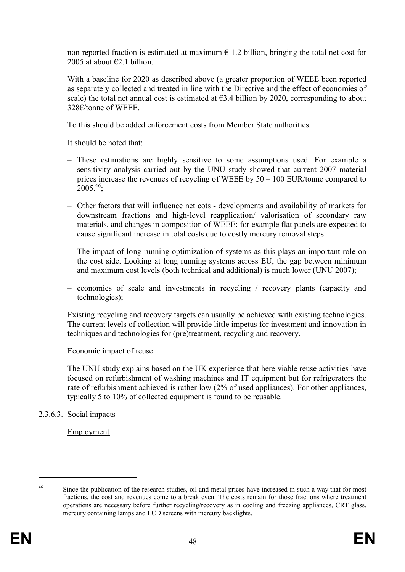non reported fraction is estimated at maximum  $\epsilon$  1.2 billion, bringing the total net cost for 2005 at about  $\epsilon$ 2.1 billion.

With a baseline for 2020 as described above (a greater proportion of WEEE been reported as separately collected and treated in line with the Directive and the effect of economies of scale) the total net annual cost is estimated at  $63.4$  billion by 2020, corresponding to about 328€/tonne of WEEE.

To this should be added enforcement costs from Member State authorities.

It should be noted that:

- These estimations are highly sensitive to some assumptions used. For example a sensitivity analysis carried out by the UNU study showed that current 2007 material prices increase the revenues of recycling of WEEE by 50 – 100 EUR/tonne compared to  $2005^{46}$ ;
- Other factors that will influence net cots developments and availability of markets for downstream fractions and high-level reapplication/ valorisation of secondary raw materials, and changes in composition of WEEE: for example flat panels are expected to cause significant increase in total costs due to costly mercury removal steps.
- The impact of long running optimization of systems as this plays an important role on the cost side. Looking at long running systems across EU, the gap between minimum and maximum cost levels (both technical and additional) is much lower (UNU 2007);
- economies of scale and investments in recycling / recovery plants (capacity and technologies);

Existing recycling and recovery targets can usually be achieved with existing technologies. The current levels of collection will provide little impetus for investment and innovation in techniques and technologies for (pre)treatment, recycling and recovery.

#### Economic impact of reuse

The UNU study explains based on the UK experience that here viable reuse activities have focused on refurbishment of washing machines and IT equipment but for refrigerators the rate of refurbishment achieved is rather low (2% of used appliances). For other appliances, typically 5 to 10% of collected equipment is found to be reusable.

# 2.3.6.3. Social impacts

Employment

<sup>&</sup>lt;sup>46</sup> Since the publication of the research studies, oil and metal prices have increased in such a way that for most fractions, the cost and revenues come to a break even. The costs remain for those fractions where treatment operations are necessary before further recycling/recovery as in cooling and freezing appliances, CRT glass, mercury containing lamps and LCD screens with mercury backlights.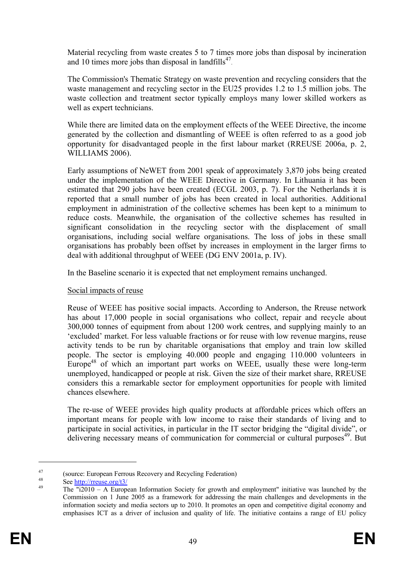Material recycling from waste creates 5 to 7 times more jobs than disposal by incineration and 10 times more jobs than disposal in landfills $47$ .

The Commission's Thematic Strategy on waste prevention and recycling considers that the waste management and recycling sector in the EU25 provides 1.2 to 1.5 million jobs. The waste collection and treatment sector typically employs many lower skilled workers as well as expert technicians.

While there are limited data on the employment effects of the WEEE Directive, the income generated by the collection and dismantling of WEEE is often referred to as a good job opportunity for disadvantaged people in the first labour market (RREUSE 2006a, p. 2, WILLIAMS 2006).

Early assumptions of NeWET from 2001 speak of approximately 3,870 jobs being created under the implementation of the WEEE Directive in Germany. In Lithuania it has been estimated that 290 jobs have been created (ECGL 2003, p. 7). For the Netherlands it is reported that a small number of jobs has been created in local authorities. Additional employment in administration of the collective schemes has been kept to a minimum to reduce costs. Meanwhile, the organisation of the collective schemes has resulted in significant consolidation in the recycling sector with the displacement of small organisations, including social welfare organisations. The loss of jobs in these small organisations has probably been offset by increases in employment in the larger firms to deal with additional throughput of WEEE (DG ENV 2001a, p. IV).

In the Baseline scenario it is expected that net employment remains unchanged.

#### Social impacts of reuse

Reuse of WEEE has positive social impacts. According to Anderson, the Rreuse network has about 17,000 people in social organisations who collect, repair and recycle about 300,000 tonnes of equipment from about 1200 work centres, and supplying mainly to an 'excluded' market. For less valuable fractions or for reuse with low revenue margins, reuse activity tends to be run by charitable organisations that employ and train low skilled people. The sector is employing 40.000 people and engaging 110.000 volunteers in Europe<sup>48</sup> of which an important part works on WEEE, usually these were long-term unemployed, handicapped or people at risk. Given the size of their market share, RREUSE considers this a remarkable sector for employment opportunities for people with limited chances elsewhere.

The re-use of WEEE provides high quality products at affordable prices which offers an important means for people with low income to raise their standards of living and to participate in social activities, in particular in the IT sector bridging the "digital divide", or delivering necessary means of communication for commercial or cultural purposes<sup>49</sup>. But

<sup>&</sup>lt;sup>47</sup> (source: European Ferrous Recovery and Recycling Federation)

 $\frac{48}{49}$  See <u>http://rreuse.org/t3/</u>

The " $i2010 - A$  European Information Society for growth and employment" initiative was launched by the Commission on 1 June 2005 as a framework for addressing the main challenges and developments in the information society and media sectors up to 2010. It promotes an open and competitive digital economy and emphasises ICT as a driver of inclusion and quality of life. The initiative contains a range of EU policy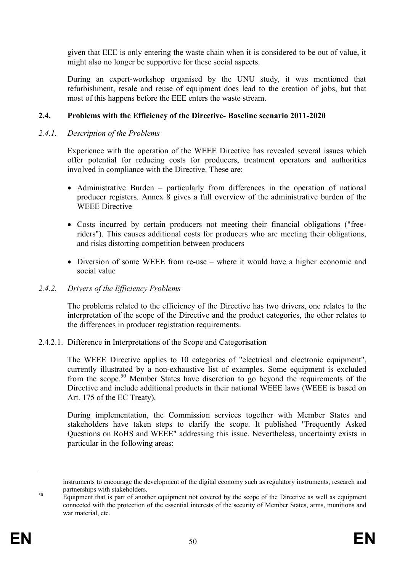given that EEE is only entering the waste chain when it is considered to be out of value, it might also no longer be supportive for these social aspects.

During an expert-workshop organised by the UNU study, it was mentioned that refurbishment, resale and reuse of equipment does lead to the creation of jobs, but that most of this happens before the EEE enters the waste stream.

# **2.4. Problems with the Efficiency of the Directive- Baseline scenario 2011-2020**

#### *2.4.1. Description of the Problems*

Experience with the operation of the WEEE Directive has revealed several issues which offer potential for reducing costs for producers, treatment operators and authorities involved in compliance with the Directive. These are:

- Administrative Burden particularly from differences in the operation of national producer registers. Annex 8 gives a full overview of the administrative burden of the WEEE Directive
- · Costs incurred by certain producers not meeting their financial obligations ("freeriders"). This causes additional costs for producers who are meeting their obligations, and risks distorting competition between producers
- Diversion of some WEEE from re-use where it would have a higher economic and social value

## *2.4.2. Drivers of the Efficiency Problems*

The problems related to the efficiency of the Directive has two drivers, one relates to the interpretation of the scope of the Directive and the product categories, the other relates to the differences in producer registration requirements.

2.4.2.1. Difference in Interpretations of the Scope and Categorisation

The WEEE Directive applies to 10 categories of "electrical and electronic equipment", currently illustrated by a non-exhaustive list of examples. Some equipment is excluded from the scope.<sup>50</sup> Member States have discretion to go beyond the requirements of the Directive and include additional products in their national WEEE laws (WEEE is based on Art. 175 of the EC Treaty).

During implementation, the Commission services together with Member States and stakeholders have taken steps to clarify the scope. It published "Frequently Asked Questions on RoHS and WEEE" addressing this issue. Nevertheless, uncertainty exists in particular in the following areas:

<sup>&</sup>lt;sup>50</sup> Equipment that is part of another equipment not covered by the scope of the Directive as well as equipment connected with the protection of the essential interests of the security of Member States, arms, munitions and war material, etc.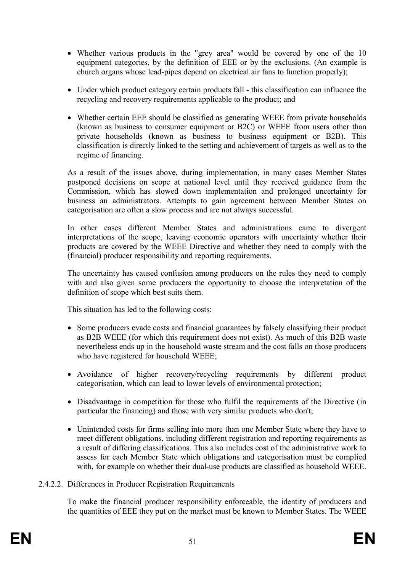- · Whether various products in the "grey area" would be covered by one of the 10 equipment categories, by the definition of EEE or by the exclusions. (An example is church organs whose lead-pipes depend on electrical air fans to function properly);
- · Under which product category certain products fall this classification can influence the recycling and recovery requirements applicable to the product; and
- Whether certain EEE should be classified as generating WEEE from private households (known as business to consumer equipment or B2C) or WEEE from users other than private households (known as business to business equipment or B2B). This classification is directly linked to the setting and achievement of targets as well as to the regime of financing.

As a result of the issues above, during implementation, in many cases Member States postponed decisions on scope at national level until they received guidance from the Commission, which has slowed down implementation and prolonged uncertainty for business an administrators. Attempts to gain agreement between Member States on categorisation are often a slow process and are not always successful.

In other cases different Member States and administrations came to divergent interpretations of the scope, leaving economic operators with uncertainty whether their products are covered by the WEEE Directive and whether they need to comply with the (financial) producer responsibility and reporting requirements.

The uncertainty has caused confusion among producers on the rules they need to comply with and also given some producers the opportunity to choose the interpretation of the definition of scope which best suits them.

This situation has led to the following costs:

- Some producers evade costs and financial guarantees by falsely classifying their product as B2B WEEE (for which this requirement does not exist). As much of this B2B waste nevertheless ends up in the household waste stream and the cost falls on those producers who have registered for household WEEE;
- · Avoidance of higher recovery/recycling requirements by different product categorisation, which can lead to lower levels of environmental protection;
- · Disadvantage in competition for those who fulfil the requirements of the Directive (in particular the financing) and those with very similar products who don't;
- Unintended costs for firms selling into more than one Member State where they have to meet different obligations, including different registration and reporting requirements as a result of differing classifications. This also includes cost of the administrative work to assess for each Member State which obligations and categorisation must be complied with, for example on whether their dual-use products are classified as household WEEE.
- 2.4.2.2. Differences in Producer Registration Requirements

To make the financial producer responsibility enforceable, the identity of producers and the quantities of EEE they put on the market must be known to Member States. The WEEE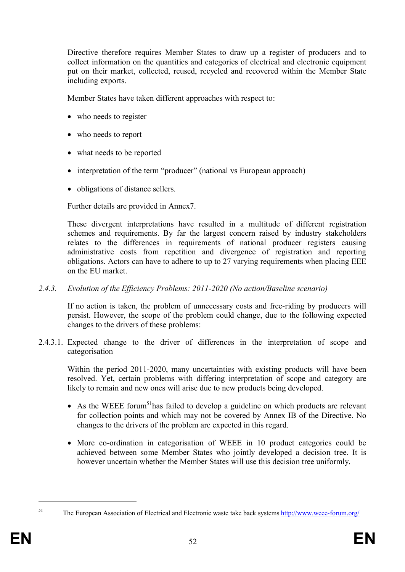Directive therefore requires Member States to draw up a register of producers and to collect information on the quantities and categories of electrical and electronic equipment put on their market, collected, reused, recycled and recovered within the Member State including exports.

Member States have taken different approaches with respect to:

- who needs to register
- who needs to report
- what needs to be reported
- interpretation of the term "producer" (national vs European approach)
- obligations of distance sellers.

Further details are provided in Annex7.

These divergent interpretations have resulted in a multitude of different registration schemes and requirements. By far the largest concern raised by industry stakeholders relates to the differences in requirements of national producer registers causing administrative costs from repetition and divergence of registration and reporting obligations. Actors can have to adhere to up to 27 varying requirements when placing EEE on the EU market.

#### *2.4.3. Evolution of the Efficiency Problems: 2011-2020 (No action/Baseline scenario)*

If no action is taken, the problem of unnecessary costs and free-riding by producers will persist. However, the scope of the problem could change, due to the following expected changes to the drivers of these problems:

2.4.3.1. Expected change to the driver of differences in the interpretation of scope and categorisation

Within the period 2011-2020, many uncertainties with existing products will have been resolved. Yet, certain problems with differing interpretation of scope and category are likely to remain and new ones will arise due to new products being developed.

- As the WEEE forum<sup>51</sup>has failed to develop a guideline on which products are relevant for collection points and which may not be covered by Annex IB of the Directive. No changes to the drivers of the problem are expected in this regard.
- · More co-ordination in categorisation of WEEE in 10 product categories could be achieved between some Member States who jointly developed a decision tree. It is however uncertain whether the Member States will use this decision tree uniformly.

<sup>51</sup> The European Association of Electrical and Electronic waste take back systems http://www.weee-forum.org/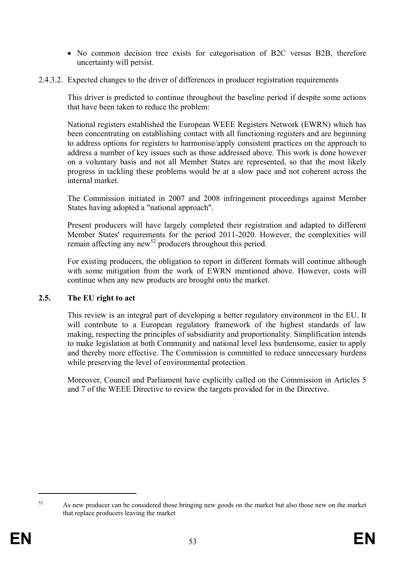- No common decision tree exists for categorisation of B2C versus B2B, therefore uncertainty will persist.
- 2.4.3.2. Expected changes to the driver of differences in producer registration requirements

This driver is predicted to continue throughout the baseline period if despite some actions that have been taken to reduce the problem:

National registers established the European WEEE Registers Network (EWRN) which has been concentrating on establishing contact with all functioning registers and are beginning to address options for registers to harmonise/apply consistent practices on the approach to address a number of key issues such as those addressed above. This work is done however on a voluntary basis and not all Member States are represented, so that the most likely progress in tackling these problems would be at a slow pace and not coherent across the internal market.

The Commission initiated in 2007 and 2008 infringement proceedings against Member States having adopted a "national approach".

Present producers will have largely completed their registration and adapted to different Member States' requirements for the period 2011-2020. However, the complexities will remain affecting any new<sup>52</sup> producers throughout this period.

For existing producers, the obligation to report in different formats will continue although with some mitigation from the work of EWRN mentioned above. However, costs will continue when any new products are brought onto the market.

# **2.5. The EU right to act**

This review is an integral part of developing a better regulatory environment in the EU. It will contribute to a European regulatory framework of the highest standards of law making, respecting the principles of subsidiarity and proportionality. Simplification intends to make legislation at both Community and national level less burdensome, easier to apply and thereby more effective. The Commission is committed to reduce unnecessary burdens while preserving the level of environmental protection.

Moreover, Council and Parliament have explicitly called on the Commission in Articles 5 and 7 of the WEEE Directive to review the targets provided for in the Directive.

<sup>&</sup>lt;sup>52</sup> As new producer can be considered those bringing new goods on the market but also those new on the market that replace producers leaving the market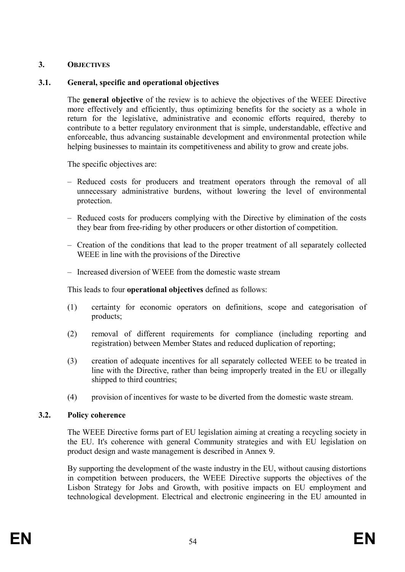# **3. OBJECTIVES**

# **3.1. General, specific and operational objectives**

The **general objective** of the review is to achieve the objectives of the WEEE Directive more effectively and efficiently, thus optimizing benefits for the society as a whole in return for the legislative, administrative and economic efforts required, thereby to contribute to a better regulatory environment that is simple, understandable, effective and enforceable, thus advancing sustainable development and environmental protection while helping businesses to maintain its competitiveness and ability to grow and create jobs.

The specific objectives are:

- Reduced costs for producers and treatment operators through the removal of all unnecessary administrative burdens, without lowering the level of environmental protection.
- Reduced costs for producers complying with the Directive by elimination of the costs they bear from free-riding by other producers or other distortion of competition.
- Creation of the conditions that lead to the proper treatment of all separately collected WEEE in line with the provisions of the Directive
- Increased diversion of WEEE from the domestic waste stream

This leads to four **operational objectives** defined as follows:

- (1) certainty for economic operators on definitions, scope and categorisation of products;
- (2) removal of different requirements for compliance (including reporting and registration) between Member States and reduced duplication of reporting;
- (3) creation of adequate incentives for all separately collected WEEE to be treated in line with the Directive, rather than being improperly treated in the EU or illegally shipped to third countries;
- (4) provision of incentives for waste to be diverted from the domestic waste stream.

# **3.2. Policy coherence**

The WEEE Directive forms part of EU legislation aiming at creating a recycling society in the EU. It's coherence with general Community strategies and with EU legislation on product design and waste management is described in Annex 9.

By supporting the development of the waste industry in the EU, without causing distortions in competition between producers, the WEEE Directive supports the objectives of the Lisbon Strategy for Jobs and Growth, with positive impacts on EU employment and technological development. Electrical and electronic engineering in the EU amounted in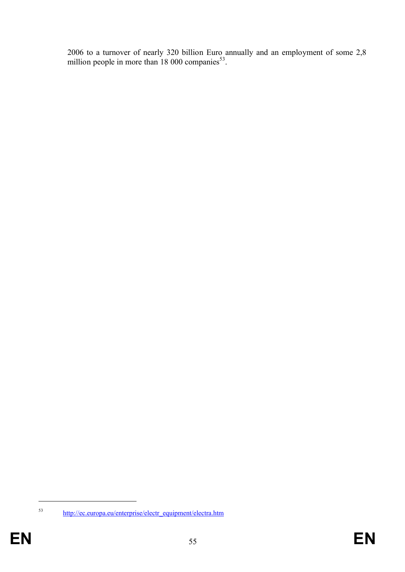2006 to a turnover of nearly 320 billion Euro annually and an employment of some 2,8 million people in more than  $18,000$  companies<sup>53</sup>.

<sup>53</sup> http://ec.europa.eu/enterprise/electr\_equipment/electra.htm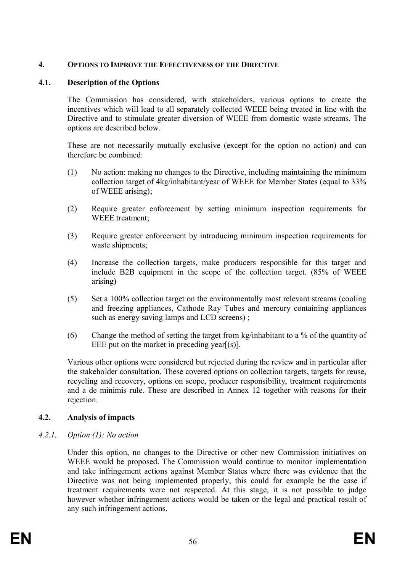# **4. OPTIONS TO IMPROVE THE EFFECTIVENESS OF THE DIRECTIVE**

# **4.1. Description of the Options**

The Commission has considered, with stakeholders, various options to create the incentives which will lead to all separately collected WEEE being treated in line with the Directive and to stimulate greater diversion of WEEE from domestic waste streams. The options are described below.

These are not necessarily mutually exclusive (except for the option no action) and can therefore be combined:

- (1) No action: making no changes to the Directive, including maintaining the minimum collection target of 4kg/inhabitant/year of WEEE for Member States (equal to 33% of WEEE arising);
- (2) Require greater enforcement by setting minimum inspection requirements for WEEE treatment;
- (3) Require greater enforcement by introducing minimum inspection requirements for waste shipments;
- (4) Increase the collection targets, make producers responsible for this target and include B2B equipment in the scope of the collection target. (85% of WEEE arising)
- (5) Set a 100% collection target on the environmentally most relevant streams (cooling and freezing appliances, Cathode Ray Tubes and mercury containing appliances such as energy saving lamps and LCD screens) ;
- (6) Change the method of setting the target from kg/inhabitant to a % of the quantity of EEE put on the market in preceding year[(s)].

Various other options were considered but rejected during the review and in particular after the stakeholder consultation. These covered options on collection targets, targets for reuse, recycling and recovery, options on scope, producer responsibility, treatment requirements and a de minimis rule. These are described in Annex 12 together with reasons for their rejection.

# **4.2. Analysis of impacts**

# *4.2.1. Option (1): No action*

Under this option, no changes to the Directive or other new Commission initiatives on WEEE would be proposed. The Commission would continue to monitor implementation and take infringement actions against Member States where there was evidence that the Directive was not being implemented properly, this could for example be the case if treatment requirements were not respected. At this stage, it is not possible to judge however whether infringement actions would be taken or the legal and practical result of any such infringement actions.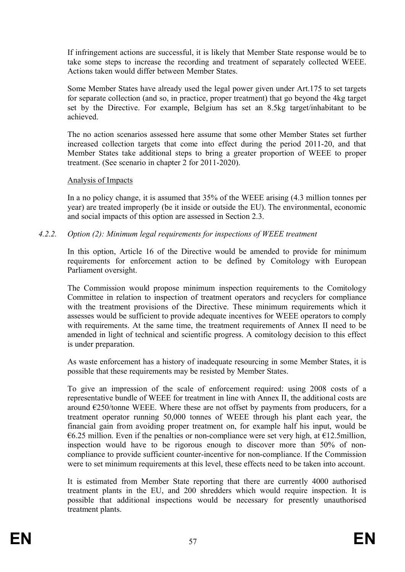If infringement actions are successful, it is likely that Member State response would be to take some steps to increase the recording and treatment of separately collected WEEE. Actions taken would differ between Member States.

Some Member States have already used the legal power given under Art.175 to set targets for separate collection (and so, in practice, proper treatment) that go beyond the 4kg target set by the Directive. For example, Belgium has set an 8.5kg target/inhabitant to be achieved.

The no action scenarios assessed here assume that some other Member States set further increased collection targets that come into effect during the period 2011-20, and that Member States take additional steps to bring a greater proportion of WEEE to proper treatment. (See scenario in chapter 2 for 2011-2020).

# Analysis of Impacts

In a no policy change, it is assumed that 35% of the WEEE arising (4.3 million tonnes per year) are treated improperly (be it inside or outside the EU). The environmental, economic and social impacts of this option are assessed in Section 2.3.

*4.2.2. Option (2): Minimum legal requirements for inspections of WEEE treatment*

In this option, Article 16 of the Directive would be amended to provide for minimum requirements for enforcement action to be defined by Comitology with European Parliament oversight.

The Commission would propose minimum inspection requirements to the Comitology Committee in relation to inspection of treatment operators and recyclers for compliance with the treatment provisions of the Directive. These minimum requirements which it assesses would be sufficient to provide adequate incentives for WEEE operators to comply with requirements. At the same time, the treatment requirements of Annex II need to be amended in light of technical and scientific progress. A comitology decision to this effect is under preparation.

As waste enforcement has a history of inadequate resourcing in some Member States, it is possible that these requirements may be resisted by Member States.

To give an impression of the scale of enforcement required: using 2008 costs of a representative bundle of WEEE for treatment in line with Annex II, the additional costs are around  $E250$ /tonne WEEE. Where these are not offset by payments from producers, for a treatment operator running 50,000 tonnes of WEEE through his plant each year, the financial gain from avoiding proper treatment on, for example half his input, would be €6.25 million. Even if the penalties or non-compliance were set very high, at  $€12.5$ million, inspection would have to be rigorous enough to discover more than 50% of noncompliance to provide sufficient counter-incentive for non-compliance. If the Commission were to set minimum requirements at this level, these effects need to be taken into account.

It is estimated from Member State reporting that there are currently 4000 authorised treatment plants in the EU, and 200 shredders which would require inspection. It is possible that additional inspections would be necessary for presently unauthorised treatment plants.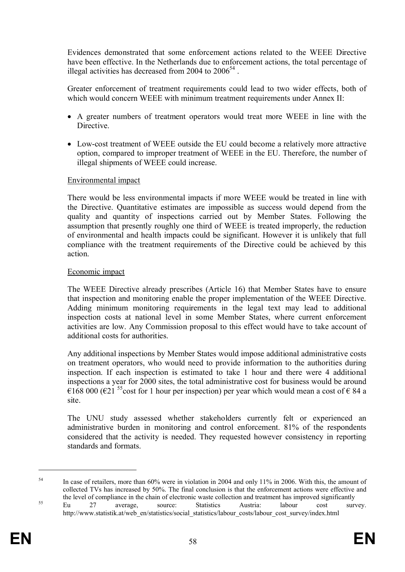Evidences demonstrated that some enforcement actions related to the WEEE Directive have been effective. In the Netherlands due to enforcement actions, the total percentage of illegal activities has decreased from 2004 to  $2006^{54}$ .

Greater enforcement of treatment requirements could lead to two wider effects, both of which would concern WEEE with minimum treatment requirements under Annex II:

- · A greater numbers of treatment operators would treat more WEEE in line with the Directive.
- · Low-cost treatment of WEEE outside the EU could become a relatively more attractive option, compared to improper treatment of WEEE in the EU. Therefore, the number of illegal shipments of WEEE could increase.

#### Environmental impact

There would be less environmental impacts if more WEEE would be treated in line with the Directive. Quantitative estimates are impossible as success would depend from the quality and quantity of inspections carried out by Member States. Following the assumption that presently roughly one third of WEEE is treated improperly, the reduction of environmental and health impacts could be significant. However it is unlikely that full compliance with the treatment requirements of the Directive could be achieved by this action.

#### Economic impact

The WEEE Directive already prescribes (Article 16) that Member States have to ensure that inspection and monitoring enable the proper implementation of the WEEE Directive. Adding minimum monitoring requirements in the legal text may lead to additional inspection costs at national level in some Member States, where current enforcement activities are low. Any Commission proposal to this effect would have to take account of additional costs for authorities.

Any additional inspections by Member States would impose additional administrative costs on treatment operators, who would need to provide information to the authorities during inspection. If each inspection is estimated to take 1 hour and there were 4 additional inspections a year for 2000 sites, the total administrative cost for business would be around €168 000 (€21<sup>55</sup>cost for 1 hour per inspection) per year which would mean a cost of € 84 a site.

The UNU study assessed whether stakeholders currently felt or experienced an administrative burden in monitoring and control enforcement. 81% of the respondents considered that the activity is needed. They requested however consistency in reporting standards and formats.

<sup>&</sup>lt;sup>54</sup> In case of retailers, more than 60% were in violation in 2004 and only 11% in 2006. With this, the amount of collected TVs has increased by 50%. The final conclusion is that the enforcement actions were effective and the level of compliance in the chain of electronic waste collection and treatment has improved significantly <sup>55</sup> Eu 27 average, source: Statistics Austria: labour cost survey. http://www.statistik.at/web\_en/statistics/social\_statistics/labour\_costs/labour\_cost\_survey/index.html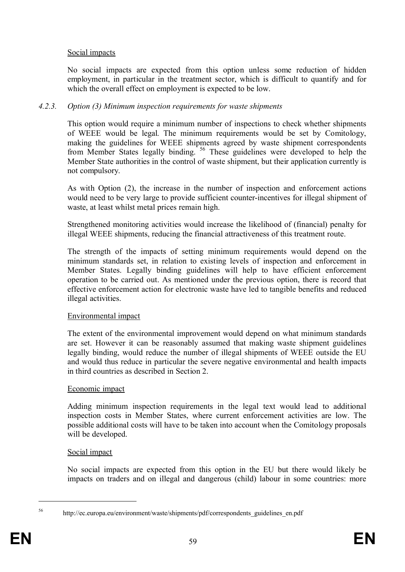# Social impacts

No social impacts are expected from this option unless some reduction of hidden employment, in particular in the treatment sector, which is difficult to quantify and for which the overall effect on employment is expected to be low.

# *4.2.3. Option (3) Minimum inspection requirements for waste shipments*

This option would require a minimum number of inspections to check whether shipments of WEEE would be legal. The minimum requirements would be set by Comitology, making the guidelines for WEEE shipments agreed by waste shipment correspondents from Member States legally binding. <sup>56</sup> These guidelines were developed to help the Member State authorities in the control of waste shipment, but their application currently is not compulsory.

As with Option (2), the increase in the number of inspection and enforcement actions would need to be very large to provide sufficient counter-incentives for illegal shipment of waste, at least whilst metal prices remain high.

Strengthened monitoring activities would increase the likelihood of (financial) penalty for illegal WEEE shipments, reducing the financial attractiveness of this treatment route.

The strength of the impacts of setting minimum requirements would depend on the minimum standards set, in relation to existing levels of inspection and enforcement in Member States. Legally binding guidelines will help to have efficient enforcement operation to be carried out. As mentioned under the previous option, there is record that effective enforcement action for electronic waste have led to tangible benefits and reduced illegal activities.

#### Environmental impact

The extent of the environmental improvement would depend on what minimum standards are set. However it can be reasonably assumed that making waste shipment guidelines legally binding, would reduce the number of illegal shipments of WEEE outside the EU and would thus reduce in particular the severe negative environmental and health impacts in third countries as described in Section 2.

#### Economic impact

Adding minimum inspection requirements in the legal text would lead to additional inspection costs in Member States, where current enforcement activities are low. The possible additional costs will have to be taken into account when the Comitology proposals will be developed.

#### Social impact

No social impacts are expected from this option in the EU but there would likely be impacts on traders and on illegal and dangerous (child) labour in some countries: more

<sup>56</sup> http://ec.europa.eu/environment/waste/shipments/pdf/correspondents\_guidelines\_en.pdf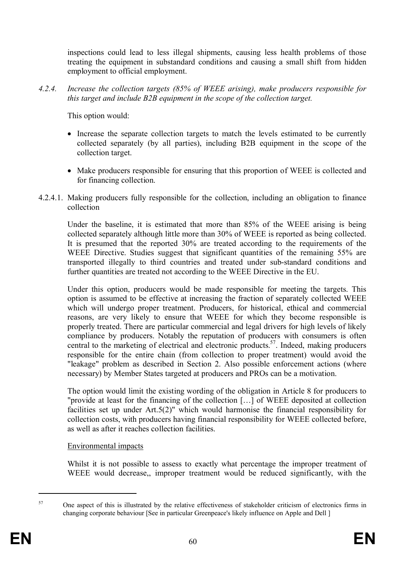inspections could lead to less illegal shipments, causing less health problems of those treating the equipment in substandard conditions and causing a small shift from hidden employment to official employment.

*4.2.4. Increase the collection targets (85% of WEEE arising), make producers responsible for this target and include B2B equipment in the scope of the collection target.* 

This option would:

- Increase the separate collection targets to match the levels estimated to be currently collected separately (by all parties), including B2B equipment in the scope of the collection target.
- Make producers responsible for ensuring that this proportion of WEEE is collected and for financing collection.
- 4.2.4.1. Making producers fully responsible for the collection, including an obligation to finance collection

Under the baseline, it is estimated that more than 85% of the WEEE arising is being collected separately although little more than 30% of WEEE is reported as being collected. It is presumed that the reported 30% are treated according to the requirements of the WEEE Directive. Studies suggest that significant quantities of the remaining 55% are transported illegally to third countries and treated under sub-standard conditions and further quantities are treated not according to the WEEE Directive in the EU.

Under this option, producers would be made responsible for meeting the targets. This option is assumed to be effective at increasing the fraction of separately collected WEEE which will undergo proper treatment. Producers, for historical, ethical and commercial reasons, are very likely to ensure that WEEE for which they become responsible is properly treated. There are particular commercial and legal drivers for high levels of likely compliance by producers. Notably the reputation of producers with consumers is often central to the marketing of electrical and electronic products. 57 . Indeed, making producers responsible for the entire chain (from collection to proper treatment) would avoid the "leakage" problem as described in Section 2. Also possible enforcement actions (where necessary) by Member States targeted at producers and PROs can be a motivation.

The option would limit the existing wording of the obligation in Article 8 for producers to "provide at least for the financing of the collection […] of WEEE deposited at collection facilities set up under Art.5(2)" which would harmonise the financial responsibility for collection costs, with producers having financial responsibility for WEEE collected before, as well as after it reaches collection facilities.

# Environmental impacts

Whilst it is not possible to assess to exactly what percentage the improper treatment of WEEE would decrease,, improper treatment would be reduced significantly, with the

<sup>&</sup>lt;sup>57</sup> One aspect of this is illustrated by the relative effectiveness of stakeholder criticism of electronics firms in changing corporate behaviour [See in particular Greenpeace's likely influence on Apple and Dell ]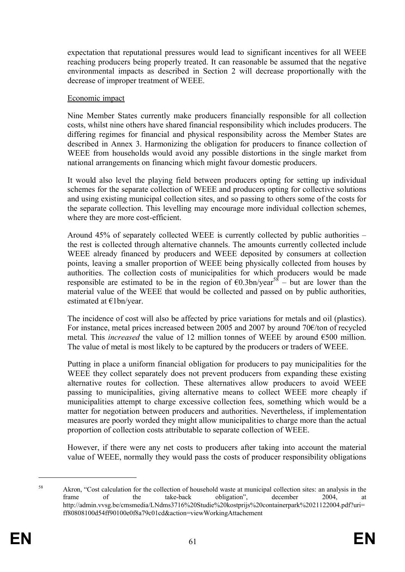expectation that reputational pressures would lead to significant incentives for all WEEE reaching producers being properly treated. It can reasonable be assumed that the negative environmental impacts as described in Section 2 will decrease proportionally with the decrease of improper treatment of WEEE.

## Economic impact

Nine Member States currently make producers financially responsible for all collection costs, whilst nine others have shared financial responsibility which includes producers. The differing regimes for financial and physical responsibility across the Member States are described in Annex 3. Harmonizing the obligation for producers to finance collection of WEEE from households would avoid any possible distortions in the single market from national arrangements on financing which might favour domestic producers.

It would also level the playing field between producers opting for setting up individual schemes for the separate collection of WEEE and producers opting for collective solutions and using existing municipal collection sites, and so passing to others some of the costs for the separate collection. This levelling may encourage more individual collection schemes, where they are more cost-efficient.

Around 45% of separately collected WEEE is currently collected by public authorities – the rest is collected through alternative channels. The amounts currently collected include WEEE already financed by producers and WEEE deposited by consumers at collection points, leaving a smaller proportion of WEEE being physically collected from houses by authorities. The collection costs of municipalities for which producers would be made responsible are estimated to be in the region of  $\epsilon$ 0.3bn/year<sup>58</sup> – but are lower than the material value of the WEEE that would be collected and passed on by public authorities, estimated at €1bn/year.

The incidence of cost will also be affected by price variations for metals and oil (plastics). For instance, metal prices increased between 2005 and 2007 by around 70€/ton of recycled metal. This *increased* the value of 12 million tonnes of WEEE by around €500 million. The value of metal is most likely to be captured by the producers or traders of WEEE.

Putting in place a uniform financial obligation for producers to pay municipalities for the WEEE they collect separately does not prevent producers from expanding these existing alternative routes for collection. These alternatives allow producers to avoid WEEE passing to municipalities, giving alternative means to collect WEEE more cheaply if municipalities attempt to charge excessive collection fees, something which would be a matter for negotiation between producers and authorities. Nevertheless, if implementation measures are poorly worded they might allow municipalities to charge more than the actual proportion of collection costs attributable to separate collection of WEEE.

However, if there were any net costs to producers after taking into account the material value of WEEE, normally they would pass the costs of producer responsibility obligations

<sup>58</sup> Akron, "Cost calculation for the collection of household waste at municipal collection sites: an analysis in the frame of the take-back obligation", december 2004, at http://admin.vvsg.be/cmsmedia/LNdms3716%20Studie%20kostprijs%20containerpark%2021122004.pdf?uri= ff80808100d54ff90100e0f8a79c01cd&action=viewWorkingAttachement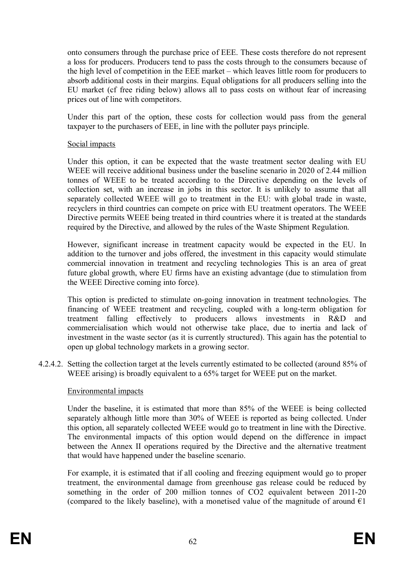onto consumers through the purchase price of EEE. These costs therefore do not represent a loss for producers. Producers tend to pass the costs through to the consumers because of the high level of competition in the EEE market – which leaves little room for producers to absorb additional costs in their margins. Equal obligations for all producers selling into the EU market (cf free riding below) allows all to pass costs on without fear of increasing prices out of line with competitors.

Under this part of the option, these costs for collection would pass from the general taxpayer to the purchasers of EEE, in line with the polluter pays principle.

#### Social impacts

Under this option, it can be expected that the waste treatment sector dealing with EU WEEE will receive additional business under the baseline scenario in 2020 of 2.44 million tonnes of WEEE to be treated according to the Directive depending on the levels of collection set, with an increase in jobs in this sector. It is unlikely to assume that all separately collected WEEE will go to treatment in the EU: with global trade in waste, recyclers in third countries can compete on price with EU treatment operators. The WEEE Directive permits WEEE being treated in third countries where it is treated at the standards required by the Directive, and allowed by the rules of the Waste Shipment Regulation.

However, significant increase in treatment capacity would be expected in the EU. In addition to the turnover and jobs offered, the investment in this capacity would stimulate commercial innovation in treatment and recycling technologies This is an area of great future global growth, where EU firms have an existing advantage (due to stimulation from the WEEE Directive coming into force).

This option is predicted to stimulate on-going innovation in treatment technologies. The financing of WEEE treatment and recycling, coupled with a long-term obligation for treatment falling effectively to producers allows investments in R&D and commercialisation which would not otherwise take place, due to inertia and lack of investment in the waste sector (as it is currently structured). This again has the potential to open up global technology markets in a growing sector.

4.2.4.2. Setting the collection target at the levels currently estimated to be collected (around 85% of WEEE arising) is broadly equivalent to a 65% target for WEEE put on the market.

# Environmental impacts

Under the baseline, it is estimated that more than 85% of the WEEE is being collected separately although little more than 30% of WEEE is reported as being collected. Under this option, all separately collected WEEE would go to treatment in line with the Directive. The environmental impacts of this option would depend on the difference in impact between the Annex II operations required by the Directive and the alternative treatment that would have happened under the baseline scenario.

For example, it is estimated that if all cooling and freezing equipment would go to proper treatment, the environmental damage from greenhouse gas release could be reduced by something in the order of 200 million tonnes of CO2 equivalent between 2011-20 (compared to the likely baseline), with a monetised value of the magnitude of around  $\epsilon$ 1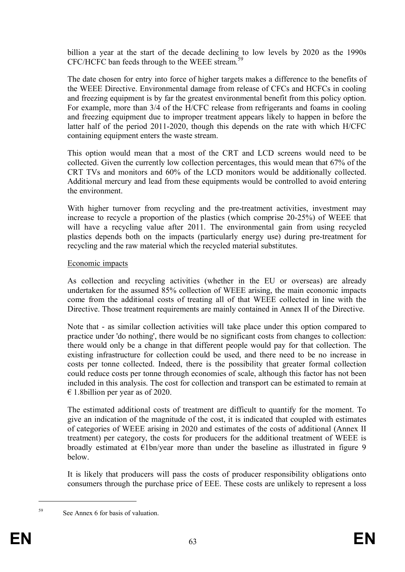billion a year at the start of the decade declining to low levels by 2020 as the 1990s CFC/HCFC ban feeds through to the WEEE stream.<sup>59</sup>

The date chosen for entry into force of higher targets makes a difference to the benefits of the WEEE Directive. Environmental damage from release of CFCs and HCFCs in cooling and freezing equipment is by far the greatest environmental benefit from this policy option. For example, more than 3/4 of the H/CFC release from refrigerants and foams in cooling and freezing equipment due to improper treatment appears likely to happen in before the latter half of the period 2011-2020, though this depends on the rate with which H/CFC containing equipment enters the waste stream.

This option would mean that a most of the CRT and LCD screens would need to be collected. Given the currently low collection percentages, this would mean that 67% of the CRT TVs and monitors and 60% of the LCD monitors would be additionally collected. Additional mercury and lead from these equipments would be controlled to avoid entering the environment.

With higher turnover from recycling and the pre-treatment activities, investment may increase to recycle a proportion of the plastics (which comprise 20-25%) of WEEE that will have a recycling value after 2011. The environmental gain from using recycled plastics depends both on the impacts (particularly energy use) during pre-treatment for recycling and the raw material which the recycled material substitutes.

#### Economic impacts

As collection and recycling activities (whether in the EU or overseas) are already undertaken for the assumed 85% collection of WEEE arising, the main economic impacts come from the additional costs of treating all of that WEEE collected in line with the Directive. Those treatment requirements are mainly contained in Annex II of the Directive.

Note that - as similar collection activities will take place under this option compared to practice under 'do nothing', there would be no significant costs from changes to collection: there would only be a change in that different people would pay for that collection. The existing infrastructure for collection could be used, and there need to be no increase in costs per tonne collected. Indeed, there is the possibility that greater formal collection could reduce costs per tonne through economies of scale, although this factor has not been included in this analysis. The cost for collection and transport can be estimated to remain at  $\epsilon$  1.8 billion per year as of 2020.

The estimated additional costs of treatment are difficult to quantify for the moment. To give an indication of the magnitude of the cost, it is indicated that coupled with estimates of categories of WEEE arising in 2020 and estimates of the costs of additional (Annex II treatment) per category, the costs for producers for the additional treatment of WEEE is broadly estimated at  $E1bn/year$  more than under the baseline as illustrated in figure 9 below.

It is likely that producers will pass the costs of producer responsibility obligations onto consumers through the purchase price of EEE. These costs are unlikely to represent a loss

<sup>59</sup> See Annex 6 for basis of valuation.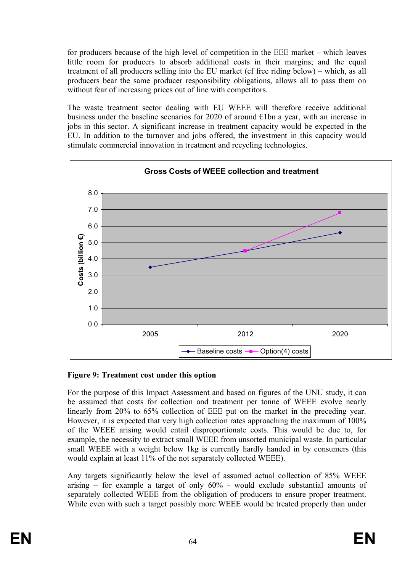for producers because of the high level of competition in the EEE market – which leaves little room for producers to absorb additional costs in their margins; and the equal treatment of all producers selling into the EU market (cf free riding below) – which, as all producers bear the same producer responsibility obligations, allows all to pass them on without fear of increasing prices out of line with competitors.

The waste treatment sector dealing with EU WEEE will therefore receive additional business under the baseline scenarios for 2020 of around  $\epsilon$ 1bn a year, with an increase in jobs in this sector. A significant increase in treatment capacity would be expected in the EU. In addition to the turnover and jobs offered, the investment in this capacity would stimulate commercial innovation in treatment and recycling technologies.



#### **Figure 9: Treatment cost under this option**

For the purpose of this Impact Assessment and based on figures of the UNU study, it can be assumed that costs for collection and treatment per tonne of WEEE evolve nearly linearly from 20% to 65% collection of EEE put on the market in the preceding year. However, it is expected that very high collection rates approaching the maximum of 100% of the WEEE arising would entail disproportionate costs. This would be due to, for example, the necessity to extract small WEEE from unsorted municipal waste. In particular small WEEE with a weight below 1kg is currently hardly handed in by consumers (this would explain at least 11% of the not separately collected WEEE).

Any targets significantly below the level of assumed actual collection of 85% WEEE arising – for example a target of only 60% - would exclude substantial amounts of separately collected WEEE from the obligation of producers to ensure proper treatment. While even with such a target possibly more WEEE would be treated properly than under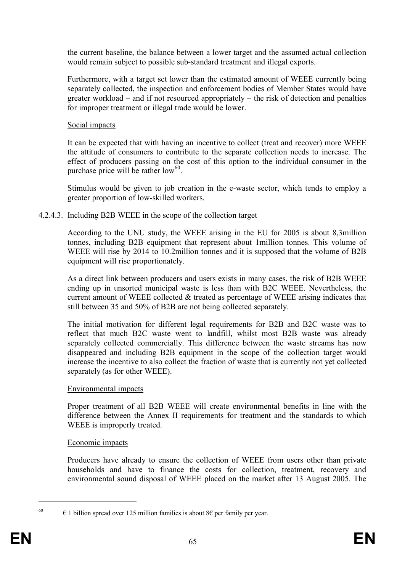the current baseline, the balance between a lower target and the assumed actual collection would remain subject to possible sub-standard treatment and illegal exports.

Furthermore, with a target set lower than the estimated amount of WEEE currently being separately collected, the inspection and enforcement bodies of Member States would have greater workload – and if not resourced appropriately – the risk of detection and penalties for improper treatment or illegal trade would be lower.

# Social impacts

It can be expected that with having an incentive to collect (treat and recover) more WEEE the attitude of consumers to contribute to the separate collection needs to increase. The effect of producers passing on the cost of this option to the individual consumer in the purchase price will be rather low<sup>60</sup>.

Stimulus would be given to job creation in the e-waste sector, which tends to employ a greater proportion of low-skilled workers.

# 4.2.4.3. Including B2B WEEE in the scope of the collection target

According to the UNU study, the WEEE arising in the EU for 2005 is about 8,3million tonnes, including B2B equipment that represent about 1million tonnes. This volume of WEEE will rise by 2014 to 10.2million tonnes and it is supposed that the volume of B2B equipment will rise proportionately.

As a direct link between producers and users exists in many cases, the risk of B2B WEEE ending up in unsorted municipal waste is less than with B2C WEEE. Nevertheless, the current amount of WEEE collected  $&$  treated as percentage of WEEE arising indicates that still between 35 and 50% of B2B are not being collected separately.

The initial motivation for different legal requirements for B2B and B2C waste was to reflect that much B2C waste went to landfill, whilst most B2B waste was already separately collected commercially. This difference between the waste streams has now disappeared and including B2B equipment in the scope of the collection target would increase the incentive to also collect the fraction of waste that is currently not yet collected separately (as for other WEEE).

#### Environmental impacts

Proper treatment of all B2B WEEE will create environmental benefits in line with the difference between the Annex II requirements for treatment and the standards to which WEEE is improperly treated.

# Economic impacts

Producers have already to ensure the collection of WEEE from users other than private households and have to finance the costs for collection, treatment, recovery and environmental sound disposal of WEEE placed on the market after 13 August 2005. The

<sup>&</sup>lt;sup>60</sup>  $\epsilon$  1 billion spread over 125 million families is about 8 $\epsilon$  per family per year.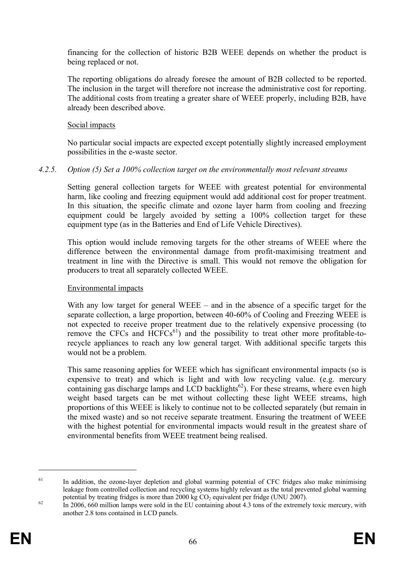financing for the collection of historic B2B WEEE depends on whether the product is being replaced or not.

The reporting obligations do already foresee the amount of B2B collected to be reported. The inclusion in the target will therefore not increase the administrative cost for reporting. The additional costs from treating a greater share of WEEE properly, including B2B, have already been described above.

# Social impacts

No particular social impacts are expected except potentially slightly increased employment possibilities in the e-waste sector.

# *4.2.5. Option (5) Set a 100% collection target on the environmentally most relevant streams*

Setting general collection targets for WEEE with greatest potential for environmental harm, like cooling and freezing equipment would add additional cost for proper treatment. In this situation, the specific climate and ozone layer harm from cooling and freezing equipment could be largely avoided by setting a 100% collection target for these equipment type (as in the Batteries and End of Life Vehicle Directives).

This option would include removing targets for the other streams of WEEE where the difference between the environmental damage from profit-maximising treatment and treatment in line with the Directive is small. This would not remove the obligation for producers to treat all separately collected WEEE.

#### Environmental impacts

With any low target for general WEEE – and in the absence of a specific target for the separate collection, a large proportion, between 40-60% of Cooling and Freezing WEEE is not expected to receive proper treatment due to the relatively expensive processing (to remove the CFCs and  $HCFCs^{61}$ ) and the possibility to treat other more profitable-torecycle appliances to reach any low general target. With additional specific targets this would not be a problem.

This same reasoning applies for WEEE which has significant environmental impacts (so is expensive to treat) and which is light and with low recycling value. (e.g. mercury containing gas discharge lamps and LCD backlights<sup>62</sup>). For these streams, where even high weight based targets can be met without collecting these light WEEE streams, high proportions of this WEEE is likely to continue not to be collected separately (but remain in the mixed waste) and so not receive separate treatment. Ensuring the treatment of WEEE with the highest potential for environmental impacts would result in the greatest share of environmental benefits from WEEE treatment being realised.

<sup>&</sup>lt;sup>61</sup> In addition, the ozone-layer depletion and global warming potential of CFC fridges also make minimising leakage from controlled collection and recycling systems highly relevant as the total prevented global warming potential by treating fridges is more than  $2000 \text{ kg CO}_2$  equivalent per fridge (UNU 2007).

 $\frac{62}{10}$  In 2006, 660 million lamps were sold in the EU containing about 4.3 tons of the extremely toxic mercury, with another 2.8 tons contained in LCD panels.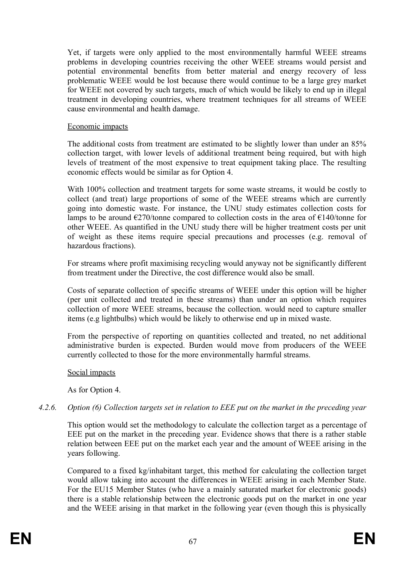Yet, if targets were only applied to the most environmentally harmful WEEE streams problems in developing countries receiving the other WEEE streams would persist and potential environmental benefits from better material and energy recovery of less problematic WEEE would be lost because there would continue to be a large grey market for WEEE not covered by such targets, much of which would be likely to end up in illegal treatment in developing countries, where treatment techniques for all streams of WEEE cause environmental and health damage.

#### Economic impacts

The additional costs from treatment are estimated to be slightly lower than under an 85% collection target, with lower levels of additional treatment being required, but with high levels of treatment of the most expensive to treat equipment taking place. The resulting economic effects would be similar as for Option 4.

With 100% collection and treatment targets for some waste streams, it would be costly to collect (and treat) large proportions of some of the WEEE streams which are currently going into domestic waste. For instance, the UNU study estimates collection costs for lamps to be around  $\epsilon$ 270/tonne compared to collection costs in the area of  $\epsilon$ 140/tonne for other WEEE. As quantified in the UNU study there will be higher treatment costs per unit of weight as these items require special precautions and processes (e.g. removal of hazardous fractions).

For streams where profit maximising recycling would anyway not be significantly different from treatment under the Directive, the cost difference would also be small.

Costs of separate collection of specific streams of WEEE under this option will be higher (per unit collected and treated in these streams) than under an option which requires collection of more WEEE streams, because the collection. would need to capture smaller items (e.g lightbulbs) which would be likely to otherwise end up in mixed waste.

From the perspective of reporting on quantities collected and treated, no net additional administrative burden is expected. Burden would move from producers of the WEEE currently collected to those for the more environmentally harmful streams.

#### Social impacts

As for Option 4.

#### *4.2.6. Option (6) Collection targets set in relation to EEE put on the market in the preceding year*

This option would set the methodology to calculate the collection target as a percentage of EEE put on the market in the preceding year. Evidence shows that there is a rather stable relation between EEE put on the market each year and the amount of WEEE arising in the years following.

Compared to a fixed kg/inhabitant target, this method for calculating the collection target would allow taking into account the differences in WEEE arising in each Member State. For the EU15 Member States (who have a mainly saturated market for electronic goods) there is a stable relationship between the electronic goods put on the market in one year and the WEEE arising in that market in the following year (even though this is physically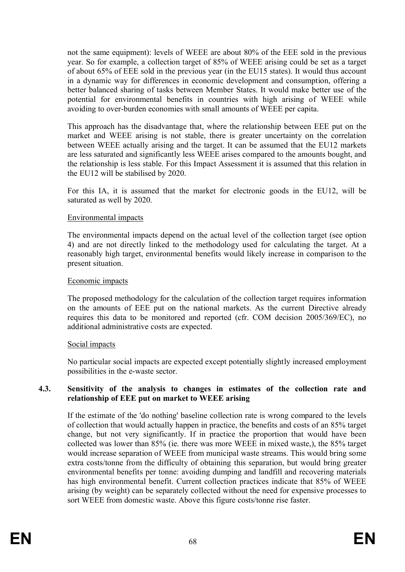not the same equipment): levels of WEEE are about 80% of the EEE sold in the previous year. So for example, a collection target of 85% of WEEE arising could be set as a target of about 65% of EEE sold in the previous year (in the EU15 states). It would thus account in a dynamic way for differences in economic development and consumption, offering a better balanced sharing of tasks between Member States. It would make better use of the potential for environmental benefits in countries with high arising of WEEE while avoiding to over-burden economies with small amounts of WEEE per capita.

This approach has the disadvantage that, where the relationship between EEE put on the market and WEEE arising is not stable, there is greater uncertainty on the correlation between WEEE actually arising and the target. It can be assumed that the EU12 markets are less saturated and significantly less WEEE arises compared to the amounts bought, and the relationship is less stable. For this Impact Assessment it is assumed that this relation in the EU12 will be stabilised by 2020.

For this IA, it is assumed that the market for electronic goods in the EU12, will be saturated as well by 2020.

#### Environmental impacts

The environmental impacts depend on the actual level of the collection target (see option 4) and are not directly linked to the methodology used for calculating the target. At a reasonably high target, environmental benefits would likely increase in comparison to the present situation.

#### Economic impacts

The proposed methodology for the calculation of the collection target requires information on the amounts of EEE put on the national markets. As the current Directive already requires this data to be monitored and reported (cfr. COM decision 2005/369/EC), no additional administrative costs are expected.

#### Social impacts

No particular social impacts are expected except potentially slightly increased employment possibilities in the e-waste sector.

#### **4.3. Sensitivity of the analysis to changes in estimates of the collection rate and relationship of EEE put on market to WEEE arising**

If the estimate of the 'do nothing' baseline collection rate is wrong compared to the levels of collection that would actually happen in practice, the benefits and costs of an 85% target change, but not very significantly. If in practice the proportion that would have been collected was lower than 85% (ie. there was more WEEE in mixed waste,), the 85% target would increase separation of WEEE from municipal waste streams. This would bring some extra costs/tonne from the difficulty of obtaining this separation, but would bring greater environmental benefits per tonne: avoiding dumping and landfill and recovering materials has high environmental benefit. Current collection practices indicate that 85% of WEEE arising (by weight) can be separately collected without the need for expensive processes to sort WEEE from domestic waste. Above this figure costs/tonne rise faster.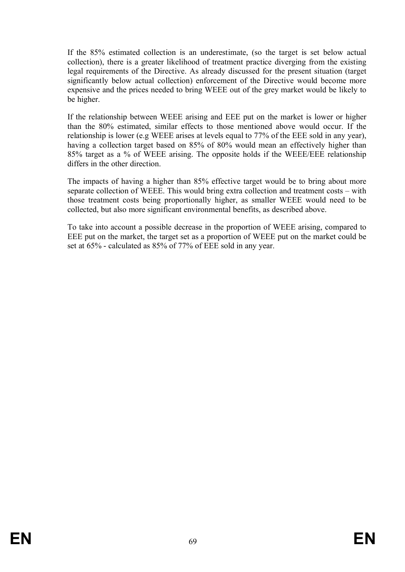If the 85% estimated collection is an underestimate, (so the target is set below actual collection), there is a greater likelihood of treatment practice diverging from the existing legal requirements of the Directive. As already discussed for the present situation (target significantly below actual collection) enforcement of the Directive would become more expensive and the prices needed to bring WEEE out of the grey market would be likely to be higher.

If the relationship between WEEE arising and EEE put on the market is lower or higher than the 80% estimated, similar effects to those mentioned above would occur. If the relationship is lower (e.g WEEE arises at levels equal to 77% of the EEE sold in any year), having a collection target based on 85% of 80% would mean an effectively higher than 85% target as a % of WEEE arising. The opposite holds if the WEEE/EEE relationship differs in the other direction.

The impacts of having a higher than 85% effective target would be to bring about more separate collection of WEEE. This would bring extra collection and treatment costs – with those treatment costs being proportionally higher, as smaller WEEE would need to be collected, but also more significant environmental benefits, as described above.

To take into account a possible decrease in the proportion of WEEE arising, compared to EEE put on the market, the target set as a proportion of WEEE put on the market could be set at 65% - calculated as 85% of 77% of EEE sold in any year.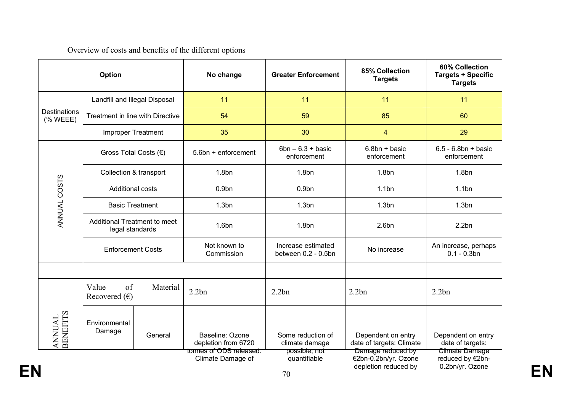# Overview of costs and benefits of the different options

| Option                               |                                                 |          | No change                                    | <b>Greater Enforcement</b>                | 85% Collection<br><b>Targets</b>                                  | 60% Collection<br><b>Targets + Specific</b><br><b>Targets</b> |
|--------------------------------------|-------------------------------------------------|----------|----------------------------------------------|-------------------------------------------|-------------------------------------------------------------------|---------------------------------------------------------------|
| <b>Destinations</b><br>$(%$ (% WEEE) | Landfill and Illegal Disposal                   |          | 11                                           | 11                                        | 11                                                                | 11                                                            |
|                                      | Treatment in line with Directive                |          | 54                                           | 59                                        | 85                                                                | 60                                                            |
|                                      | <b>Improper Treatment</b>                       |          | 35                                           | 30                                        | $\overline{4}$                                                    | 29                                                            |
| ANNUAL COSTS                         | Gross Total Costs (€)                           |          | 5.6bn + enforcement                          | $6bn - 6.3 + basic$<br>enforcement        | $6.8bn + basic$<br>enforcement                                    | $6.5 - 6.8bn + basic$<br>enforcement                          |
|                                      | Collection & transport                          |          | 1.8 <sub>bn</sub>                            | 1.8 <sub>bn</sub>                         | 1.8 <sub>bn</sub>                                                 | 1.8 <sub>bn</sub>                                             |
|                                      | <b>Additional costs</b>                         |          | 0.9 <sub>bn</sub>                            | 0.9 <sub>bn</sub>                         | 1.1bn                                                             | 1.1bn                                                         |
|                                      | <b>Basic Treatment</b>                          |          | 1.3 <sub>bn</sub>                            | 1.3 <sub>bn</sub>                         | 1.3 <sub>bn</sub>                                                 | 1.3 <sub>bn</sub>                                             |
|                                      | Additional Treatment to meet<br>legal standards |          | 1.6 <sub>bn</sub>                            | 1.8 <sub>bn</sub>                         | 2.6 <sub>bn</sub>                                                 | 2.2bn                                                         |
|                                      | <b>Enforcement Costs</b>                        |          | Not known to<br>Commission                   | Increase estimated<br>between 0.2 - 0.5bn | No increase                                                       | An increase, perhaps<br>$0.1 - 0.3$ bn                        |
|                                      |                                                 |          |                                              |                                           |                                                                   |                                                               |
| ANNUAL<br>BENEFITS                   | of<br>Value<br>Recovered $(\epsilon)$           | Material | 2.2bn                                        | 2.2bn                                     | 2.2bn                                                             | 2.2bn                                                         |
|                                      | Environmental<br>Damage                         | General  | Baseline: Ozone<br>depletion from 6720       | Some reduction of<br>climate damage       | Dependent on entry<br>date of targets: Climate                    | Dependent on entry<br>date of targets:                        |
|                                      |                                                 |          | tonnes of ODS released.<br>Climate Damage of | possible; not<br>quantifiable<br>70       | Damage reduced by<br>€2bn-0.2bn/yr. Ozone<br>depletion reduced by | Climate Damage<br>reduced by €2bn-<br>0.2bn/yr. Ozone         |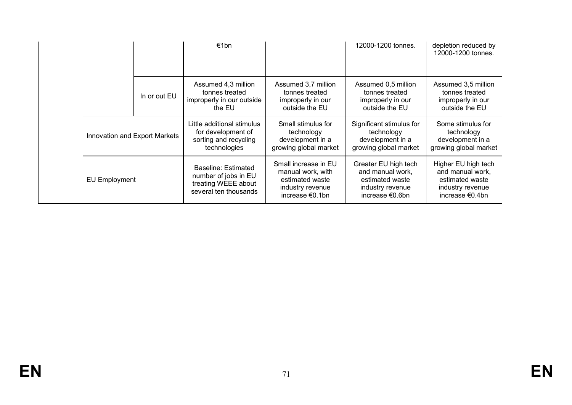|                               |              | €1bn                                                                                        |                                                                               | 12000-1200 tonnes.                                                                                 | depletion reduced by<br>12000-1200 tonnes.                                                        |
|-------------------------------|--------------|---------------------------------------------------------------------------------------------|-------------------------------------------------------------------------------|----------------------------------------------------------------------------------------------------|---------------------------------------------------------------------------------------------------|
|                               | In or out EU | Assumed 4,3 million<br>tonnes treated<br>improperly in our outside<br>the EU                | Assumed 3,7 million<br>tonnes treated<br>improperly in our<br>outside the EU  | Assumed 0,5 million<br>tonnes treated<br>improperly in our<br>outside the EU                       | Assumed 3,5 million<br>tonnes treated<br>improperly in our<br>outside the EU                      |
| Innovation and Export Markets |              | Little additional stimulus<br>for development of<br>sorting and recycling<br>technologies   | Small stimulus for<br>technology<br>development in a<br>growing global market | Significant stimulus for<br>technology<br>development in a<br>growing global market                | Some stimulus for<br>technology<br>development in a<br>growing global market                      |
| <b>EU Employment</b>          |              | Baseline: Estimated<br>number of jobs in EU<br>treating WEEE about<br>several ten thousands |                                                                               | Greater EU high tech<br>and manual work,<br>estimated waste<br>industry revenue<br>increase €0.6bn | Higher EU high tech<br>and manual work,<br>estimated waste<br>industry revenue<br>increase €0.4bn |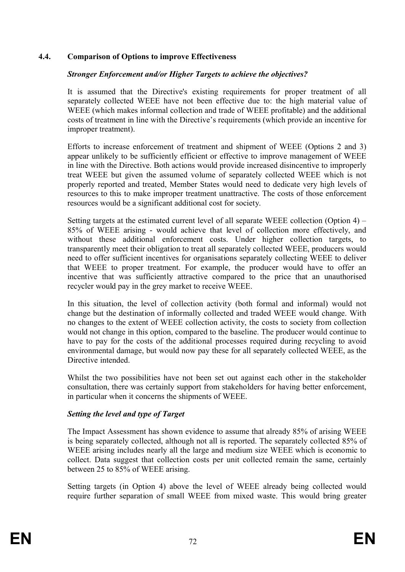#### **4.4. Comparison of Options to improve Effectiveness**

#### *Stronger Enforcement and/or Higher Targets to achieve the objectives?*

It is assumed that the Directive's existing requirements for proper treatment of all separately collected WEEE have not been effective due to: the high material value of WEEE (which makes informal collection and trade of WEEE profitable) and the additional costs of treatment in line with the Directive's requirements (which provide an incentive for improper treatment).

Efforts to increase enforcement of treatment and shipment of WEEE (Options 2 and 3) appear unlikely to be sufficiently efficient or effective to improve management of WEEE in line with the Directive. Both actions would provide increased disincentive to improperly treat WEEE but given the assumed volume of separately collected WEEE which is not properly reported and treated, Member States would need to dedicate very high levels of resources to this to make improper treatment unattractive. The costs of those enforcement resources would be a significant additional cost for society.

Setting targets at the estimated current level of all separate WEEE collection (Option 4) – 85% of WEEE arising - would achieve that level of collection more effectively, and without these additional enforcement costs. Under higher collection targets, to transparently meet their obligation to treat all separately collected WEEE, producers would need to offer sufficient incentives for organisations separately collecting WEEE to deliver that WEEE to proper treatment. For example, the producer would have to offer an incentive that was sufficiently attractive compared to the price that an unauthorised recycler would pay in the grey market to receive WEEE.

In this situation, the level of collection activity (both formal and informal) would not change but the destination of informally collected and traded WEEE would change. With no changes to the extent of WEEE collection activity, the costs to society from collection would not change in this option, compared to the baseline. The producer would continue to have to pay for the costs of the additional processes required during recycling to avoid environmental damage, but would now pay these for all separately collected WEEE, as the Directive intended.

Whilst the two possibilities have not been set out against each other in the stakeholder consultation, there was certainly support from stakeholders for having better enforcement, in particular when it concerns the shipments of WEEE.

#### *Setting the level and type of Target*

The Impact Assessment has shown evidence to assume that already 85% of arising WEEE is being separately collected, although not all is reported. The separately collected 85% of WEEE arising includes nearly all the large and medium size WEEE which is economic to collect. Data suggest that collection costs per unit collected remain the same, certainly between 25 to 85% of WEEE arising.

Setting targets (in Option 4) above the level of WEEE already being collected would require further separation of small WEEE from mixed waste. This would bring greater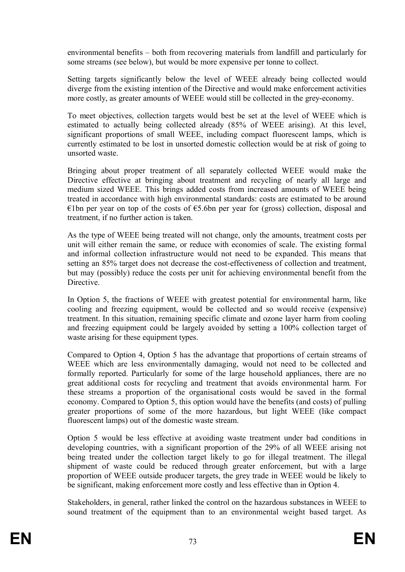environmental benefits – both from recovering materials from landfill and particularly for some streams (see below), but would be more expensive per tonne to collect.

Setting targets significantly below the level of WEEE already being collected would diverge from the existing intention of the Directive and would make enforcement activities more costly, as greater amounts of WEEE would still be collected in the grey-economy.

To meet objectives, collection targets would best be set at the level of WEEE which is estimated to actually being collected already (85% of WEEE arising). At this level, significant proportions of small WEEE, including compact fluorescent lamps, which is currently estimated to be lost in unsorted domestic collection would be at risk of going to unsorted waste.

Bringing about proper treatment of all separately collected WEEE would make the Directive effective at bringing about treatment and recycling of nearly all large and medium sized WEEE. This brings added costs from increased amounts of WEEE being treated in accordance with high environmental standards: costs are estimated to be around €1bn per year on top of the costs of €5.6bn per year for (gross) collection, disposal and treatment, if no further action is taken.

As the type of WEEE being treated will not change, only the amounts, treatment costs per unit will either remain the same, or reduce with economies of scale. The existing formal and informal collection infrastructure would not need to be expanded. This means that setting an 85% target does not decrease the cost-effectiveness of collection and treatment, but may (possibly) reduce the costs per unit for achieving environmental benefit from the Directive.

In Option 5, the fractions of WEEE with greatest potential for environmental harm, like cooling and freezing equipment, would be collected and so would receive (expensive) treatment. In this situation, remaining specific climate and ozone layer harm from cooling and freezing equipment could be largely avoided by setting a 100% collection target of waste arising for these equipment types.

Compared to Option 4, Option 5 has the advantage that proportions of certain streams of WEEE which are less environmentally damaging, would not need to be collected and formally reported. Particularly for some of the large household appliances, there are no great additional costs for recycling and treatment that avoids environmental harm. For these streams a proportion of the organisational costs would be saved in the formal economy. Compared to Option 5, this option would have the benefits (and costs) of pulling greater proportions of some of the more hazardous, but light WEEE (like compact fluorescent lamps) out of the domestic waste stream.

Option 5 would be less effective at avoiding waste treatment under bad conditions in developing countries, with a significant proportion of the 29% of all WEEE arising not being treated under the collection target likely to go for illegal treatment. The illegal shipment of waste could be reduced through greater enforcement, but with a large proportion of WEEE outside producer targets, the grey trade in WEEE would be likely to be significant, making enforcement more costly and less effective than in Option 4.

Stakeholders, in general, rather linked the control on the hazardous substances in WEEE to sound treatment of the equipment than to an environmental weight based target. As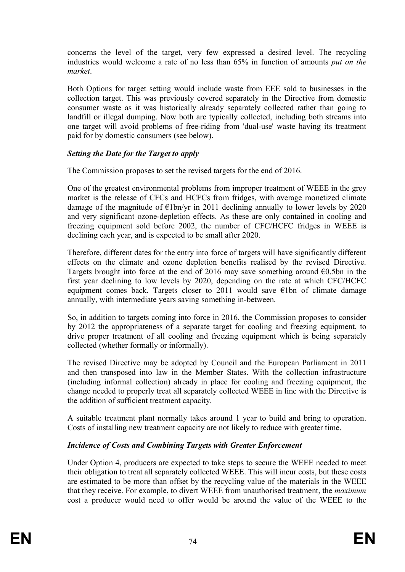concerns the level of the target, very few expressed a desired level. The recycling industries would welcome a rate of no less than 65% in function of amounts *put on the market*.

Both Options for target setting would include waste from EEE sold to businesses in the collection target. This was previously covered separately in the Directive from domestic consumer waste as it was historically already separately collected rather than going to landfill or illegal dumping. Now both are typically collected, including both streams into one target will avoid problems of free-riding from 'dual-use' waste having its treatment paid for by domestic consumers (see below).

### *Setting the Date for the Target to apply*

The Commission proposes to set the revised targets for the end of 2016.

One of the greatest environmental problems from improper treatment of WEEE in the grey market is the release of CFCs and HCFCs from fridges, with average monetized climate damage of the magnitude of  $\epsilon$ 1bn/yr in 2011 declining annually to lower levels by 2020 and very significant ozone-depletion effects. As these are only contained in cooling and freezing equipment sold before 2002, the number of CFC/HCFC fridges in WEEE is declining each year, and is expected to be small after 2020.

Therefore, different dates for the entry into force of targets will have significantly different effects on the climate and ozone depletion benefits realised by the revised Directive. Targets brought into force at the end of 2016 may save something around  $\epsilon$ 0.5bn in the first year declining to low levels by 2020, depending on the rate at which CFC/HCFC equipment comes back. Targets closer to 2011 would save  $\epsilon$ 1bn of climate damage annually, with intermediate years saving something in-between.

So, in addition to targets coming into force in 2016, the Commission proposes to consider by 2012 the appropriateness of a separate target for cooling and freezing equipment, to drive proper treatment of all cooling and freezing equipment which is being separately collected (whether formally or informally).

The revised Directive may be adopted by Council and the European Parliament in 2011 and then transposed into law in the Member States. With the collection infrastructure (including informal collection) already in place for cooling and freezing equipment, the change needed to properly treat all separately collected WEEE in line with the Directive is the addition of sufficient treatment capacity.

A suitable treatment plant normally takes around 1 year to build and bring to operation. Costs of installing new treatment capacity are not likely to reduce with greater time.

### *Incidence of Costs and Combining Targets with Greater Enforcement*

Under Option 4, producers are expected to take steps to secure the WEEE needed to meet their obligation to treat all separately collected WEEE. This will incur costs, but these costs are estimated to be more than offset by the recycling value of the materials in the WEEE that they receive. For example, to divert WEEE from unauthorised treatment, the *maximum* cost a producer would need to offer would be around the value of the WEEE to the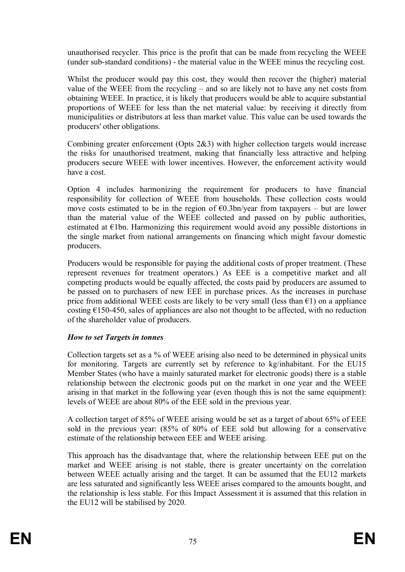unauthorised recycler. This price is the profit that can be made from recycling the WEEE (under sub-standard conditions) - the material value in the WEEE minus the recycling cost.

Whilst the producer would pay this cost, they would then recover the (higher) material value of the WEEE from the recycling – and so are likely not to have any net costs from obtaining WEEE. In practice, it is likely that producers would be able to acquire substantial proportions of WEEE for less than the net material value: by receiving it directly from municipalities or distributors at less than market value. This value can be used towards the producers' other obligations.

Combining greater enforcement (Opts 2&3) with higher collection targets would increase the risks for unauthorised treatment, making that financially less attractive and helping producers secure WEEE with lower incentives. However, the enforcement activity would have a cost.

Option 4 includes harmonizing the requirement for producers to have financial responsibility for collection of WEEE from households. These collection costs would move costs estimated to be in the region of  $\epsilon$ 0.3bn/year from taxpayers – but are lower than the material value of the WEEE collected and passed on by public authorities, estimated at €1bn. Harmonizing this requirement would avoid any possible distortions in the single market from national arrangements on financing which might favour domestic producers.

Producers would be responsible for paying the additional costs of proper treatment. (These represent revenues for treatment operators.) As EEE is a competitive market and all competing products would be equally affected, the costs paid by producers are assumed to be passed on to purchasers of new EEE in purchase prices. As the increases in purchase price from additional WEEE costs are likely to be very small (less than  $\epsilon$ 1) on a appliance costing  $E$ 150-450, sales of appliances are also not thought to be affected, with no reduction of the shareholder value of producers.

### *How to set Targets in tonnes*

Collection targets set as a % of WEEE arising also need to be determined in physical units for monitoring. Targets are currently set by reference to kg/inhabitant. For the EU15 Member States (who have a mainly saturated market for electronic goods) there is a stable relationship between the electronic goods put on the market in one year and the WEEE arising in that market in the following year (even though this is not the same equipment): levels of WEEE are about 80% of the EEE sold in the previous year.

A collection target of 85% of WEEE arising would be set as a target of about 65% of EEE sold in the previous year: (85% of 80% of EEE sold but allowing for a conservative estimate of the relationship between EEE and WEEE arising.

This approach has the disadvantage that, where the relationship between EEE put on the market and WEEE arising is not stable, there is greater uncertainty on the correlation between WEEE actually arising and the target. It can be assumed that the EU12 markets are less saturated and significantly less WEEE arises compared to the amounts bought, and the relationship is less stable. For this Impact Assessment it is assumed that this relation in the EU12 will be stabilised by 2020.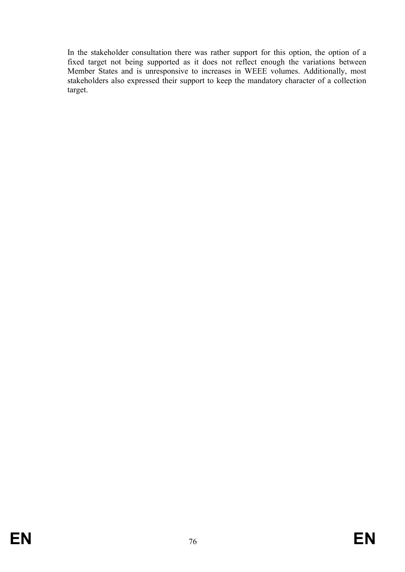In the stakeholder consultation there was rather support for this option, the option of a fixed target not being supported as it does not reflect enough the variations between Member States and is unresponsive to increases in WEEE volumes. Additionally, most stakeholders also expressed their support to keep the mandatory character of a collection target.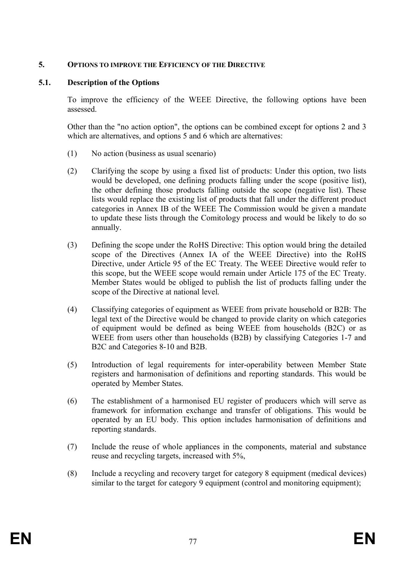#### **5. OPTIONS TO IMPROVE THE EFFICIENCY OF THE DIRECTIVE**

#### **5.1. Description of the Options**

To improve the efficiency of the WEEE Directive, the following options have been assessed.

Other than the "no action option", the options can be combined except for options 2 and 3 which are alternatives, and options 5 and 6 which are alternatives:

- (1) No action (business as usual scenario)
- (2) Clarifying the scope by using a fixed list of products: Under this option, two lists would be developed, one defining products falling under the scope (positive list), the other defining those products falling outside the scope (negative list). These lists would replace the existing list of products that fall under the different product categories in Annex IB of the WEEE The Commission would be given a mandate to update these lists through the Comitology process and would be likely to do so annually.
- (3) Defining the scope under the RoHS Directive: This option would bring the detailed scope of the Directives (Annex IA of the WEEE Directive) into the RoHS Directive, under Article 95 of the EC Treaty. The WEEE Directive would refer to this scope, but the WEEE scope would remain under Article 175 of the EC Treaty. Member States would be obliged to publish the list of products falling under the scope of the Directive at national level.
- (4) Classifying categories of equipment as WEEE from private household or B2B: The legal text of the Directive would be changed to provide clarity on which categories of equipment would be defined as being WEEE from households (B2C) or as WEEE from users other than households (B2B) by classifying Categories 1-7 and B2C and Categories 8-10 and B2B.
- (5) Introduction of legal requirements for inter-operability between Member State registers and harmonisation of definitions and reporting standards. This would be operated by Member States.
- (6) The establishment of a harmonised EU register of producers which will serve as framework for information exchange and transfer of obligations. This would be operated by an EU body. This option includes harmonisation of definitions and reporting standards.
- (7) Include the reuse of whole appliances in the components, material and substance reuse and recycling targets, increased with 5%,
- (8) Include a recycling and recovery target for category 8 equipment (medical devices) similar to the target for category 9 equipment (control and monitoring equipment);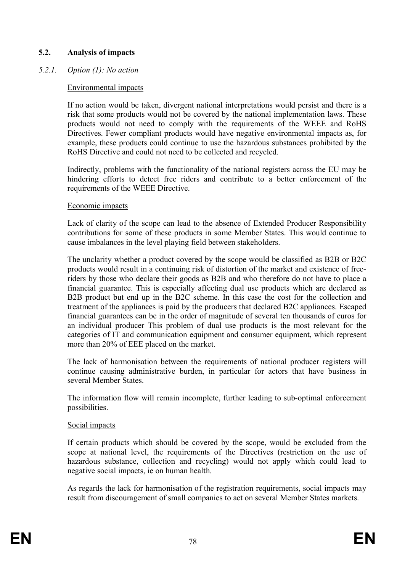### **5.2. Analysis of impacts**

### *5.2.1. Option (1): No action*

### Environmental impacts

If no action would be taken, divergent national interpretations would persist and there is a risk that some products would not be covered by the national implementation laws. These products would not need to comply with the requirements of the WEEE and RoHS Directives. Fewer compliant products would have negative environmental impacts as, for example, these products could continue to use the hazardous substances prohibited by the RoHS Directive and could not need to be collected and recycled.

Indirectly, problems with the functionality of the national registers across the EU may be hindering efforts to detect free riders and contribute to a better enforcement of the requirements of the WEEE Directive.

#### Economic impacts

Lack of clarity of the scope can lead to the absence of Extended Producer Responsibility contributions for some of these products in some Member States. This would continue to cause imbalances in the level playing field between stakeholders.

The unclarity whether a product covered by the scope would be classified as B2B or B2C products would result in a continuing risk of distortion of the market and existence of freeriders by those who declare their goods as B2B and who therefore do not have to place a financial guarantee. This is especially affecting dual use products which are declared as B2B product but end up in the B2C scheme. In this case the cost for the collection and treatment of the appliances is paid by the producers that declared B2C appliances. Escaped financial guarantees can be in the order of magnitude of several ten thousands of euros for an individual producer This problem of dual use products is the most relevant for the categories of IT and communication equipment and consumer equipment, which represent more than 20% of EEE placed on the market.

The lack of harmonisation between the requirements of national producer registers will continue causing administrative burden, in particular for actors that have business in several Member States.

The information flow will remain incomplete, further leading to sub-optimal enforcement possibilities.

### Social impacts

If certain products which should be covered by the scope, would be excluded from the scope at national level, the requirements of the Directives (restriction on the use of hazardous substance, collection and recycling) would not apply which could lead to negative social impacts, ie on human health.

As regards the lack for harmonisation of the registration requirements, social impacts may result from discouragement of small companies to act on several Member States markets.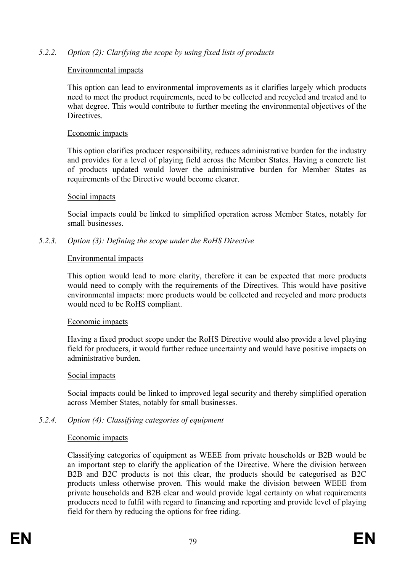### *5.2.2. Option (2): Clarifying the scope by using fixed lists of products*

#### Environmental impacts

This option can lead to environmental improvements as it clarifies largely which products need to meet the product requirements, need to be collected and recycled and treated and to what degree. This would contribute to further meeting the environmental objectives of the Directives.

#### Economic impacts

This option clarifies producer responsibility, reduces administrative burden for the industry and provides for a level of playing field across the Member States. Having a concrete list of products updated would lower the administrative burden for Member States as requirements of the Directive would become clearer.

#### Social impacts

Social impacts could be linked to simplified operation across Member States, notably for small businesses.

#### *5.2.3. Option (3): Defining the scope under the RoHS Directive*

#### Environmental impacts

This option would lead to more clarity, therefore it can be expected that more products would need to comply with the requirements of the Directives. This would have positive environmental impacts: more products would be collected and recycled and more products would need to be RoHS compliant.

#### Economic impacts

Having a fixed product scope under the RoHS Directive would also provide a level playing field for producers, it would further reduce uncertainty and would have positive impacts on administrative burden.

#### Social impacts

Social impacts could be linked to improved legal security and thereby simplified operation across Member States, notably for small businesses.

### *5.2.4. Option (4): Classifying categories of equipment*

#### Economic impacts

Classifying categories of equipment as WEEE from private households or B2B would be an important step to clarify the application of the Directive. Where the division between B2B and B2C products is not this clear, the products should be categorised as B2C products unless otherwise proven. This would make the division between WEEE from private households and B2B clear and would provide legal certainty on what requirements producers need to fulfil with regard to financing and reporting and provide level of playing field for them by reducing the options for free riding.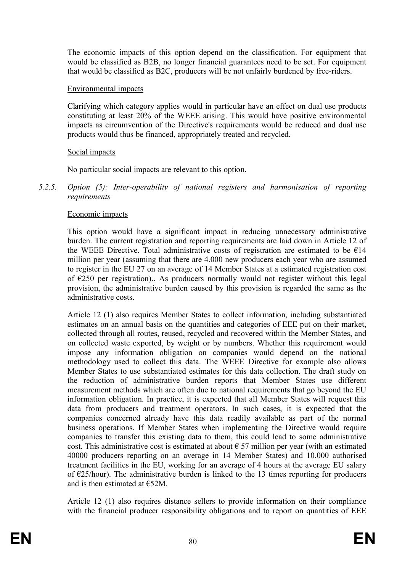The economic impacts of this option depend on the classification. For equipment that would be classified as B2B, no longer financial guarantees need to be set. For equipment that would be classified as B2C, producers will be not unfairly burdened by free-riders.

#### Environmental impacts

Clarifying which category applies would in particular have an effect on dual use products constituting at least 20% of the WEEE arising. This would have positive environmental impacts as circumvention of the Directive's requirements would be reduced and dual use products would thus be financed, appropriately treated and recycled.

#### Social impacts

No particular social impacts are relevant to this option.

*5.2.5. Option (5): Inter-operability of national registers and harmonisation of reporting requirements*

#### Economic impacts

This option would have a significant impact in reducing unnecessary administrative burden. The current registration and reporting requirements are laid down in Article 12 of the WEEE Directive. Total administrative costs of registration are estimated to be  $E14$ million per year (assuming that there are 4.000 new producers each year who are assumed to register in the EU 27 on an average of 14 Member States at a estimated registration cost of  $\epsilon$ 250 per registration).. As producers normally would not register without this legal provision, the administrative burden caused by this provision is regarded the same as the administrative costs.

Article 12 (1) also requires Member States to collect information, including substantiated estimates on an annual basis on the quantities and categories of EEE put on their market, collected through all routes, reused, recycled and recovered within the Member States, and on collected waste exported, by weight or by numbers. Whether this requirement would impose any information obligation on companies would depend on the national methodology used to collect this data. The WEEE Directive for example also allows Member States to use substantiated estimates for this data collection. The draft study on the reduction of administrative burden reports that Member States use different measurement methods which are often due to national requirements that go beyond the EU information obligation. In practice, it is expected that all Member States will request this data from producers and treatment operators. In such cases, it is expected that the companies concerned already have this data readily available as part of the normal business operations. If Member States when implementing the Directive would require companies to transfer this existing data to them, this could lead to some administrative cost. This administrative cost is estimated at about  $\epsilon$  57 million per year (with an estimated 40000 producers reporting on an average in 14 Member States) and 10,000 authorised treatment facilities in the EU, working for an average of 4 hours at the average EU salary of €25/hour). The administrative burden is linked to the 13 times reporting for producers and is then estimated at €52M.

Article 12 (1) also requires distance sellers to provide information on their compliance with the financial producer responsibility obligations and to report on quantities of EEE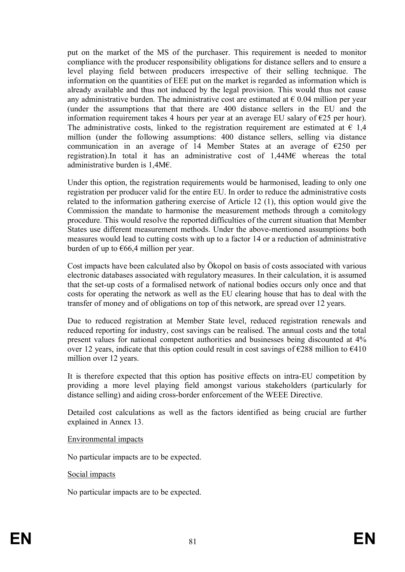put on the market of the MS of the purchaser. This requirement is needed to monitor compliance with the producer responsibility obligations for distance sellers and to ensure a level playing field between producers irrespective of their selling technique. The information on the quantities of EEE put on the market is regarded as information which is already available and thus not induced by the legal provision. This would thus not cause any administrative burden. The administrative cost are estimated at  $\epsilon$  0.04 million per year (under the assumptions that that there are 400 distance sellers in the EU and the information requirement takes 4 hours per year at an average EU salary of  $\epsilon$ 25 per hour). The administrative costs, linked to the registration requirement are estimated at  $\epsilon$  1,4 million (under the following assumptions: 400 distance sellers, selling via distance communication in an average of 14 Member States at an average of  $E$ 250 per registration).In total it has an administrative cost of 1,44M€ whereas the total administrative burden is 1,4M€.

Under this option, the registration requirements would be harmonised, leading to only one registration per producer valid for the entire EU. In order to reduce the administrative costs related to the information gathering exercise of Article 12 (1), this option would give the Commission the mandate to harmonise the measurement methods through a comitology procedure. This would resolve the reported difficulties of the current situation that Member States use different measurement methods. Under the above-mentioned assumptions both measures would lead to cutting costs with up to a factor 14 or a reduction of administrative burden of up to  $\epsilon$ 66,4 million per year.

Cost impacts have been calculated also by Ökopol on basis of costs associated with various electronic databases associated with regulatory measures. In their calculation, it is assumed that the set-up costs of a formalised network of national bodies occurs only once and that costs for operating the network as well as the EU clearing house that has to deal with the transfer of money and of obligations on top of this network, are spread over 12 years.

Due to reduced registration at Member State level, reduced registration renewals and reduced reporting for industry, cost savings can be realised. The annual costs and the total present values for national competent authorities and businesses being discounted at 4% over 12 years, indicate that this option could result in cost savings of  $\epsilon$ 288 million to  $\epsilon$ 410 million over 12 years.

It is therefore expected that this option has positive effects on intra-EU competition by providing a more level playing field amongst various stakeholders (particularly for distance selling) and aiding cross-border enforcement of the WEEE Directive.

Detailed cost calculations as well as the factors identified as being crucial are further explained in Annex 13.

#### Environmental impacts

No particular impacts are to be expected.

#### Social impacts

No particular impacts are to be expected.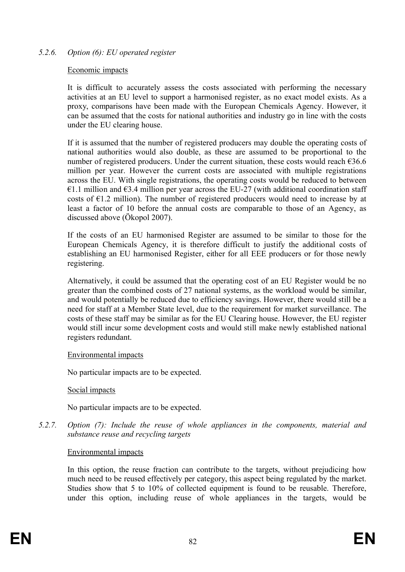### *5.2.6. Option (6): EU operated register*

#### Economic impacts

It is difficult to accurately assess the costs associated with performing the necessary activities at an EU level to support a harmonised register, as no exact model exists. As a proxy, comparisons have been made with the European Chemicals Agency. However, it can be assumed that the costs for national authorities and industry go in line with the costs under the EU clearing house.

If it is assumed that the number of registered producers may double the operating costs of national authorities would also double, as these are assumed to be proportional to the number of registered producers. Under the current situation, these costs would reach  $636.6$ million per year. However the current costs are associated with multiple registrations across the EU. With single registrations, the operating costs would be reduced to between €1.1 million and  $€3.4$  million per year across the EU-27 (with additional coordination staff costs of  $E1.2$  million). The number of registered producers would need to increase by at least a factor of 10 before the annual costs are comparable to those of an Agency, as discussed above (Ökopol 2007).

If the costs of an EU harmonised Register are assumed to be similar to those for the European Chemicals Agency, it is therefore difficult to justify the additional costs of establishing an EU harmonised Register, either for all EEE producers or for those newly registering.

Alternatively, it could be assumed that the operating cost of an EU Register would be no greater than the combined costs of 27 national systems, as the workload would be similar, and would potentially be reduced due to efficiency savings. However, there would still be a need for staff at a Member State level, due to the requirement for market surveillance. The costs of these staff may be similar as for the EU Clearing house. However, the EU register would still incur some development costs and would still make newly established national registers redundant.

#### Environmental impacts

No particular impacts are to be expected.

#### Social impacts

No particular impacts are to be expected.

*5.2.7. Option (7): Include the reuse of whole appliances in the components, material and substance reuse and recycling targets*

#### Environmental impacts

In this option, the reuse fraction can contribute to the targets, without prejudicing how much need to be reused effectively per category, this aspect being regulated by the market. Studies show that 5 to 10% of collected equipment is found to be reusable. Therefore, under this option, including reuse of whole appliances in the targets, would be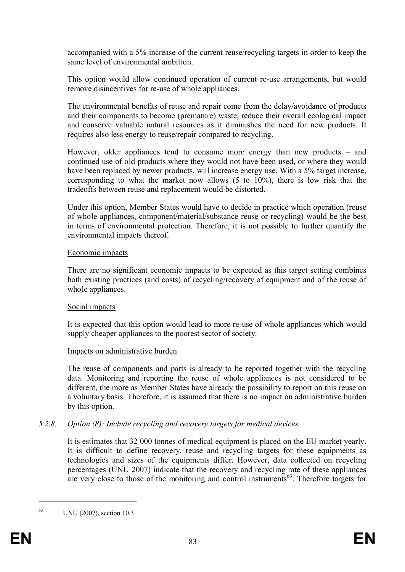accompanied with a 5% increase of the current reuse/recycling targets in order to keep the same level of environmental ambition.

This option would allow continued operation of current re-use arrangements, but would remove disincentives for re-use of whole appliances.

The environmental benefits of reuse and repair come from the delay/avoidance of products and their components to become (premature) waste, reduce their overall ecological impact and conserve valuable natural resources as it diminishes the need for new products. It requires also less energy to reuse/repair compared to recycling.

However, older appliances tend to consume more energy than new products – and continued use of old products where they would not have been used, or where they would have been replaced by newer products, will increase energy use. With a 5% target increase, corresponding to what the market now allows (5 to 10%), there is low risk that the tradeoffs between reuse and replacement would be distorted.

Under this option, Member States would have to decide in practice which operation (reuse of whole appliances, component/material/substance reuse or recycling) would be the best in terms of environmental protection. Therefore, it is not possible to further quantify the environmental impacts thereof.

#### Economic impacts

There are no significant economic impacts to be expected as this target setting combines both existing practices (and costs) of recycling/recovery of equipment and of the reuse of whole appliances.

### Social impacts

It is expected that this option would lead to more re-use of whole appliances which would supply cheaper appliances to the poorest sector of society.

### Impacts on administrative burden

The reuse of components and parts is already to be reported together with the recycling data. Monitoring and reporting the reuse of whole appliances is not considered to be different, the more as Member States have already the possibility to report on this reuse on a voluntary basis. Therefore, it is assumed that there is no impact on administrative burden by this option.

### *5.2.8. Option (8): Include recycling and recovery targets for medical devices*

It is estimates that 32 000 tonnes of medical equipment is placed on the EU market yearly. It is difficult to define recovery, reuse and recycling targets for these equipments as technologies and sizes of the equipments differ. However, data collected on recycling percentages (UNU 2007) indicate that the recovery and recycling rate of these appliances are very close to those of the monitoring and control instruments<sup>63</sup>. Therefore targets for

<sup>63</sup> UNU (2007), section 10.3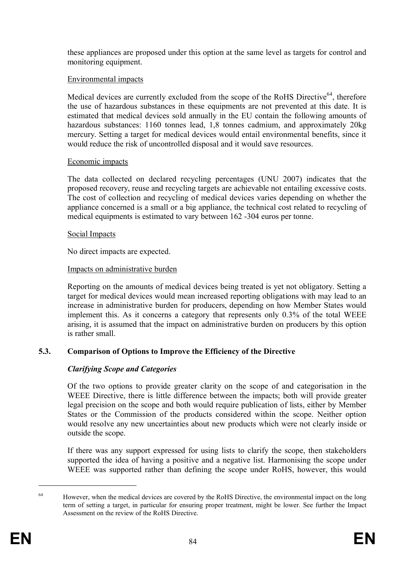these appliances are proposed under this option at the same level as targets for control and monitoring equipment.

### Environmental impacts

Medical devices are currently excluded from the scope of the RoHS Directive<sup>64</sup>, therefore the use of hazardous substances in these equipments are not prevented at this date. It is estimated that medical devices sold annually in the EU contain the following amounts of hazardous substances: 1160 tonnes lead, 1,8 tonnes cadmium, and approximately 20kg mercury. Setting a target for medical devices would entail environmental benefits, since it would reduce the risk of uncontrolled disposal and it would save resources.

#### Economic impacts

The data collected on declared recycling percentages (UNU 2007) indicates that the proposed recovery, reuse and recycling targets are achievable not entailing excessive costs. The cost of collection and recycling of medical devices varies depending on whether the appliance concerned is a small or a big appliance, the technical cost related to recycling of medical equipments is estimated to vary between 162 -304 euros per tonne.

#### Social Impacts

No direct impacts are expected.

#### Impacts on administrative burden

Reporting on the amounts of medical devices being treated is yet not obligatory. Setting a target for medical devices would mean increased reporting obligations with may lead to an increase in administrative burden for producers, depending on how Member States would implement this. As it concerns a category that represents only 0.3% of the total WEEE arising, it is assumed that the impact on administrative burden on producers by this option is rather small.

### **5.3. Comparison of Options to Improve the Efficiency of the Directive**

### *Clarifying Scope and Categories*

Of the two options to provide greater clarity on the scope of and categorisation in the WEEE Directive, there is little difference between the impacts; both will provide greater legal precision on the scope and both would require publication of lists, either by Member States or the Commission of the products considered within the scope. Neither option would resolve any new uncertainties about new products which were not clearly inside or outside the scope.

If there was any support expressed for using lists to clarify the scope, then stakeholders supported the idea of having a positive and a negative list. Harmonising the scope under WEEE was supported rather than defining the scope under RoHS, however, this would

<sup>&</sup>lt;sup>64</sup> However, when the medical devices are covered by the RoHS Directive, the environmental impact on the long term of setting a target, in particular for ensuring proper treatment, might be lower. See further the Impact Assessment on the review of the RoHS Directive.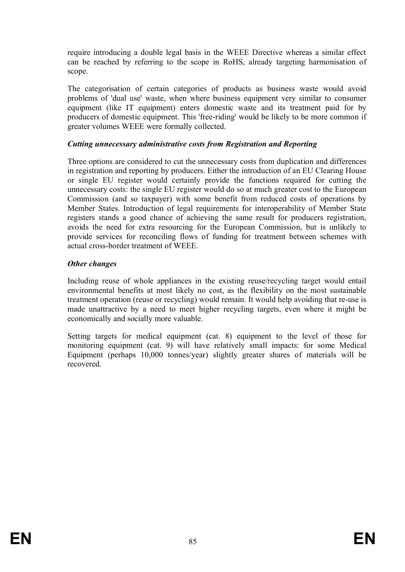require introducing a double legal basis in the WEEE Directive whereas a similar effect can be reached by referring to the scope in RoHS, already targeting harmonisation of scope.

The categorisation of certain categories of products as business waste would avoid problems of 'dual use' waste, when where business equipment very similar to consumer equipment (like IT equipment) enters domestic waste and its treatment paid for by producers of domestic equipment. This 'free-riding' would be likely to be more common if greater volumes WEEE were formally collected.

#### *Cutting unnecessary administrative costs from Registration and Reporting*

Three options are considered to cut the unnecessary costs from duplication and differences in registration and reporting by producers. Either the introduction of an EU Clearing House or single EU register would certainly provide the functions required for cutting the unnecessary costs: the single EU register would do so at much greater cost to the European Commission (and so taxpayer) with some benefit from reduced costs of operations by Member States. Introduction of legal requirements for interoperability of Member State registers stands a good chance of achieving the same result for producers registration, avoids the need for extra resourcing for the European Commission, but is unlikely to provide services for reconciling flows of funding for treatment between schemes with actual cross-border treatment of WEEE.

#### *Other changes*

Including reuse of whole appliances in the existing reuse/recycling target would entail environmental benefits at most likely no cost, as the flexibility on the most sustainable treatment operation (reuse or recycling) would remain. It would help avoiding that re-use is made unattractive by a need to meet higher recycling targets, even where it might be economically and socially more valuable.

Setting targets for medical equipment (cat. 8) equipment to the level of those for monitoring equipment (cat. 9) will have relatively small impacts: for some Medical Equipment (perhaps 10,000 tonnes/year) slightly greater shares of materials will be recovered.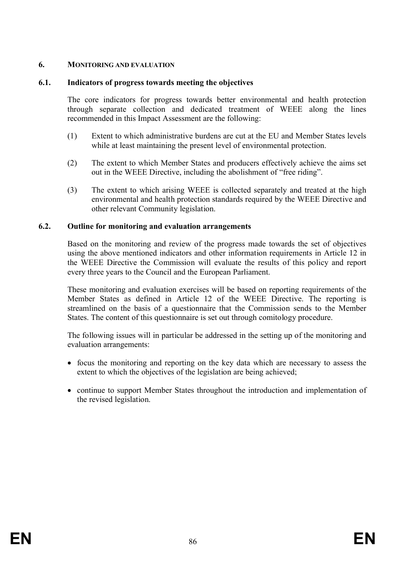### **6. MONITORING AND EVALUATION**

#### **6.1. Indicators of progress towards meeting the objectives**

The core indicators for progress towards better environmental and health protection through separate collection and dedicated treatment of WEEE along the lines recommended in this Impact Assessment are the following:

- (1) Extent to which administrative burdens are cut at the EU and Member States levels while at least maintaining the present level of environmental protection.
- (2) The extent to which Member States and producers effectively achieve the aims set out in the WEEE Directive, including the abolishment of "free riding".
- (3) The extent to which arising WEEE is collected separately and treated at the high environmental and health protection standards required by the WEEE Directive and other relevant Community legislation.

#### **6.2. Outline for monitoring and evaluation arrangements**

Based on the monitoring and review of the progress made towards the set of objectives using the above mentioned indicators and other information requirements in Article 12 in the WEEE Directive the Commission will evaluate the results of this policy and report every three years to the Council and the European Parliament.

These monitoring and evaluation exercises will be based on reporting requirements of the Member States as defined in Article 12 of the WEEE Directive. The reporting is streamlined on the basis of a questionnaire that the Commission sends to the Member States. The content of this questionnaire is set out through comitology procedure.

The following issues will in particular be addressed in the setting up of the monitoring and evaluation arrangements:

- · focus the monitoring and reporting on the key data which are necessary to assess the extent to which the objectives of the legislation are being achieved;
- continue to support Member States throughout the introduction and implementation of the revised legislation.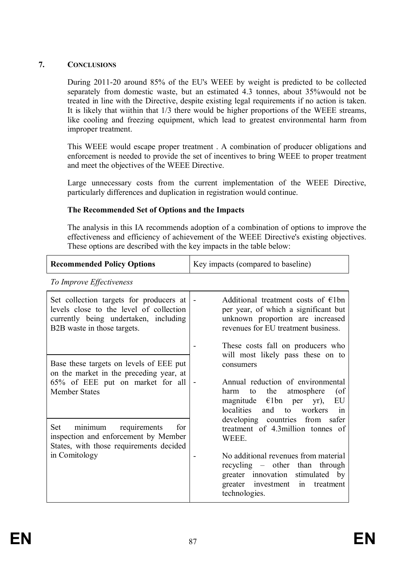### **7. CONCLUSIONS**

During 2011-20 around 85% of the EU's WEEE by weight is predicted to be collected separately from domestic waste, but an estimated 4.3 tonnes, about 35%would not be treated in line with the Directive, despite existing legal requirements if no action is taken. It is likely that wiithin that 1/3 there would be higher proportions of the WEEE streams, like cooling and freezing equipment, which lead to greatest environmental harm from improper treatment.

This WEEE would escape proper treatment . A combination of producer obligations and enforcement is needed to provide the set of incentives to bring WEEE to proper treatment and meet the objectives of the WEEE Directive.

Large unnecessary costs from the current implementation of the WEEE Directive, particularly differences and duplication in registration would continue.

#### **The Recommended Set of Options and the Impacts**

The analysis in this IA recommends adoption of a combination of options to improve the effectiveness and efficiency of achievement of the WEEE Directive's existing objectives. These options are described with the key impacts in the table below:

| <b>Recommended Policy Options</b>                                                                                                                                                                                                                                                        | Key impacts (compared to baseline)                                                                                                                                                                                                                        |  |  |  |
|------------------------------------------------------------------------------------------------------------------------------------------------------------------------------------------------------------------------------------------------------------------------------------------|-----------------------------------------------------------------------------------------------------------------------------------------------------------------------------------------------------------------------------------------------------------|--|--|--|
| To Improve Effectiveness                                                                                                                                                                                                                                                                 |                                                                                                                                                                                                                                                           |  |  |  |
| Set collection targets for producers at<br>levels close to the level of collection<br>currently being undertaken, including<br>B2B waste in those targets.                                                                                                                               | Additional treatment costs of $\in$ 1bn<br>$\overline{\phantom{a}}$<br>per year, of which a significant but<br>unknown proportion are increased<br>revenues for EU treatment business.                                                                    |  |  |  |
| Base these targets on levels of EEE put<br>on the market in the preceding year, at<br>65% of EEE put on market for all<br><b>Member States</b><br>Set<br>minimum requirements<br>for<br>inspection and enforcement by Member<br>States, with those requirements decided<br>in Comitology | These costs fall on producers who<br>will most likely pass these on to<br>consumers<br>Annual reduction of environmental<br>the<br>atmosphere<br>$($ of<br>harm<br>to<br>magnitude $\epsilon$ 1bn per yr),<br>EU<br>localities<br>and<br>to workers<br>in |  |  |  |
|                                                                                                                                                                                                                                                                                          | developing countries from<br>safer<br>treatment of 4.3million tonnes of<br>WEEE.<br>No additional revenues from material<br>recycling - other than through<br>greater innovation stimulated by<br>greater investment<br>treatment<br>in<br>technologies.  |  |  |  |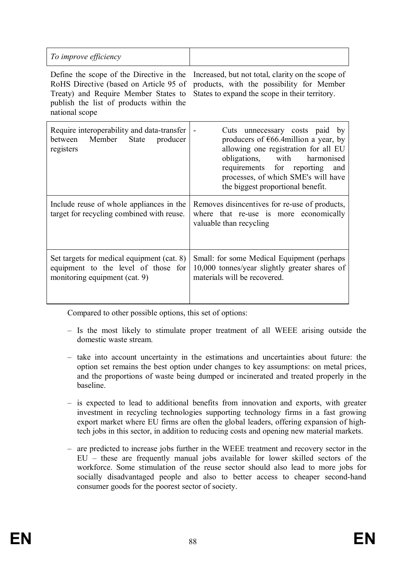| To improve efficiency                                                                                                                                                                   |                                                                                                                                                                                                                                                                              |
|-----------------------------------------------------------------------------------------------------------------------------------------------------------------------------------------|------------------------------------------------------------------------------------------------------------------------------------------------------------------------------------------------------------------------------------------------------------------------------|
| Define the scope of the Directive in the<br>RoHS Directive (based on Article 95 of<br>Treaty) and Require Member States to<br>publish the list of products within the<br>national scope | Increased, but not total, clarity on the scope of<br>products, with the possibility for Member<br>States to expand the scope in their territory.                                                                                                                             |
| Require interoperability and data-transfer<br>Member<br>State<br>between<br>producer<br>registers                                                                                       | Cuts unnecessary costs paid by<br>producers of $\epsilon$ 66.4million a year, by<br>allowing one registration for all EU<br>obligations, with<br>harmonised<br>requirements for reporting<br>and<br>processes, of which SME's will have<br>the biggest proportional benefit. |
| Include reuse of whole appliances in the<br>target for recycling combined with reuse.                                                                                                   | Removes disincentives for re-use of products,<br>where that re-use is more economically<br>valuable than recycling                                                                                                                                                           |
| Set targets for medical equipment (cat. 8)<br>equipment to the level of those for<br>monitoring equipment (cat. 9)                                                                      | Small: for some Medical Equipment (perhaps)<br>10,000 tonnes/year slightly greater shares of<br>materials will be recovered.                                                                                                                                                 |

Compared to other possible options, this set of options:

- Is the most likely to stimulate proper treatment of all WEEE arising outside the domestic waste stream.
- take into account uncertainty in the estimations and uncertainties about future: the option set remains the best option under changes to key assumptions: on metal prices, and the proportions of waste being dumped or incinerated and treated properly in the baseline.
- is expected to lead to additional benefits from innovation and exports, with greater investment in recycling technologies supporting technology firms in a fast growing export market where EU firms are often the global leaders, offering expansion of hightech jobs in this sector, in addition to reducing costs and opening new material markets.
- are predicted to increase jobs further in the WEEE treatment and recovery sector in the EU – these are frequently manual jobs available for lower skilled sectors of the workforce. Some stimulation of the reuse sector should also lead to more jobs for socially disadvantaged people and also to better access to cheaper second-hand consumer goods for the poorest sector of society.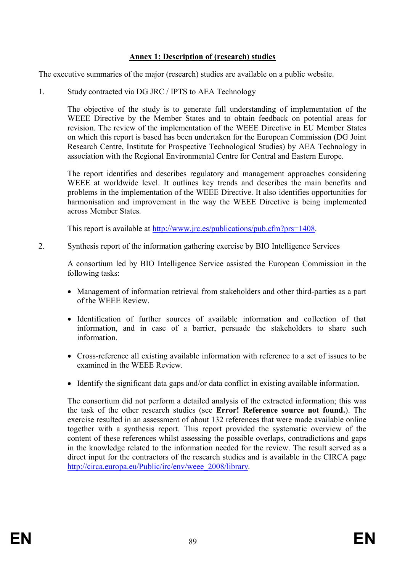#### **Annex 1: Description of (research) studies**

The executive summaries of the major (research) studies are available on a public website.

1. Study contracted via DG JRC / IPTS to AEA Technology

The objective of the study is to generate full understanding of implementation of the WEEE Directive by the Member States and to obtain feedback on potential areas for revision. The review of the implementation of the WEEE Directive in EU Member States on which this report is based has been undertaken for the European Commission (DG Joint Research Centre, Institute for Prospective Technological Studies) by AEA Technology in association with the Regional Environmental Centre for Central and Eastern Europe.

The report identifies and describes regulatory and management approaches considering WEEE at worldwide level. It outlines key trends and describes the main benefits and problems in the implementation of the WEEE Directive. It also identifies opportunities for harmonisation and improvement in the way the WEEE Directive is being implemented across Member States.

This report is available at http://www.jrc.es/publications/pub.cfm?prs=1408.

2. Synthesis report of the information gathering exercise by BIO Intelligence Services

A consortium led by BIO Intelligence Service assisted the European Commission in the following tasks:

- · Management of information retrieval from stakeholders and other third-parties as a part of the WEEE Review.
- · Identification of further sources of available information and collection of that information, and in case of a barrier, persuade the stakeholders to share such information.
- · Cross-reference all existing available information with reference to a set of issues to be examined in the WEEE Review.
- Identify the significant data gaps and/or data conflict in existing available information.

The consortium did not perform a detailed analysis of the extracted information; this was the task of the other research studies (see **Error! Reference source not found.**). The exercise resulted in an assessment of about 132 references that were made available online together with a synthesis report. This report provided the systematic overview of the content of these references whilst assessing the possible overlaps, contradictions and gaps in the knowledge related to the information needed for the review. The result served as a direct input for the contractors of the research studies and is available in the CIRCA page http://circa.europa.eu/Public/irc/env/weee\_2008/library.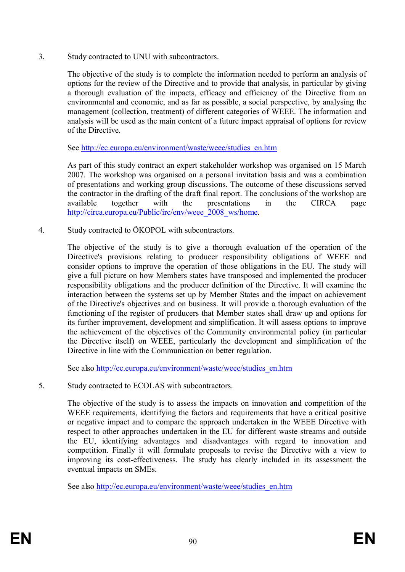3. Study contracted to UNU with subcontractors.

The objective of the study is to complete the information needed to perform an analysis of options for the review of the Directive and to provide that analysis, in particular by giving a thorough evaluation of the impacts, efficacy and efficiency of the Directive from an environmental and economic, and as far as possible, a social perspective, by analysing the management (collection, treatment) of different categories of WEEE. The information and analysis will be used as the main content of a future impact appraisal of options for review of the Directive.

See http://ec.europa.eu/environment/waste/weee/studies\_en.htm

As part of this study contract an expert stakeholder workshop was organised on 15 March 2007. The workshop was organised on a personal invitation basis and was a combination of presentations and working group discussions. The outcome of these discussions served the contractor in the drafting of the draft final report. The conclusions of the workshop are available together with the presentations in the CIRCA page http://circa.europa.eu/Public/irc/env/weee\_2008\_ws/home.

4. Study contracted to ÖKOPOL with subcontractors.

The objective of the study is to give a thorough evaluation of the operation of the Directive's provisions relating to producer responsibility obligations of WEEE and consider options to improve the operation of those obligations in the EU. The study will give a full picture on how Members states have transposed and implemented the producer responsibility obligations and the producer definition of the Directive. It will examine the interaction between the systems set up by Member States and the impact on achievement of the Directive's objectives and on business. It will provide a thorough evaluation of the functioning of the register of producers that Member states shall draw up and options for its further improvement, development and simplification. It will assess options to improve the achievement of the objectives of the Community environmental policy (in particular the Directive itself) on WEEE, particularly the development and simplification of the Directive in line with the Communication on better regulation.

See also http://ec.europa.eu/environment/waste/weee/studies\_en.htm

5. Study contracted to ECOLAS with subcontractors.

The objective of the study is to assess the impacts on innovation and competition of the WEEE requirements, identifying the factors and requirements that have a critical positive or negative impact and to compare the approach undertaken in the WEEE Directive with respect to other approaches undertaken in the EU for different waste streams and outside the EU, identifying advantages and disadvantages with regard to innovation and competition. Finally it will formulate proposals to revise the Directive with a view to improving its cost-effectiveness. The study has clearly included in its assessment the eventual impacts on SMEs.

See also http://ec.europa.eu/environment/waste/weee/studies\_en.htm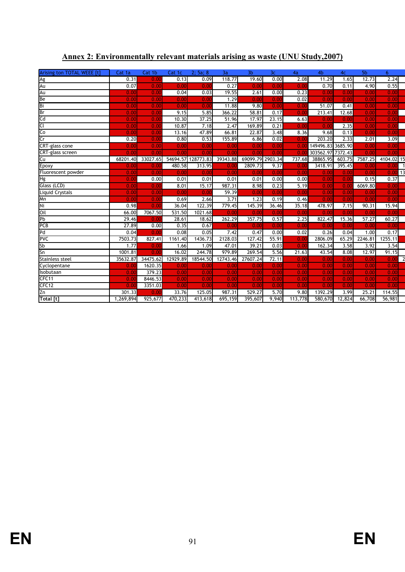| Arising ton TOTAL WEEE [t] | Cat 1a    | Cat 1b   | Cat 1c   | 2; 5a; 8  | 3a       | 3 <sub>b</sub>   | 3 <sub>c</sub>    | 4a      | 4 <sub>b</sub>    | 4 <sub>C</sub> | 5 <sub>b</sub> | 6                      |
|----------------------------|-----------|----------|----------|-----------|----------|------------------|-------------------|---------|-------------------|----------------|----------------|------------------------|
| Ag                         | 0.31      | 0.00     | 0.13     | 0.09      | 118.77   | 19.60            | 0.00              | 2.08    | 11.29             | 1.65           | 12.73          | 2.24                   |
| Au                         | 0.07      | 0.00     | 0.00     | 0.00      | 0.27     | 0.00             | 0.00              | 0.00    | 0.70              | 0.11           | 4.90           | 0.55                   |
| Au                         | 0.00      | 0.00     | 0.04     | 0.03      | 19.55    | 2.61             | 0.00              | 0.23    | 0.00              | 0.00           | 0.00           | 0.00                   |
| Be                         | 0.00      | 0.00     | 0.00     | 0.00      | 1.29     | 0.00             | 0.00              | 0.02    | 0.00              | 0.00           | 0.00           | 0.00                   |
| Bi                         | 0.00      | 0.00     | 0.00     | 0.00      | 11.88    | 9.80             | 0.00              | 0.00    | 51.07             | 0.41           | 0.00           | 0.00                   |
| Br                         | 0.00      | 0.00     | 9.15     | 5.85      | 366.22   | 58.81            | 0.17              | 0.00    | 213.41            | 12.68          | 0.00           | 0.00                   |
| Cd                         | 0.00      | 0.00     | 10.30    | 37.25     | 51.96    | 17.97            | 23.15             | 6.63    | 0.00              | 0.00           | 0.00           | 0.00                   |
| Cί                         | 0.00      | 0.00     | 10.87    | 7.18      | 2.47     | 169.89           | 0.21              | 0.00    | 0.00              | 2.35           | 0.00           | 0.00                   |
| Co                         | 0.00      | 0.00     | 13.16    | 47.89     | 66.81    | 22.87            | 3.48              | 8.36    | 9.68              | 0.13           | 0.00           | 0.00                   |
| $\overline{\mathsf{Cr}}$   | 0.20      | 0.00     | 0.80     | 0.53      | 155.89   | 6.86             | 0.02              | 0.00    | 203.20            | 2.33           | 2.01           | 3.09                   |
| CRT-glass cone             | 0.00      | 0.00     | 0.00     | 0.00      | 0.00     | 0.00             | 0.00              | 0.00    | 149496.83 3685.90 |                | 0.00           | 0.00                   |
| CRT-glass screen           | 0.00      | 0.00     | 0.00     | 0.00      | 0.00     | 0.00             | 0.00              | 0.0     | 303562.97         | 7372.43        | 0.00           | 0.00                   |
| Cu                         | 68201.40  | 33027.65 | 54694.57 | 128773.83 | 39343.88 | 69099.79 2903.34 |                   | 737.68  | 38865.95          | 603.75         | 7587.25        | 4104.02 15             |
| Epoxy                      | 0.00      | 0.00     | 480.58   | 313.95    | 0.00     | 2809.73          | 9.37              | 0.00    | 3418.91           | 395.45         | 0.00           | 0.00                   |
| Fluorescent powder         | 0.00      | 0.00     | 0.00     | 0.00      | 0.00     | 0.00             | 0.00              | 0.00    | 0.00              | 0.00           | 0.00           | 13<br>0.00             |
| Hg                         | 0.00      | 0.00     | 0.01     | 0.01      | 0.01     | 0.01             | 0.00              | 0.00    | 0.00              | 0.00           | 0.15           | 0.37                   |
| Glass (LCD)                | 0.00      | 0.00     | 8.01     | 15.17     | 987.31   | 8.98             | 0.23              | 5.19    | 0.00              | 0.00           | 6069.80        | 0.00                   |
| <b>Liquid Crystals</b>     | 0.00      | 0.00     | 0.00     | 0.00      | 59.39    | 0.00             | 0.00              | 0.00    | 0.00              | 0.00           | 0.00           | 0.00                   |
| Mn                         | 0.00      | 0.00     | 0.69     | 2.66      | 3.71     | 1.23             | 0.19              | 0.46    | 0.00              | 0.00           | 0.00           | 0.00                   |
| Ni                         | 0.98      | 0.00     | 36.04    | 122.39    | 779.45   | 145.39           | 36.46             | 35.18   | 478.97            | 7.15           | 90.31          | 15.94                  |
| Oil                        | 66.00     | 7067.50  | 531.50   | 1021.68   | 0.00     | 0.00             | 0.00              | 0.00    | 0.00              | 0.00           | 0.00           | 0.00                   |
| Pb                         | 29.46     | 0.00     | 28.61    | 18.62     | 262.29   | 357.75           | 0.57              | 2.25    | 822.47            | 15.36          | 57.27          | 60.27                  |
| PCB                        | 27.89     | 0.00     | 0.35     | 0.67      | 0.00     | 0.00             | 0.00              | 0.00    | 0.00              | 0.00           | 0.00           | 0.00                   |
| Pd                         | 0.04      | 0.00     | 0.08     | 0.05      | 7.42     | 0.47             | 0.00              | 0.02    | 0.26              | 0.04           | 1.00           | 0.17                   |
| <b>PVC</b>                 | 7503.73   | 827.41   | 1161.40  | 1436.73   | 2128.03  | 127.42           | 55.91             | 0.00    | 2806.09           | 65.29          | 2246.81        | 1255.11                |
| <b>Sb</b>                  | 1.77      | 0.00     | 1.66     | 1.09      | 47.01    | 39.21            | 0.03              | 0.00    | 162.34            | 3.58           | 3.92           | 3.54                   |
| Sn                         | 1001.81   | 0.00     | 16.02    | 244.78    | 979.89   | 269.54           | 5.56              | 21.63   | 43.54             | 8.08           | 12.97          | 91.15                  |
| <b>Stainless steel</b>     | 35632.87  | 34475.62 | 12929.89 | 18544.50  | 12743.46 | 27607.24         | 72.11             | 0.00    | 0.00              | 0.00           | 0.00           | $\overline{a}$<br>0.00 |
| Cyclopentane               | 0.00      | 1620.35  | 0.00     | 0.00      | 0.00     | 0.00             | $\overline{0.00}$ | 0.00    | 0.00              | 0.00           | 0.00           | 0.00                   |
| Isobutaan                  | 0.00      | 379.23   | 0.00     | 0.00      | 0.00     | 0.00             | 0.00              | 0.00    | 0.00              | 0.00           | 0.00           | 0.00                   |
| CFC11                      | 0.00      | 8446.53  | 0.00     | 0.00      | 0.00     | 0.00             | 0.00              | 0.00    | 0.00              | 0.00           | 0.00           | 0.00                   |
| CFC <sub>12</sub>          | 0.0       | 3351.03  | 0.00     | 0.00      | 0.00     | 0.00             | 0.00              | 0.00    | 0.00              | 0.00           | 0.00           | 0.00                   |
| Zn                         | 301.33    | 0.00     | 33.76    | 125.05    | 987.31   | 529.27           | 5.70              | 9.80    | 1392.29           | 3.99           | 25.21          | 114.55                 |
| Total [t]                  | 1,269,894 | 925,677  | 470,233  | 413,618   | 695,159  | 395,607          | 9,940             | 113,778 | 580,670           | 12,824         | 66,708         | 56,981                 |

# **Annex 2: Environmentally relevant materials arising as waste (UNU Study,2007)**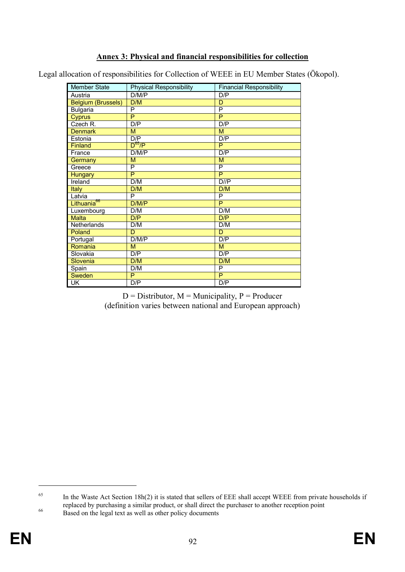## **Annex 3: Physical and financial responsibilities for collection**

Legal allocation of responsibilities for Collection of WEEE in EU Member States (Ökopol).

| <b>Member State</b>       | <b>Physical Responsibility</b> | <b>Financial Responsibility</b> |
|---------------------------|--------------------------------|---------------------------------|
| Austria                   | D/M/P                          | D/P                             |
| <b>Belgium (Brussels)</b> | D/M                            | $\overline{\mathsf{D}}$         |
| <b>Bulgaria</b>           | P                              | P                               |
| <b>Cyprus</b>             | $\overline{P}$                 | $\overline{P}$                  |
| Czech R.                  | D/P                            | D/P                             |
| <b>Denmark</b>            | M                              | M                               |
| Estonia                   | D/P                            | D/P                             |
| Finland                   | $D^{65}/P$                     | P                               |
| France                    | D/M/P                          | D/P                             |
| Germany                   | M                              | M                               |
| Greece                    | P                              | P                               |
| <b>Hungary</b>            | $\overline{\mathsf{P}}$        | P                               |
| Ireland                   | D/M                            | $D$ // $P$                      |
| <b>Italy</b>              | D/M                            | D/M                             |
| Latvia                    | P                              | P                               |
| Lithuania <sup>66</sup>   | D/M/P                          | P                               |
| Luxembourg                | D/M                            | D/M                             |
| <b>Malta</b>              | D/P                            | D/P                             |
| Netherlands               | D/M                            | D/M                             |
| Poland                    | $\overline{D}$                 | $\overline{D}$                  |
| Portugal                  | D/M/P                          | D/P                             |
| Romania                   | M                              | M                               |
| Slovakia                  | D/P                            | D/P                             |
| Slovenia                  | D/M                            | D/M                             |
| Spain                     | D/M                            | P                               |
| <b>Sweden</b>             | P                              | $\overline{P}$                  |
| $\overline{\mathsf{CK}}$  | D/P                            | D/P                             |

 $D =$  Distributor,  $M =$  Municipality,  $P =$  Producer (definition varies between national and European approach)

<sup>&</sup>lt;sup>65</sup> In the Waste Act Section 18h(2) it is stated that sellers of EEE shall accept WEEE from private households if replaced by purchasing a similar product, or shall direct the purchaser to another reception point

<sup>&</sup>lt;sup>66</sup> Based on the legal text as well as other policy documents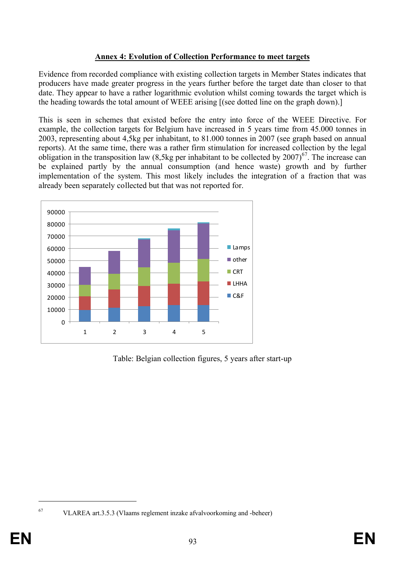### **Annex 4: Evolution of Collection Performance to meet targets**

Evidence from recorded compliance with existing collection targets in Member States indicates that producers have made greater progress in the years further before the target date than closer to that date. They appear to have a rather logarithmic evolution whilst coming towards the target which is the heading towards the total amount of WEEE arising [(see dotted line on the graph down).]

This is seen in schemes that existed before the entry into force of the WEEE Directive. For example, the collection targets for Belgium have increased in 5 years time from 45.000 tonnes in 2003, representing about 4,5kg per inhabitant, to 81.000 tonnes in 2007 (see graph based on annual reports). At the same time, there was a rather firm stimulation for increased collection by the legal obligation in the transposition law (8,5kg per inhabitant to be collected by  $2007$ )<sup>67</sup>. The increase can be explained partly by the annual consumption (and hence waste) growth and by further implementation of the system. This most likely includes the integration of a fraction that was already been separately collected but that was not reported for.



Table: Belgian collection figures, 5 years after start-up

<sup>67</sup> VLAREA art.3.5.3 (Vlaams reglement inzake afvalvoorkoming and -beheer)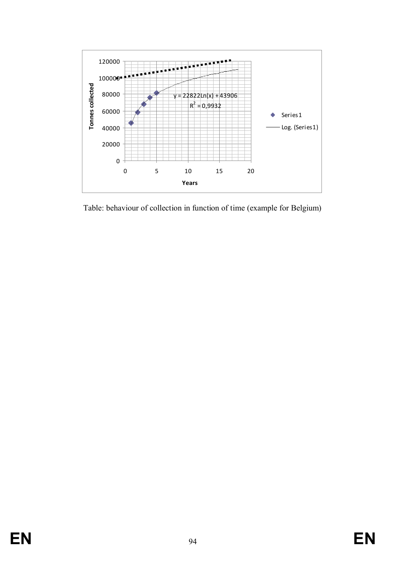

Table: behaviour of collection in function of time (example for Belgium)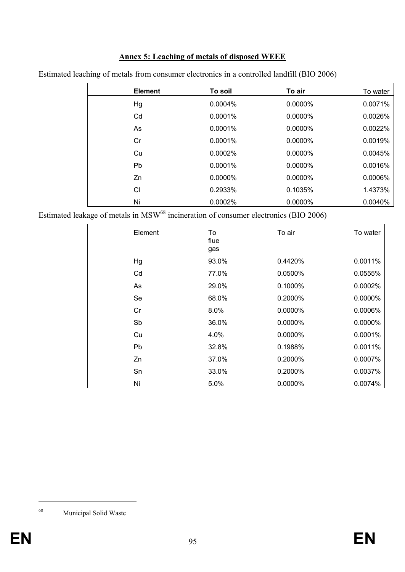# **Annex 5: Leaching of metals of disposed WEEE**

| <b>Element</b> | To soil    | To air     | To water |
|----------------|------------|------------|----------|
| Hg             | $0.0004\%$ | 0.0000%    | 0.0071%  |
| Cd             | $0.0001\%$ | 0.0000%    | 0.0026%  |
| As             | 0.0001%    | 0.0000%    | 0.0022%  |
| Cr             | $0.0001\%$ | $0.0000\%$ | 0.0019%  |
| Cu             | 0.0002%    | 0.0000%    | 0.0045%  |
| P <sub>b</sub> | $0.0001\%$ | $0.0000\%$ | 0.0016%  |
| Zn             | $0.0000\%$ | $0.0000\%$ | 0.0006%  |
| СI             | 0.2933%    | 0.1035%    | 1.4373%  |
| Ni             | 0.0002%    | 0.0000%    | 0.0040%  |

Estimated leaching of metals from consumer electronics in a controlled landfill (BIO 2006)

Estimated leakage of metals in  $MSW<sup>68</sup>$  incineration of consumer electronics (BIO 2006)

| Element | To<br>flue<br>gas | To air  | To water |
|---------|-------------------|---------|----------|
| Hg      | 93.0%             | 0.4420% | 0.0011%  |
| Cd      | 77.0%             | 0.0500% | 0.0555%  |
| As      | 29.0%             | 0.1000% | 0.0002%  |
| Se      | 68.0%             | 0.2000% | 0.0000%  |
| Cr      | 8.0%              | 0.0000% | 0.0006%  |
| Sb      | 36.0%             | 0.0000% | 0.0000%  |
| Cu      | 4.0%              | 0.0000% | 0.0001%  |
| Pb      | 32.8%             | 0.1988% | 0.0011%  |
| Zn      | 37.0%             | 0.2000% | 0.0007%  |
| Sn      | 33.0%             | 0.2000% | 0.0037%  |
| Ni      | 5.0%              | 0.0000% | 0.0074%  |

<sup>68</sup> Municipal Solid Waste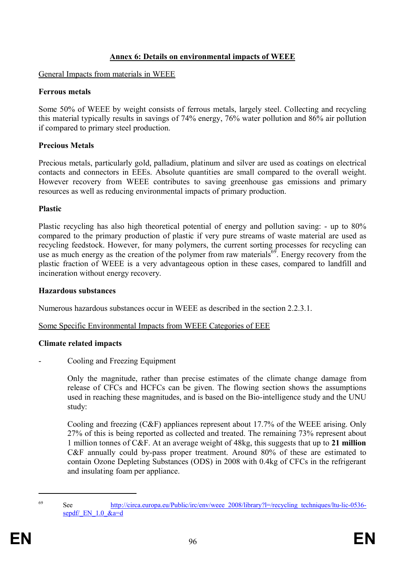#### **Annex 6: Details on environmental impacts of WEEE**

#### General Impacts from materials in WEEE

#### **Ferrous metals**

Some 50% of WEEE by weight consists of ferrous metals, largely steel. Collecting and recycling this material typically results in savings of 74% energy, 76% water pollution and 86% air pollution if compared to primary steel production.

### **Precious Metals**

Precious metals, particularly gold, palladium, platinum and silver are used as coatings on electrical contacts and connectors in EEEs. Absolute quantities are small compared to the overall weight. However recovery from WEEE contributes to saving greenhouse gas emissions and primary resources as well as reducing environmental impacts of primary production.

#### **Plastic**

Plastic recycling has also high theoretical potential of energy and pollution saving: - up to 80% compared to the primary production of plastic if very pure streams of waste material are used as recycling feedstock. However, for many polymers, the current sorting processes for recycling can use as much energy as the creation of the polymer from raw materials<sup>69</sup>. Energy recovery from the plastic fraction of WEEE is a very advantageous option in these cases, compared to landfill and incineration without energy recovery.

#### **Hazardous substances**

Numerous hazardous substances occur in WEEE as described in the section 2.2.3.1.

### Some Specific Environmental Impacts from WEEE Categories of EEE

### **Climate related impacts**

Cooling and Freezing Equipment

Only the magnitude, rather than precise estimates of the climate change damage from release of CFCs and HCFCs can be given. The flowing section shows the assumptions used in reaching these magnitudes, and is based on the Bio-intelligence study and the UNU study:

Cooling and freezing (C&F) appliances represent about 17.7% of the WEEE arising. Only 27% of this is being reported as collected and treated. The remaining 73% represent about 1 million tonnes of C&F. At an average weight of 48kg, this suggests that up to **21 million** C&F annually could by-pass proper treatment. Around 80% of these are estimated to contain Ozone Depleting Substances (ODS) in 2008 with 0.4kg of CFCs in the refrigerant and insulating foam per appliance.

<sup>69</sup> See http://circa.europa.eu/Public/irc/env/weee\_2008/library?l=/recycling\_techniques/ltu-lic-0536 sepdf/ $EN$  1.0  $&$ a=d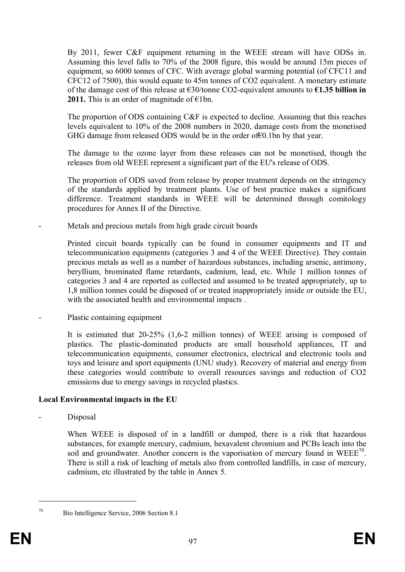By 2011, fewer C&F equipment returning in the WEEE stream will have ODSs in. Assuming this level falls to 70% of the 2008 figure, this would be around 15m pieces of equipment, so 6000 tonnes of CFC. With average global warming potential (of CFC11 and CFC12 of 7500), this would equate to 45m tonnes of CO2 equivalent. A monetary estimate of the damage cost of this release at €30/tonne CO2-equivalent amounts to **€1.35 billion in 2011.** This is an order of magnitude of  $\epsilon$ 1bn.

The proportion of ODS containing C&F is expected to decline. Assuming that this reaches levels equivalent to 10% of the 2008 numbers in 2020, damage costs from the monetised GHG damage from released ODS would be in the order of€0.1bn by that year.

The damage to the ozone layer from these releases can not be monetised, though the releases from old WEEE represent a significant part of the EU's release of ODS.

The proportion of ODS saved from release by proper treatment depends on the stringency of the standards applied by treatment plants. Use of best practice makes a significant difference. Treatment standards in WEEE will be determined through comitology procedures for Annex II of the Directive.

- Metals and precious metals from high grade circuit boards

Printed circuit boards typically can be found in consumer equipments and IT and telecommunication equipments (categories 3 and 4 of the WEEE Directive). They contain precious metals as well as a number of hazardous substances, including arsenic, antimony, beryllium, brominated flame retardants, cadmium, lead, etc. While 1 million tonnes of categories 3 and 4 are reported as collected and assumed to be treated appropriately, up to 1,8 million tonnes could be disposed of or treated inappropriately inside or outside the EU, with the associated health and environmental impacts .

Plastic containing equipment

It is estimated that 20-25% (1,6-2 million tonnes) of WEEE arising is composed of plastics. The plastic-dominated products are small household appliances, IT and telecommunication equipments, consumer electronics, electrical and electronic tools and toys and leisure and sport equipments (UNU study). Recovery of material and energy from these categories would contribute to overall resources savings and reduction of CO2 emissions due to energy savings in recycled plastics.

### **Local Environmental impacts in the EU**

Disposal

When WEEE is disposed of in a landfill or dumped, there is a risk that hazardous substances, for example mercury, cadmium, hexavalent chromium and PCBs leach into the soil and groundwater. Another concern is the vaporisation of mercury found in WEEE<sup>70</sup>. There is still a risk of leaching of metals also from controlled landfills, in case of mercury, cadmium, etc illustrated by the table in Annex 5.

<sup>70</sup> Bio Intelligence Service, 2006 Section 8.1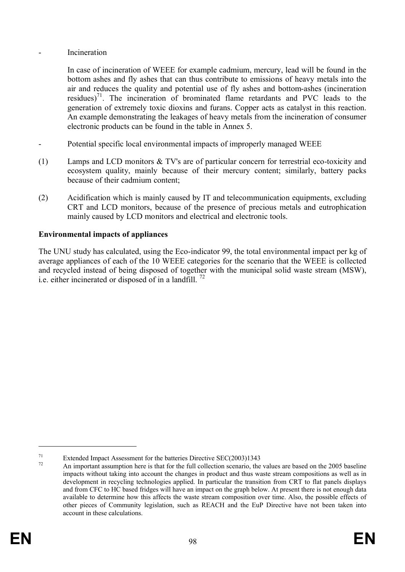#### **Incineration**

In case of incineration of WEEE for example cadmium, mercury, lead will be found in the bottom ashes and fly ashes that can thus contribute to emissions of heavy metals into the air and reduces the quality and potential use of fly ashes and bottom-ashes (incineration residues)<sup>71</sup>. The incineration of brominated flame retardants and PVC leads to the generation of extremely toxic dioxins and furans. Copper acts as catalyst in this reaction. An example demonstrating the leakages of heavy metals from the incineration of consumer electronic products can be found in the table in Annex 5.

- Potential specific local environmental impacts of improperly managed WEEE
- (1) Lamps and LCD monitors & TV's are of particular concern for terrestrial eco-toxicity and ecosystem quality, mainly because of their mercury content; similarly, battery packs because of their cadmium content;
- (2) Acidification which is mainly caused by IT and telecommunication equipments, excluding CRT and LCD monitors, because of the presence of precious metals and eutrophication mainly caused by LCD monitors and electrical and electronic tools.

## **Environmental impacts of appliances**

The UNU study has calculated, using the Eco-indicator 99, the total environmental impact per kg of average appliances of each of the 10 WEEE categories for the scenario that the WEEE is collected and recycled instead of being disposed of together with the municipal solid waste stream (MSW), i.e. either incinerated or disposed of in a landfill.  $^{72}$ 

<sup>&</sup>lt;sup>71</sup> Extended Impact Assessment for the batteries Directive SEC(2003)1343

<sup>72</sup> An important assumption here is that for the full collection scenario, the values are based on the 2005 baseline impacts without taking into account the changes in product and thus waste stream compositions as well as in development in recycling technologies applied. In particular the transition from CRT to flat panels displays and from CFC to HC based fridges will have an impact on the graph below. At present there is not enough data available to determine how this affects the waste stream composition over time. Also, the possible effects of other pieces of Community legislation, such as REACH and the EuP Directive have not been taken into account in these calculations.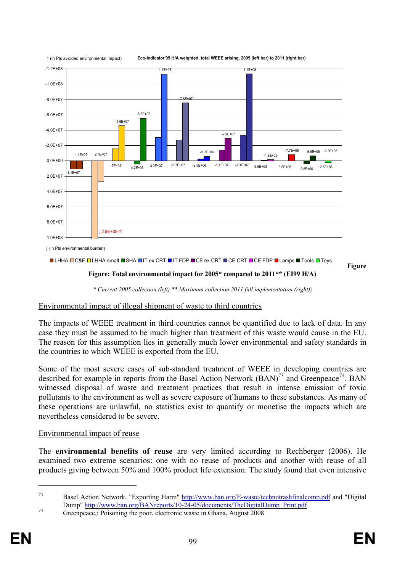

↑ (in Pts avoided environmental impact) **Eco-Indicator'99 H/A weighted, total WEEE arising, 2005 (left bar) to 2011 (right bar)**

**LHHA OC&F OLHHA-small SHA OIT ex CRT OIT FDP OCE ex CRT OCE CRT OCE FDP OLAMPS OTOOLS OF** Tools

**Figure** 

**Figure: Total environmental impact for 2005\* compared to 2011\*\* (EI99 H/A)**

*\* Current 2005 collection (left) \*\* Maximum collection 2011 full implementation (right)*]

### Environmental impact of illegal shipment of waste to third countries

The impacts of WEEE treatment in third countries cannot be quantified due to lack of data. In any case they must be assumed to be much higher than treatment of this waste would cause in the EU. The reason for this assumption lies in generally much lower environmental and safety standards in the countries to which WEEE is exported from the EU.

Some of the most severe cases of sub-standard treatment of WEEE in developing countries are described for example in reports from the Basel Action Network  $(BAN)^{73}$  and Greenpeace<sup>74</sup>. BAN witnessed disposal of waste and treatment practices that result in intense emission of toxic pollutants to the environment as well as severe exposure of humans to these substances. As many of these operations are unlawful, no statistics exist to quantify or monetise the impacts which are nevertheless considered to be severe.

### Environmental impact of reuse

The **environmental benefits of reuse** are very limited according to Rechberger (2006). He examined two extreme scenarios: one with no reuse of products and another with reuse of all products giving between 50% and 100% product life extension. The study found that even intensive

<sup>73</sup> Basel Action Network, "Exporting Harm" http://www.ban.org/E-waste/technotrashfinalcomp.pdf and "Digital Dump" http://www.ban.org/BANreports/10-24-05/documents/TheDigitalDump\_Print.pdf

<sup>&</sup>lt;sup>74</sup> Greenpeace,: Poisoning the poor, electronic waste in Ghana, August 2008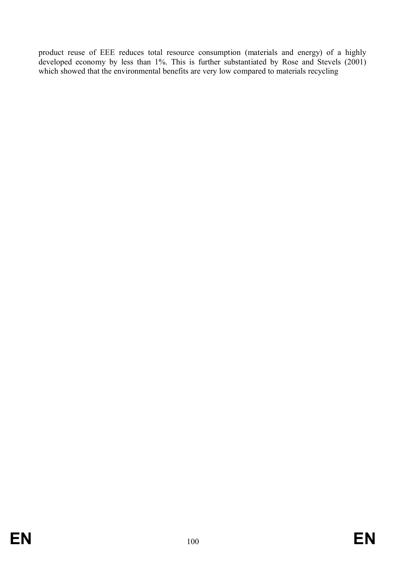product reuse of EEE reduces total resource consumption (materials and energy) of a highly developed economy by less than 1%. This is further substantiated by Rose and Stevels (2001) which showed that the environmental benefits are very low compared to materials recycling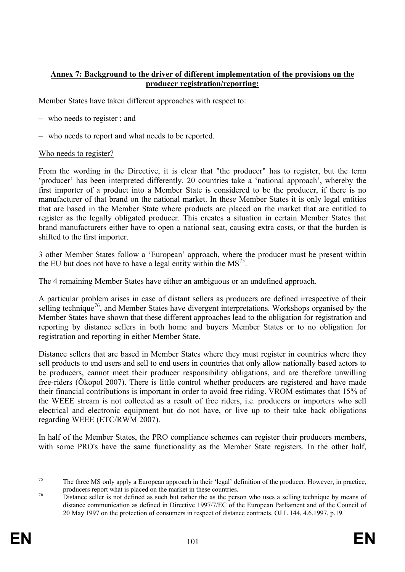#### **Annex 7: Background to the driver of different implementation of the provisions on the producer registration/reporting:**

Member States have taken different approaches with respect to:

- who needs to register ; and
- who needs to report and what needs to be reported.

#### Who needs to register?

From the wording in the Directive, it is clear that "the producer" has to register, but the term 'producer' has been interpreted differently. 20 countries take a 'national approach', whereby the first importer of a product into a Member State is considered to be the producer, if there is no manufacturer of that brand on the national market. In these Member States it is only legal entities that are based in the Member State where products are placed on the market that are entitled to register as the legally obligated producer. This creates a situation in certain Member States that brand manufacturers either have to open a national seat, causing extra costs, or that the burden is shifted to the first importer.

3 other Member States follow a 'European' approach, where the producer must be present within the EU but does not have to have a legal entity within the  $MS<sup>75</sup>$ .

The 4 remaining Member States have either an ambiguous or an undefined approach.

A particular problem arises in case of distant sellers as producers are defined irrespective of their selling technique<sup>76</sup>, and Member States have divergent interpretations. Workshops organised by the Member States have shown that these different approaches lead to the obligation for registration and reporting by distance sellers in both home and buyers Member States or to no obligation for registration and reporting in either Member State.

Distance sellers that are based in Member States where they must register in countries where they sell products to end users and sell to end users in countries that only allow nationally based actors to be producers, cannot meet their producer responsibility obligations, and are therefore unwilling free-riders (Ökopol 2007). There is little control whether producers are registered and have made their financial contributions is important in order to avoid free riding. VROM estimates that 15% of the WEEE stream is not collected as a result of free riders, i.e. producers or importers who sell electrical and electronic equipment but do not have, or live up to their take back obligations regarding WEEE (ETC/RWM 2007).

In half of the Member States, the PRO compliance schemes can register their producers members, with some PRO's have the same functionality as the Member State registers. In the other half,

<sup>75</sup> The three MS only apply a European approach in their 'legal' definition of the producer. However, in practice, producers report what is placed on the market in these countries.

<sup>&</sup>lt;sup>76</sup> Distance seller is not defined as such but rather the as the person who uses a selling technique by means of distance communication as defined in Directive 1997/7/EC of the European Parliament and of the Council of 20 May 1997 on the protection of consumers in respect of distance contracts, OJ L 144, 4.6.1997, p.19.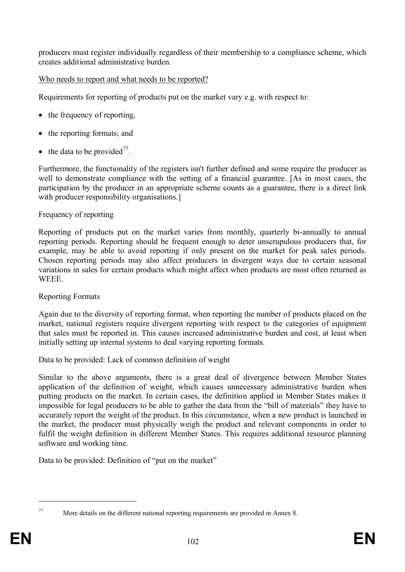producers must register individually regardless of their membership to a compliance scheme, which creates additional administrative burden.

## Who needs to report and what needs to be reported?

Requirements for reporting of products put on the market vary e.g. with respect to:

- the frequency of reporting,
- the reporting formats; and
- the data to be provided<sup>77</sup>.

Furthermore, the functionality of the registers isn't further defined and some require the producer as well to demonstrate compliance with the setting of a financial guarantee. [As in most cases, the participation by the producer in an appropriate scheme counts as a guarantee, there is a direct link with producer responsibility organisations.

## Frequency of reporting

Reporting of products put on the market varies from monthly, quarterly bi-annually to annual reporting periods. Reporting should be frequent enough to deter unscrupulous producers that, for example, may be able to avoid reporting if only present on the market for peak sales periods. Chosen reporting periods may also affect producers in divergent ways due to certain seasonal variations in sales for certain products which might affect when products are most often returned as WEEE.

## Reporting Formats

Again due to the diversity of reporting format, when reporting the number of products placed on the market, national registers require divergent reporting with respect to the categories of equipment that sales must be reported in. This causes increased administrative burden and cost, at least when initially setting up internal systems to deal varying reporting formats.

Data to be provided: Lack of common definition of weight

Similar to the above arguments, there is a great deal of divergence between Member States application of the definition of weight, which causes unnecessary administrative burden when putting products on the market. In certain cases, the definition applied in Member States makes it impossible for legal producers to be able to gather the data from the "bill of materials" they have to accurately report the weight of the product. In this circumstance, when a new product is launched in the market, the producer must physically weigh the product and relevant components in order to fulfil the weight definition in different Member States. This requires additional resource planning software and working time.

Data to be provided: Definition of "put on the market"

<sup>77</sup> More details on the different national reporting requirements are provided in Annex 8.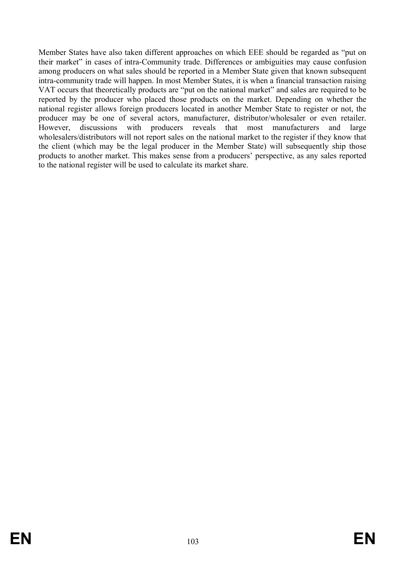Member States have also taken different approaches on which EEE should be regarded as "put on their market" in cases of intra-Community trade. Differences or ambiguities may cause confusion among producers on what sales should be reported in a Member State given that known subsequent intra-community trade will happen. In most Member States, it is when a financial transaction raising VAT occurs that theoretically products are "put on the national market" and sales are required to be reported by the producer who placed those products on the market. Depending on whether the national register allows foreign producers located in another Member State to register or not, the producer may be one of several actors, manufacturer, distributor/wholesaler or even retailer. However, discussions with producers reveals that most manufacturers and large wholesalers/distributors will not report sales on the national market to the register if they know that the client (which may be the legal producer in the Member State) will subsequently ship those products to another market. This makes sense from a producers' perspective, as any sales reported to the national register will be used to calculate its market share.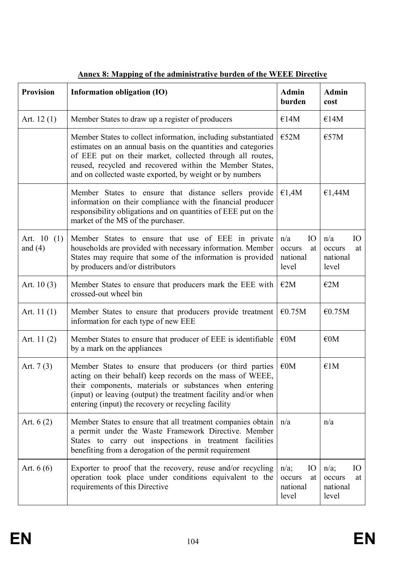| <b>Provision</b>          | Information obligation (IO)                                                                                                                                                                                                                                                                                         | <b>Admin</b><br>burden                                      | <b>Admin</b><br>cost                               |
|---------------------------|---------------------------------------------------------------------------------------------------------------------------------------------------------------------------------------------------------------------------------------------------------------------------------------------------------------------|-------------------------------------------------------------|----------------------------------------------------|
| Art. $12(1)$              | Member States to draw up a register of producers                                                                                                                                                                                                                                                                    | €14M                                                        | €14M                                               |
|                           | Member States to collect information, including substantiated<br>estimates on an annual basis on the quantities and categories<br>of EEE put on their market, collected through all routes,<br>reused, recycled and recovered within the Member States,<br>and on collected waste exported, by weight or by numbers | €52M                                                        | E57M                                               |
|                           | Member States to ensure that distance sellers provide<br>information on their compliance with the financial producer<br>responsibility obligations and on quantities of EEE put on the<br>market of the MS of the purchaser.                                                                                        | €1,4M                                                       | €1,44 $M$                                          |
| Art. $10(1)$<br>and $(4)$ | Member States to ensure that use of EEE in private<br>households are provided with necessary information. Member<br>States may require that some of the information is provided<br>by producers and/or distributors                                                                                                 | IO <sub>1</sub><br>n/a<br>occurs<br>at<br>national<br>level | n/a<br>IO<br>occurs<br>at<br>national<br>level     |
| Art. $10(3)$              | Member States to ensure that producers mark the EEE with<br>crossed-out wheel bin                                                                                                                                                                                                                                   | E2M                                                         | E2M                                                |
| Art. $11(1)$              | Member States to ensure that producers provide treatment<br>information for each type of new EEE                                                                                                                                                                                                                    | €0.75M                                                      | €0.75M                                             |
| Art. 11 (2)               | Member States to ensure that producer of EEE is identifiable<br>by a mark on the appliances                                                                                                                                                                                                                         | $\epsilon$ <sub>0</sub> M                                   | $\epsilon$ <sub>0</sub> M                          |
| Art. $7(3)$               | Member States to ensure that producers (or third parties<br>acting on their behalf) keep records on the mass of WEEE,<br>their components, materials or substances when entering<br>(input) or leaving (output) the treatment facility and/or when<br>entering (input) the recovery or recycling facility           | $\epsilon$ <sub>0</sub> M                                   | E1M                                                |
| Art. $6(2)$               | Member States to ensure that all treatment companies obtain<br>a permit under the Waste Framework Directive. Member<br>States to carry out inspections in treatment facilities<br>benefiting from a derogation of the permit requirement                                                                            | n/a                                                         | n/a                                                |
| Art. $6(6)$               | Exporter to proof that the recovery, reuse and/or recycling<br>operation took place under conditions equivalent to the<br>requirements of this Directive                                                                                                                                                            | $n/a$ ;<br>IO<br>occurs<br>at<br>national<br>level          | $n/a$ ;<br>IO<br>occurs<br>at<br>national<br>level |

# **Annex 8: Mapping of the administrative burden of the WEEE Directive**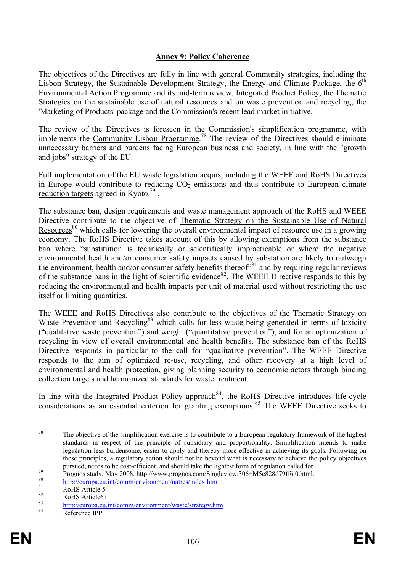#### **Annex 9: Policy Coherence**

The objectives of the Directives are fully in line with general Community strategies, including the Lisbon Strategy, the Sustainable Development Strategy, the Energy and Climate Package, the  $6<sup>th</sup>$ Environmental Action Programme and its mid-term review, Integrated Product Policy, the Thematic Strategies on the sustainable use of natural resources and on waste prevention and recycling, the 'Marketing of Products' package and the Commission's recent lead market initiative.

The review of the Directives is foreseen in the Commission's simplification programme, with implements the Community Lisbon Programme.<sup>78</sup> The review of the Directives should eliminate unnecessary barriers and burdens facing European business and society, in line with the "growth and jobs" strategy of the EU.

Full implementation of the EU waste legislation acquis, including the WEEE and RoHS Directives in Europe would contribute to reducing  $CO<sub>2</sub>$  emissions and thus contribute to European climate reduction targets agreed in Kyoto.<sup>79</sup>.

The substance ban, design requirements and waste management approach of the RoHS and WEEE Directive contribute to the objective of Thematic Strategy on the Sustainable Use of Natural Resources<sup>80</sup> which calls for lowering the overall environmental impact of resource use in a growing economy. The RoHS Directive takes account of this by allowing exemptions from the substance ban where "substitution is technically or scientifically impracticable or where the negative environmental health and/or consumer safety impacts caused by substation are likely to outweigh the environment, health and/or consumer safety benefits thereof<sup>381</sup> and by requiring regular reviews of the substance bans in the light of scientific evidence<sup>82</sup>. The WEEE Directive responds to this by reducing the environmental and health impacts per unit of material used without restricting the use itself or limiting quantities.

The WEEE and RoHS Directives also contribute to the objectives of the Thematic Strategy on Waste Prevention and Recycling<sup>83</sup> which calls for less waste being generated in terms of toxicity ("qualitative waste prevention") and weight ("quantitative prevention"), and for an optimization of recycling in view of overall environmental and health benefits. The substance ban of the RoHS Directive responds in particular to the call for "qualitative prevention". The WEEE Directive responds to the aim of optimized re-use, recycling, and other recovery at a high level of environmental and health protection, giving planning security to economic actors through binding collection targets and harmonized standards for waste treatment.

In line with the Integrated Product Policy approach<sup>84</sup>, the RoHS Directive introduces life-cycle considerations as an essential criterion for granting exemptions.<sup>85</sup> The WEEE Directive seeks to

 $78$  The objective of the simplification exercise is to contribute to a European regulatory framework of the highest standards in respect of the principle of subsidiary and proportionality. Simplification intends to make legislation less burdensome, easier to apply and thereby more effective in achieving its goals. Following on these principles, a regulatory action should not be beyond what is necessary to achieve the policy objectives pursued, needs to be cost-efficient, and should take the lightest form of regulation called for.

<sup>&</sup>lt;sup>79</sup> Prognos study, May 2008, http://www.prognos.com/Singleview.306+M5c828d79ff6.0.html.

<sup>80</sup> http://europa.eu.int/comm/environment/natres/index.htm

 $\frac{81}{82}$  RoHS Article 5

 $RoHS$  Article6?

 $\frac{83}{100}$  http://europa.eu.int/comm/environment/waste/strategy.htm

Reference IPP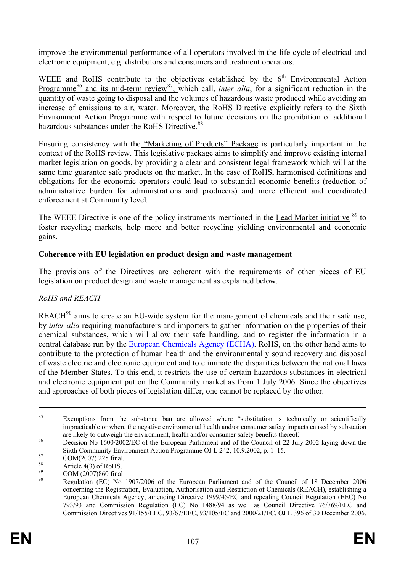improve the environmental performance of all operators involved in the life-cycle of electrical and electronic equipment, e.g. distributors and consumers and treatment operators.

WEEE and RoHS contribute to the objectives established by the  $6<sup>th</sup>$  Environmental Action Programme<sup>86</sup> and its mid-term review<sup>87</sup>, which call, *inter alia*, for a significant reduction in the quantity of waste going to disposal and the volumes of hazardous waste produced while avoiding an increase of emissions to air, water. Moreover, the RoHS Directive explicitly refers to the Sixth Environment Action Programme with respect to future decisions on the prohibition of additional hazardous substances under the RoHS Directive.<sup>88</sup>

Ensuring consistency with the "Marketing of Products" Package is particularly important in the context of the RoHS review. This legislative package aims to simplify and improve existing internal market legislation on goods, by providing a clear and consistent legal framework which will at the same time guarantee safe products on the market. In the case of RoHS, harmonised definitions and obligations for the economic operators could lead to substantial economic benefits (reduction of administrative burden for administrations and producers) and more efficient and coordinated enforcement at Community level.

The WEEE Directive is one of the policy instruments mentioned in the Lead Market initiative <sup>89</sup> to foster recycling markets, help more and better recycling yielding environmental and economic gains.

### **Coherence with EU legislation on product design and waste management**

The provisions of the Directives are coherent with the requirements of other pieces of EU legislation on product design and waste management as explained below.

### *RoHS and REACH*

REACH<sup>90</sup> aims to create an EU-wide system for the management of chemicals and their safe use, by *inter alia* requiring manufacturers and importers to gather information on the properties of their chemical substances, which will allow their safe handling, and to register the information in a central database run by the European Chemicals Agency (ECHA). RoHS, on the other hand aims to contribute to the protection of human health and the environmentally sound recovery and disposal of waste electric and electronic equipment and to eliminate the disparities between the national laws of the Member States. To this end, it restricts the use of certain hazardous substances in electrical and electronic equipment put on the Community market as from 1 July 2006. Since the objectives and approaches of both pieces of legislation differ, one cannot be replaced by the other.

<sup>&</sup>lt;sup>85</sup> Exemptions from the substance ban are allowed where "substitution is technically or scientifically impracticable or where the negative environmental health and/or consumer safety impacts caused by substation are likely to outweigh the environment, health and/or consumer safety benefits thereof.

<sup>&</sup>lt;sup>86</sup> Decision No 1600/2002/EC of the European Parliament and of the Council of 22 July 2002 laying down the Sixth Community Environment Action Programme OJ L 242, 10.9.2002, p. 1–15.

 $^{87}$  COM(2007) 225 final.

<sup>&</sup>lt;sup>88</sup><br>B<sub>89</sub> Article 4(3) of RoHS.

 $\frac{89}{90}$  COM (2007)860 final

<sup>90</sup> Regulation (EC) No 1907/2006 of the European Parliament and of the Council of 18 December 2006 concerning the Registration, Evaluation, Authorisation and Restriction of Chemicals (REACH), establishing a European Chemicals Agency, amending Directive 1999/45/EC and repealing Council Regulation (EEC) No 793/93 and Commission Regulation (EC) No 1488/94 as well as Council Directive 76/769/EEC and Commission Directives 91/155/EEC, 93/67/EEC, 93/105/EC and 2000/21/EC, OJ L 396 of 30 December 2006.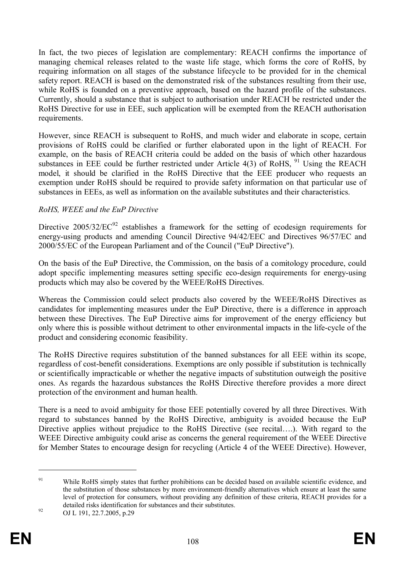In fact, the two pieces of legislation are complementary: REACH confirms the importance of managing chemical releases related to the waste life stage, which forms the core of RoHS, by requiring information on all stages of the substance lifecycle to be provided for in the chemical safety report. REACH is based on the demonstrated risk of the substances resulting from their use, while RoHS is founded on a preventive approach, based on the hazard profile of the substances. Currently, should a substance that is subject to authorisation under REACH be restricted under the RoHS Directive for use in EEE, such application will be exempted from the REACH authorisation requirements.

However, since REACH is subsequent to RoHS, and much wider and elaborate in scope, certain provisions of RoHS could be clarified or further elaborated upon in the light of REACH. For example, on the basis of REACH criteria could be added on the basis of which other hazardous substances in EEE could be further restricted under Article  $4(3)$  of RoHS, <sup>91</sup> Using the REACH model, it should be clarified in the RoHS Directive that the EEE producer who requests an exemption under RoHS should be required to provide safety information on that particular use of substances in EEEs, as well as information on the available substitutes and their characteristics.

## *RoHS, WEEE and the EuP Directive*

Directive  $2005/32/EC^{92}$  establishes a framework for the setting of ecodesign requirements for energy-using products and amending Council Directive 94/42/EEC and Directives 96/57/EC and 2000/55/EC of the European Parliament and of the Council ("EuP Directive").

On the basis of the EuP Directive, the Commission, on the basis of a comitology procedure, could adopt specific implementing measures setting specific eco-design requirements for energy-using products which may also be covered by the WEEE/RoHS Directives.

Whereas the Commission could select products also covered by the WEEE/RoHS Directives as candidates for implementing measures under the EuP Directive, there is a difference in approach between these Directives. The EuP Directive aims for improvement of the energy efficiency but only where this is possible without detriment to other environmental impacts in the life-cycle of the product and considering economic feasibility.

The RoHS Directive requires substitution of the banned substances for all EEE within its scope, regardless of cost-benefit considerations. Exemptions are only possible if substitution is technically or scientifically impracticable or whether the negative impacts of substitution outweigh the positive ones. As regards the hazardous substances the RoHS Directive therefore provides a more direct protection of the environment and human health.

There is a need to avoid ambiguity for those EEE potentially covered by all three Directives. With regard to substances banned by the RoHS Directive, ambiguity is avoided because the EuP Directive applies without prejudice to the RoHS Directive (see recital….). With regard to the WEEE Directive ambiguity could arise as concerns the general requirement of the WEEE Directive for Member States to encourage design for recycling (Article 4 of the WEEE Directive). However,

<sup>&</sup>lt;sup>91</sup> While RoHS simply states that further prohibitions can be decided based on available scientific evidence, and the substitution of those substances by more environment-friendly alternatives which ensure at least the same level of protection for consumers, without providing any definition of these criteria, REACH provides for a detailed risks identification for substances and their substitutes.

<sup>92</sup> OJ L 191, 22.7.2005, p.29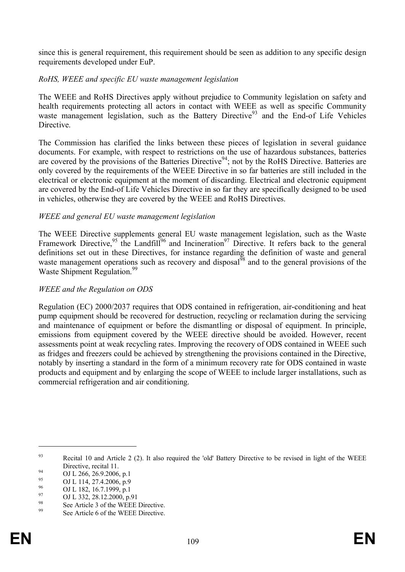since this is general requirement, this requirement should be seen as addition to any specific design requirements developed under EuP.

## *RoHS, WEEE and specific EU waste management legislation*

The WEEE and RoHS Directives apply without prejudice to Community legislation on safety and health requirements protecting all actors in contact with WEEE as well as specific Community waste management legislation, such as the Battery Directive<sup>93</sup> and the End-of Life Vehicles **Directive** 

The Commission has clarified the links between these pieces of legislation in several guidance documents. For example, with respect to restrictions on the use of hazardous substances, batteries are covered by the provisions of the Batteries Directive<sup>94</sup>; not by the RoHS Directive. Batteries are only covered by the requirements of the WEEE Directive in so far batteries are still included in the electrical or electronic equipment at the moment of discarding. Electrical and electronic equipment are covered by the End-of Life Vehicles Directive in so far they are specifically designed to be used in vehicles, otherwise they are covered by the WEEE and RoHS Directives.

### *WEEE and general EU waste management legislation*

The WEEE Directive supplements general EU waste management legislation, such as the Waste Framework Directive,<sup>95</sup> the Landfill<sup>96</sup> and Incineration<sup>97</sup> Directive. It refers back to the general definitions set out in these Directives, for instance regarding the definition of waste and general waste management operations such as recovery and disposal $^{98}$  and to the general provisions of the Waste Shipment Regulation.<sup>99</sup>

### *WEEE and the Regulation on ODS*

Regulation (EC) 2000/2037 requires that ODS contained in refrigeration, air-conditioning and heat pump equipment should be recovered for destruction, recycling or reclamation during the servicing and maintenance of equipment or before the dismantling or disposal of equipment. In principle, emissions from equipment covered by the WEEE directive should be avoided. However, recent assessments point at weak recycling rates. Improving the recovery of ODS contained in WEEE such as fridges and freezers could be achieved by strengthening the provisions contained in the Directive, notably by inserting a standard in the form of a minimum recovery rate for ODS contained in waste products and equipment and by enlarging the scope of WEEE to include larger installations, such as commercial refrigeration and air conditioning.

<sup>&</sup>lt;sup>93</sup> Recital 10 and Article 2 (2). It also required the 'old' Battery Directive to be revised in light of the WEEE Directive, recital 11.

<sup>&</sup>lt;sup>94</sup> OJ L 266, 26.9.2006, p.1

 $^{95}$  OJ L 114, 27.4.2006, p.9

 $^{96}$  OJ L 182, 16.7.1999, p.1

 $^{97}_{98}$  OJ L 332, 28.12.2000, p.91

<sup>&</sup>lt;sup>98</sup> See Article 3 of the WEEE Directive.

See Article 6 of the WEEE Directive.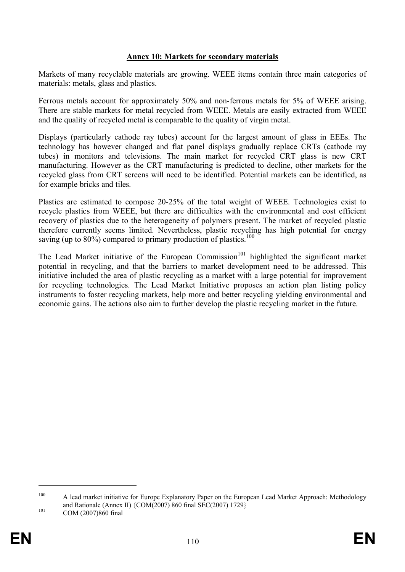#### **Annex 10: Markets for secondary materials**

Markets of many recyclable materials are growing. WEEE items contain three main categories of materials: metals, glass and plastics.

Ferrous metals account for approximately 50% and non-ferrous metals for 5% of WEEE arising. There are stable markets for metal recycled from WEEE. Metals are easily extracted from WEEE and the quality of recycled metal is comparable to the quality of virgin metal.

Displays (particularly cathode ray tubes) account for the largest amount of glass in EEEs. The technology has however changed and flat panel displays gradually replace CRTs (cathode ray tubes) in monitors and televisions. The main market for recycled CRT glass is new CRT manufacturing. However as the CRT manufacturing is predicted to decline, other markets for the recycled glass from CRT screens will need to be identified. Potential markets can be identified, as for example bricks and tiles.

Plastics are estimated to compose 20-25% of the total weight of WEEE. Technologies exist to recycle plastics from WEEE, but there are difficulties with the environmental and cost efficient recovery of plastics due to the heterogeneity of polymers present. The market of recycled plastic therefore currently seems limited. Nevertheless, plastic recycling has high potential for energy saving (up to 80%) compared to primary production of plastics.<sup>100</sup>

The Lead Market initiative of the European Commission<sup>101</sup> highlighted the significant market potential in recycling, and that the barriers to market development need to be addressed. This initiative included the area of plastic recycling as a market with a large potential for improvement for recycling technologies. The Lead Market Initiative proposes an action plan listing policy instruments to foster recycling markets, help more and better recycling yielding environmental and economic gains. The actions also aim to further develop the plastic recycling market in the future.

<sup>100</sup> A lead market initiative for Europe Explanatory Paper on the European Lead Market Approach: Methodology and Rationale (Annex II) {COM(2007) 860 final SEC(2007) 1729}

<sup>101</sup> **COM** (2007)860 final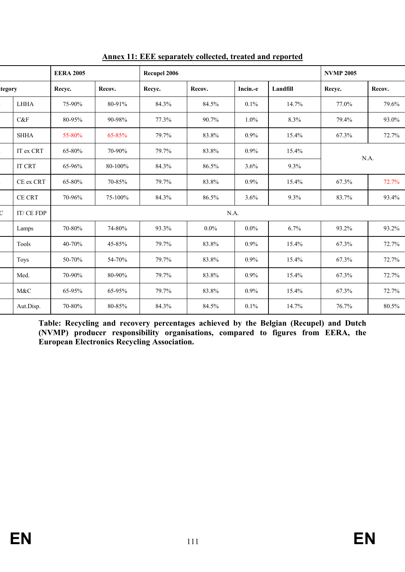|        | <b>EERA 2005</b> |        | Recupel 2006 |        |         |          | <b>NVMP 2005</b> |        |        |  |  |  |
|--------|------------------|--------|--------------|--------|---------|----------|------------------|--------|--------|--|--|--|
| tegory |                  | Recyc. | Recov.       | Recyc. | Recov.  | Incin.-e | Landfill         | Recyc. | Recov. |  |  |  |
|        | <b>LHHA</b>      | 75-90% | 80-91%       | 84.3%  | 84.5%   | 0.1%     | 14.7%            | 77.0%  | 79.6%  |  |  |  |
|        | C&F              | 80-95% | 90-98%       | 77.3%  | 90.7%   | $1.0\%$  | 8.3%             | 79.4%  | 93.0%  |  |  |  |
|        | <b>SHHA</b>      | 55-80% | 65-85%       | 79.7%  | 83.8%   | $0.9\%$  | 15.4%            | 67.3%  | 72.7%  |  |  |  |
|        | IT ex CRT        | 65-80% | 70-90%       | 79.7%  | 83.8%   | 0.9%     | 15.4%            | N.A.   |        |  |  |  |
|        | <b>IT CRT</b>    | 65-96% | 80-100%      | 84.3%  | 86.5%   | 3.6%     | 9.3%             |        |        |  |  |  |
|        | CE ex CRT        | 65-80% | 70-85%       | 79.7%  | 83.8%   | 0.9%     | 15.4%            | 67.3%  | 72.7%  |  |  |  |
|        | <b>CE CRT</b>    | 70-96% | 75-100%      | 84.3%  | 86.5%   | 3.6%     | 9.3%             | 83.7%  | 93.4%  |  |  |  |
|        | IT/CE FDP        | N.A.   |              |        |         |          |                  |        |        |  |  |  |
|        | Lamps            | 70-80% | 74-80%       | 93.3%  | $0.0\%$ | $0.0\%$  | 6.7%             | 93.2%  | 93.2%  |  |  |  |
|        | Tools            | 40-70% | 45-85%       | 79.7%  | 83.8%   | 0.9%     | 15.4%            | 67.3%  | 72.7%  |  |  |  |
|        | <b>Toys</b>      | 50-70% | 54-70%       | 79.7%  | 83.8%   | 0.9%     | 15.4%            | 67.3%  | 72.7%  |  |  |  |
|        | Med.             | 70-90% | 80-90%       | 79.7%  | 83.8%   | 0.9%     | 15.4%            | 67.3%  | 72.7%  |  |  |  |
|        | M&C              | 65-95% | 65-95%       | 79.7%  | 83.8%   | 0.9%     | 15.4%            | 67.3%  | 72.7%  |  |  |  |
|        | Aut.Disp.        | 70-80% | 80-85%       | 84.3%  | 84.5%   | 0.1%     | 14.7%            | 76.7%  | 80.5%  |  |  |  |
|        |                  |        |              |        |         |          |                  |        |        |  |  |  |

**Annex 11: EEE separately collected, treated and reported**

**Table: Recycling and recovery percentages achieved by the Belgian (Recupel) and Dutch (NVMP) producer responsibility organisations, compared to figures from EERA, the European Electronics Recycling Association.**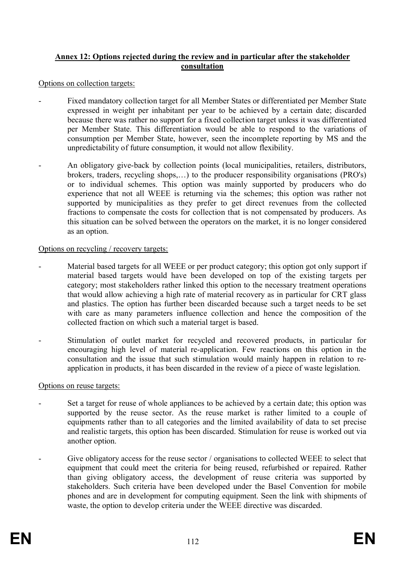## **Annex 12: Options rejected during the review and in particular after the stakeholder consultation**

Options on collection targets:

- Fixed mandatory collection target for all Member States or differentiated per Member State expressed in weight per inhabitant per year to be achieved by a certain date; discarded because there was rather no support for a fixed collection target unless it was differentiated per Member State. This differentiation would be able to respond to the variations of consumption per Member State, however, seen the incomplete reporting by MS and the unpredictability of future consumption, it would not allow flexibility.
- An obligatory give-back by collection points (local municipalities, retailers, distributors, brokers, traders, recycling shops,…) to the producer responsibility organisations (PRO's) or to individual schemes. This option was mainly supported by producers who do experience that not all WEEE is returning via the schemes; this option was rather not supported by municipalities as they prefer to get direct revenues from the collected fractions to compensate the costs for collection that is not compensated by producers. As this situation can be solved between the operators on the market, it is no longer considered as an option.

### Options on recycling / recovery targets:

- Material based targets for all WEEE or per product category; this option got only support if material based targets would have been developed on top of the existing targets per category; most stakeholders rather linked this option to the necessary treatment operations that would allow achieving a high rate of material recovery as in particular for CRT glass and plastics. The option has further been discarded because such a target needs to be set with care as many parameters influence collection and hence the composition of the collected fraction on which such a material target is based.
- Stimulation of outlet market for recycled and recovered products, in particular for encouraging high level of material re-application. Few reactions on this option in the consultation and the issue that such stimulation would mainly happen in relation to reapplication in products, it has been discarded in the review of a piece of waste legislation.

#### Options on reuse targets:

- Set a target for reuse of whole appliances to be achieved by a certain date; this option was supported by the reuse sector. As the reuse market is rather limited to a couple of equipments rather than to all categories and the limited availability of data to set precise and realistic targets, this option has been discarded. Stimulation for reuse is worked out via another option.
- Give obligatory access for the reuse sector / organisations to collected WEEE to select that equipment that could meet the criteria for being reused, refurbished or repaired. Rather than giving obligatory access, the development of reuse criteria was supported by stakeholders. Such criteria have been developed under the Basel Convention for mobile phones and are in development for computing equipment. Seen the link with shipments of waste, the option to develop criteria under the WEEE directive was discarded.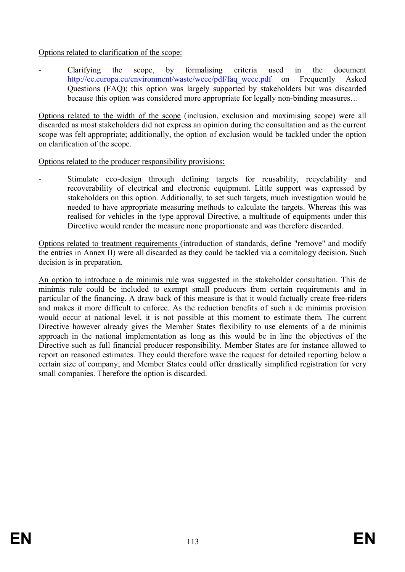## Options related to clarification of the scope:

- Clarifying the scope, by formalising criteria used in the document http://ec.europa.eu/environment/waste/weee/pdf/faq\_weee.pdf on Frequently Asked Questions (FAQ); this option was largely supported by stakeholders but was discarded because this option was considered more appropriate for legally non-binding measures…

Options related to the width of the scope (inclusion, exclusion and maximising scope) were all discarded as most stakeholders did not express an opinion during the consultation and as the current scope was felt appropriate; additionally, the option of exclusion would be tackled under the option on clarification of the scope.

### Options related to the producer responsibility provisions:

Stimulate eco-design through defining targets for reusability, recyclability and recoverability of electrical and electronic equipment. Little support was expressed by stakeholders on this option. Additionally, to set such targets, much investigation would be needed to have appropriate measuring methods to calculate the targets. Whereas this was realised for vehicles in the type approval Directive, a multitude of equipments under this Directive would render the measure none proportionate and was therefore discarded.

Options related to treatment requirements (introduction of standards, define "remove" and modify the entries in Annex II) were all discarded as they could be tackled via a comitology decision. Such decision is in preparation.

An option to introduce a de minimis rule was suggested in the stakeholder consultation. This de minimis rule could be included to exempt small producers from certain requirements and in particular of the financing. A draw back of this measure is that it would factually create free-riders and makes it more difficult to enforce. As the reduction benefits of such a de minimis provision would occur at national level, it is not possible at this moment to estimate them. The current Directive however already gives the Member States flexibility to use elements of a de minimis approach in the national implementation as long as this would be in line the objectives of the Directive such as full financial producer responsibility. Member States are for instance allowed to report on reasoned estimates. They could therefore wave the request for detailed reporting below a certain size of company; and Member States could offer drastically simplified registration for very small companies. Therefore the option is discarded.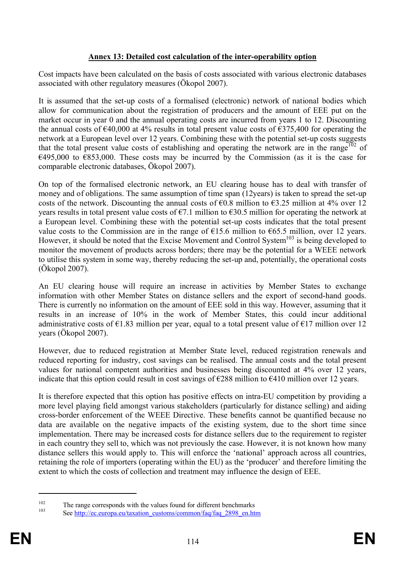## **Annex 13: Detailed cost calculation of the inter-operability option**

Cost impacts have been calculated on the basis of costs associated with various electronic databases associated with other regulatory measures (Ökopol 2007).

It is assumed that the set-up costs of a formalised (electronic) network of national bodies which allow for communication about the registration of producers and the amount of EEE put on the market occur in year 0 and the annual operating costs are incurred from years 1 to 12. Discounting the annual costs of €40,000 at 4% results in total present value costs of €375,400 for operating the network at a European level over 12 years. Combining these with the potential set-up costs suggests that the total present value costs of establishing and operating the network are in the range<sup>102</sup> of  $\epsilon$ 495,000 to  $\epsilon$ 853,000. These costs may be incurred by the Commission (as it is the case for comparable electronic databases, Ökopol 2007).

On top of the formalised electronic network, an EU clearing house has to deal with transfer of money and of obligations. The same assumption of time span (12years) is taken to spread the set-up costs of the network. Discounting the annual costs of  $\epsilon$ 0.8 million to  $\epsilon$ 3.25 million at 4% over 12 years results in total present value costs of  $\epsilon$ 7.1 million to  $\epsilon$ 30.5 million for operating the network at a European level. Combining these with the potential set-up costs indicates that the total present value costs to the Commission are in the range of  $\epsilon$ 15.6 million to  $\epsilon$ 65.5 million, over 12 years. However, it should be noted that the Excise Movement and Control System<sup>103</sup> is being developed to monitor the movement of products across borders; there may be the potential for a WEEE network to utilise this system in some way, thereby reducing the set-up and, potentially, the operational costs (Ökopol 2007).

An EU clearing house will require an increase in activities by Member States to exchange information with other Member States on distance sellers and the export of second-hand goods. There is currently no information on the amount of EEE sold in this way. However, assuming that it results in an increase of 10% in the work of Member States, this could incur additional administrative costs of  $E1.83$  million per year, equal to a total present value of  $E17$  million over 12 years (Ökopol 2007).

However, due to reduced registration at Member State level, reduced registration renewals and reduced reporting for industry, cost savings can be realised. The annual costs and the total present values for national competent authorities and businesses being discounted at 4% over 12 years, indicate that this option could result in cost savings of  $\epsilon$ 288 million to  $\epsilon$ 410 million over 12 years.

It is therefore expected that this option has positive effects on intra-EU competition by providing a more level playing field amongst various stakeholders (particularly for distance selling) and aiding cross-border enforcement of the WEEE Directive. These benefits cannot be quantified because no data are available on the negative impacts of the existing system, due to the short time since implementation. There may be increased costs for distance sellers due to the requirement to register in each country they sell to, which was not previously the case. However, it is not known how many distance sellers this would apply to. This will enforce the 'national' approach across all countries, retaining the role of importers (operating within the EU) as the 'producer' and therefore limiting the extent to which the costs of collection and treatment may influence the design of EEE.

<sup>&</sup>lt;sup>102</sup> The range corresponds with the values found for different benchmarks

See http://ec.europa.eu/taxation\_customs/common/faq/faq\_2898\_en.htm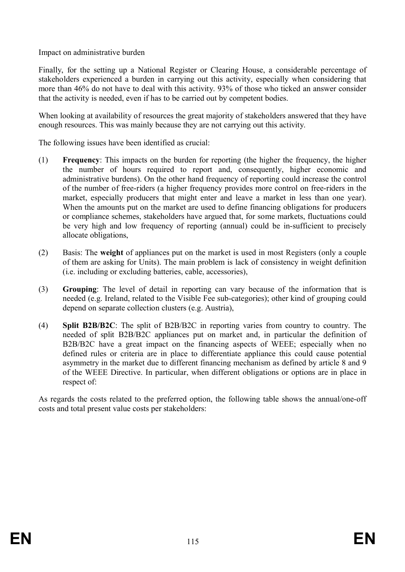Impact on administrative burden

Finally, for the setting up a National Register or Clearing House, a considerable percentage of stakeholders experienced a burden in carrying out this activity, especially when considering that more than 46% do not have to deal with this activity. 93% of those who ticked an answer consider that the activity is needed, even if has to be carried out by competent bodies.

When looking at availability of resources the great majority of stakeholders answered that they have enough resources. This was mainly because they are not carrying out this activity.

The following issues have been identified as crucial:

- (1) **Frequency**: This impacts on the burden for reporting (the higher the frequency, the higher the number of hours required to report and, consequently, higher economic and administrative burdens). On the other hand frequency of reporting could increase the control of the number of free-riders (a higher frequency provides more control on free-riders in the market, especially producers that might enter and leave a market in less than one year). When the amounts put on the market are used to define financing obligations for producers or compliance schemes, stakeholders have argued that, for some markets, fluctuations could be very high and low frequency of reporting (annual) could be in-sufficient to precisely allocate obligations,
- (2) Basis: The **weight** of appliances put on the market is used in most Registers (only a couple of them are asking for Units). The main problem is lack of consistency in weight definition (i.e. including or excluding batteries, cable, accessories),
- (3) **Grouping**: The level of detail in reporting can vary because of the information that is needed (e.g. Ireland, related to the Visible Fee sub-categories); other kind of grouping could depend on separate collection clusters (e.g. Austria),
- (4) **Split B2B/B2C**: The split of B2B/B2C in reporting varies from country to country. The needed of split B2B/B2C appliances put on market and, in particular the definition of B2B/B2C have a great impact on the financing aspects of WEEE; especially when no defined rules or criteria are in place to differentiate appliance this could cause potential asymmetry in the market due to different financing mechanism as defined by article 8 and 9 of the WEEE Directive. In particular, when different obligations or options are in place in respect of:

As regards the costs related to the preferred option, the following table shows the annual/one-off costs and total present value costs per stakeholders: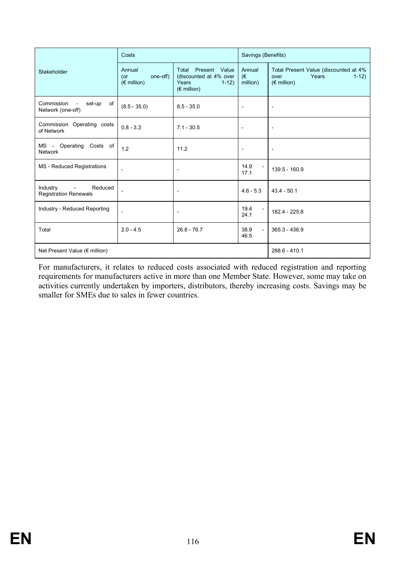|                                                               | Costs                                             |                                                                                             | Savings (Benefits)             |                                                                                          |  |
|---------------------------------------------------------------|---------------------------------------------------|---------------------------------------------------------------------------------------------|--------------------------------|------------------------------------------------------------------------------------------|--|
| Stakeholder                                                   | Annual<br>one-off)<br>(or<br>$(\epsilon$ million) | Present Value<br>Total<br>(discounted at 4% over<br>Years<br>$1-12$<br>$(\epsilon$ million) | Annual<br>θ€<br>million)       | Total Present Value (discounted at 4%<br>Years<br>$1-12$<br>over<br>$(\epsilon$ million) |  |
| Commission<br>set-up<br>of<br>Network (one-off)               | $(8.5 - 35.0)$                                    |                                                                                             | $\overline{\phantom{a}}$       | $\overline{\phantom{a}}$                                                                 |  |
| Commission Operating costs<br>of Network                      | $0.8 - 3.3$                                       | $7.1 - 30.5$                                                                                | $\overline{\phantom{a}}$       | $\overline{\phantom{a}}$                                                                 |  |
| MS - Operating<br>Costs of<br><b>Network</b>                  | 1.2                                               | 11.2                                                                                        | $\overline{\phantom{a}}$       | $\overline{\phantom{a}}$                                                                 |  |
| <b>MS</b> - Reduced Registrations                             | $\overline{\phantom{a}}$                          | $\overline{\phantom{a}}$                                                                    | 14.9<br>17.1                   | 139.5 - 160.9                                                                            |  |
| Industry<br>Reduced<br>$\sim$<br><b>Registration Renewals</b> |                                                   | $\overline{\phantom{a}}$                                                                    | $4.6 - 5.3$                    | $43.4 - 50.1$                                                                            |  |
| Industry - Reduced Reporting                                  | $\overline{\phantom{a}}$                          | $\overline{\phantom{a}}$                                                                    | 19.4<br>24.1                   | 182.4 - 225.8                                                                            |  |
| Total                                                         | $2.0 - 4.5$                                       | $26.8 - 76.7$                                                                               | 38.9<br>$\overline{a}$<br>46.5 | 365.3 - 436.9                                                                            |  |
| Net Present Value (€ million)                                 |                                                   | 288.6 - 410.1                                                                               |                                |                                                                                          |  |

For manufacturers, it relates to reduced costs associated with reduced registration and reporting requirements for manufacturers active in more than one Member State. However, some may take on activities currently undertaken by importers, distributors, thereby increasing costs. Savings may be smaller for SMEs due to sales in fewer countries.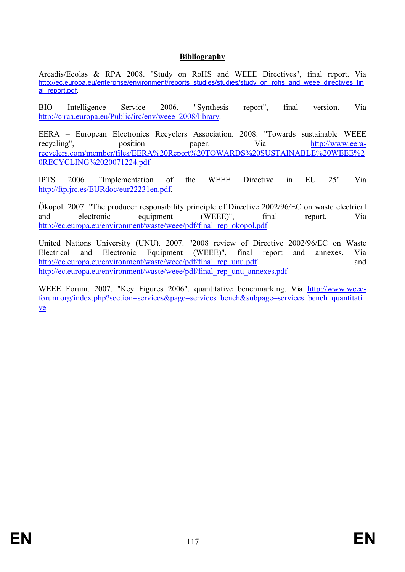## **Bibliography**

Arcadis/Ecolas & RPA 2008. "Study on RoHS and WEEE Directives", final report. Via http://ec.europa.eu/enterprise/environment/reports\_studies/studies/study\_on\_rohs\_and\_weee\_directives\_fin al\_report.pdf.

BIO Intelligence Service 2006. "Synthesis report", final version. Via http://circa.europa.eu/Public/irc/env/weee\_2008/library.

EERA – European Electronics Recyclers Association. 2008. "Towards sustainable WEEE recycling", position paper. Via http://www.eerarecyclers.com/member/files/EERA%20Report%20TOWARDS%20SUSTAINABLE%20WEEE%2 0RECYCLING%2020071224.pdf

IPTS 2006. "Implementation of the WEEE Directive in EU 25". Via http://ftp.jrc.es/EURdoc/eur22231en.pdf.

Ökopol. 2007. "The producer responsibility principle of Directive 2002/96/EC on waste electrical and electronic equipment (WEEE)", final report. Via http://ec.europa.eu/environment/waste/weee/pdf/final\_rep\_okopol.pdf

United Nations University (UNU). 2007. "2008 review of Directive 2002/96/EC on Waste Electrical and Electronic Equipment (WEEE)", final report and annexes. Via http://ec.europa.eu/environment/waste/weee/pdf/final\_rep\_unu.pdf and http://ec.europa.eu/environment/waste/weee/pdf/final\_rep\_unu\_annexes.pdf

WEEE Forum. 2007. "Key Figures 2006", quantitative benchmarking. Via http://www.weeeforum.org/index.php?section=services&page=services\_bench&subpage=services\_bench\_quantitati ve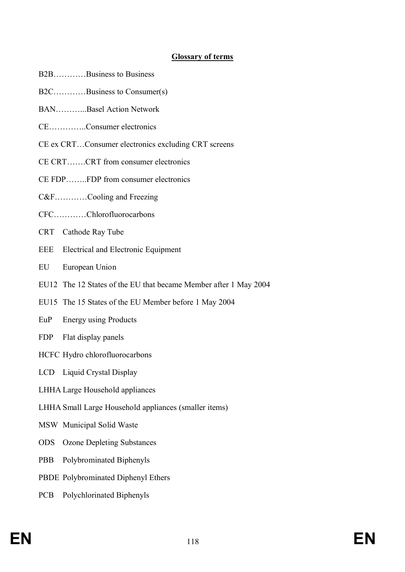# **Glossary of terms**

- B2B…………Business to Business
- B2C…………Business to Consumer(s)
- BAN Basel Action Network
- CE…………..Consumer electronics
- CE ex CRT…Consumer electronics excluding CRT screens
- CE CRT…….CRT from consumer electronics
- CE FDP……..FDP from consumer electronics
- C&F…………Cooling and Freezing
- CFC…………Chlorofluorocarbons
- CRT Cathode Ray Tube
- EEE Electrical and Electronic Equipment
- EU European Union
- EU12 The 12 States of the EU that became Member after 1 May 2004
- EU15 The 15 States of the EU Member before 1 May 2004
- EuP Energy using Products
- FDP Flat display panels
- HCFC Hydro chlorofluorocarbons
- LCD Liquid Crystal Display
- LHHA Large Household appliances
- LHHA Small Large Household appliances (smaller items)
- MSW Municipal Solid Waste
- ODS Ozone Depleting Substances
- PBB Polybrominated Biphenyls
- PBDE Polybrominated Diphenyl Ethers
- PCB Polychlorinated Biphenyls